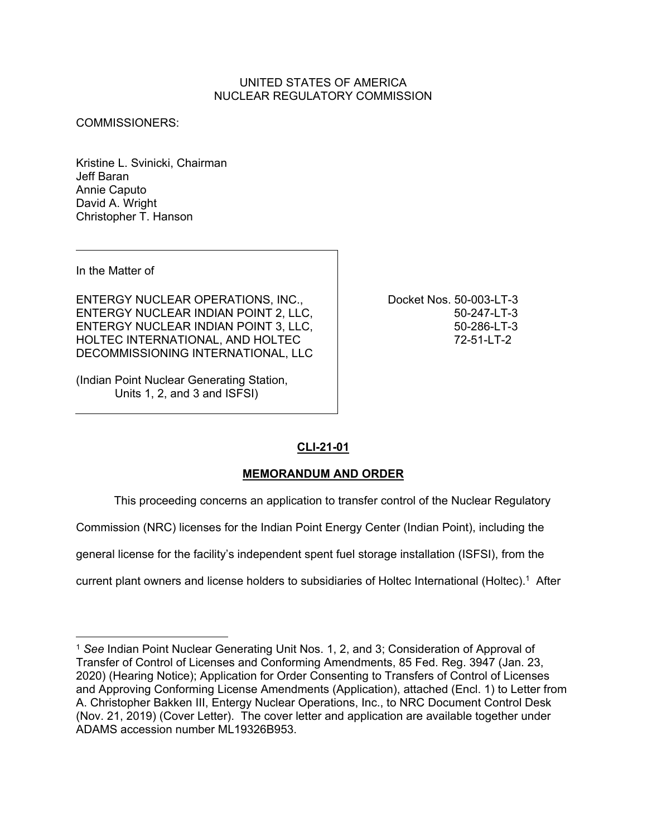# UNITED STATES OF AMERICA NUCLEAR REGULATORY COMMISSION

COMMISSIONERS:

Kristine L. Svinicki, Chairman Jeff Baran Annie Caputo David A. Wright Christopher T. Hanson

In the Matter of

ENTERGY NUCLEAR OPERATIONS, INC., ENTERGY NUCLEAR INDIAN POINT 2, LLC, ENTERGY NUCLEAR INDIAN POINT 3, LLC, HOLTEC INTERNATIONAL, AND HOLTEC DECOMMISSIONING INTERNATIONAL, LLC

(Indian Point Nuclear Generating Station, Units 1, 2, and 3 and ISFSI)

 Docket Nos. 50-003-LT-3 50-247-LT-3 50-286-LT-3 72-51-LT-2

# **CLI-21-01**

# **MEMORANDUM AND ORDER**

This proceeding concerns an application to transfer control of the Nuclear Regulatory

Commission (NRC) licenses for the Indian Point Energy Center (Indian Point), including the

general license for the facility's independent spent fuel storage installation (ISFSI), from the

current plant owners and license holders to subsidiaries of Holtec International (Holtec).<sup>1</sup> After

<sup>1</sup> *See* Indian Point Nuclear Generating Unit Nos. 1, 2, and 3; Consideration of Approval of Transfer of Control of Licenses and Conforming Amendments, 85 Fed. Reg. 3947 (Jan. 23, 2020) (Hearing Notice); Application for Order Consenting to Transfers of Control of Licenses and Approving Conforming License Amendments (Application), attached (Encl. 1) to Letter from A. Christopher Bakken III, Entergy Nuclear Operations, Inc., to NRC Document Control Desk (Nov. 21, 2019) (Cover Letter). The cover letter and application are available together under ADAMS accession number ML19326B953.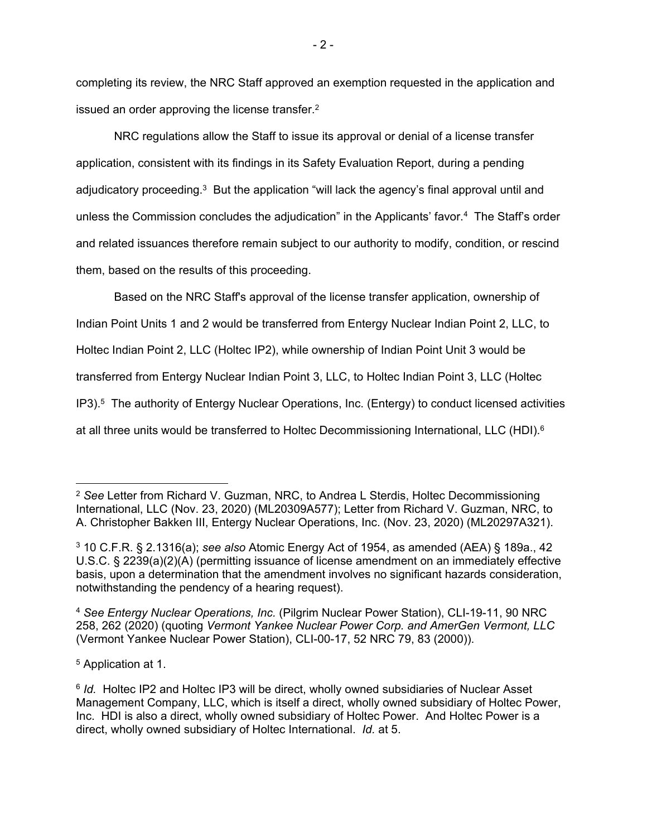completing its review, the NRC Staff approved an exemption requested in the application and issued an order approving the license transfer.<sup>2</sup>

 NRC regulations allow the Staff to issue its approval or denial of a license transfer application, consistent with its findings in its Safety Evaluation Report, during a pending adjudicatory proceeding.<sup>3</sup> But the application "will lack the agency's final approval until and unless the Commission concludes the adjudication" in the Applicants' favor.4 The Staff's order and related issuances therefore remain subject to our authority to modify, condition, or rescind them, based on the results of this proceeding.

 Based on the NRC Staff's approval of the license transfer application, ownership of Indian Point Units 1 and 2 would be transferred from Entergy Nuclear Indian Point 2, LLC, to Holtec Indian Point 2, LLC (Holtec IP2), while ownership of Indian Point Unit 3 would be transferred from Entergy Nuclear Indian Point 3, LLC, to Holtec Indian Point 3, LLC (Holtec IP3).<sup>5</sup> The authority of Entergy Nuclear Operations, Inc. (Entergy) to conduct licensed activities at all three units would be transferred to Holtec Decommissioning International, LLC (HDI).<sup>6</sup>

5 Application at 1.

<sup>2</sup> *See* Letter from Richard V. Guzman, NRC, to Andrea L Sterdis, Holtec Decommissioning International, LLC (Nov. 23, 2020) (ML20309A577); Letter from Richard V. Guzman, NRC, to A. Christopher Bakken III, Entergy Nuclear Operations, Inc. (Nov. 23, 2020) (ML20297A321).

<sup>3 10</sup> C.F.R. § 2.1316(a); *see also* Atomic Energy Act of 1954, as amended (AEA) § 189a., 42 U.S.C. § 2239(a)(2)(A) (permitting issuance of license amendment on an immediately effective basis, upon a determination that the amendment involves no significant hazards consideration, notwithstanding the pendency of a hearing request).

<sup>4</sup> *See Entergy Nuclear Operations, Inc.* (Pilgrim Nuclear Power Station), CLI-19-11, 90 NRC 258, 262 (2020) (quoting *Vermont Yankee Nuclear Power Corp. and AmerGen Vermont, LLC*  (Vermont Yankee Nuclear Power Station), CLI-00-17, 52 NRC 79, 83 (2000)).

<sup>6</sup> *Id.* Holtec IP2 and Holtec IP3 will be direct, wholly owned subsidiaries of Nuclear Asset Management Company, LLC, which is itself a direct, wholly owned subsidiary of Holtec Power, Inc. HDI is also a direct, wholly owned subsidiary of Holtec Power. And Holtec Power is a direct, wholly owned subsidiary of Holtec International. *Id.* at 5.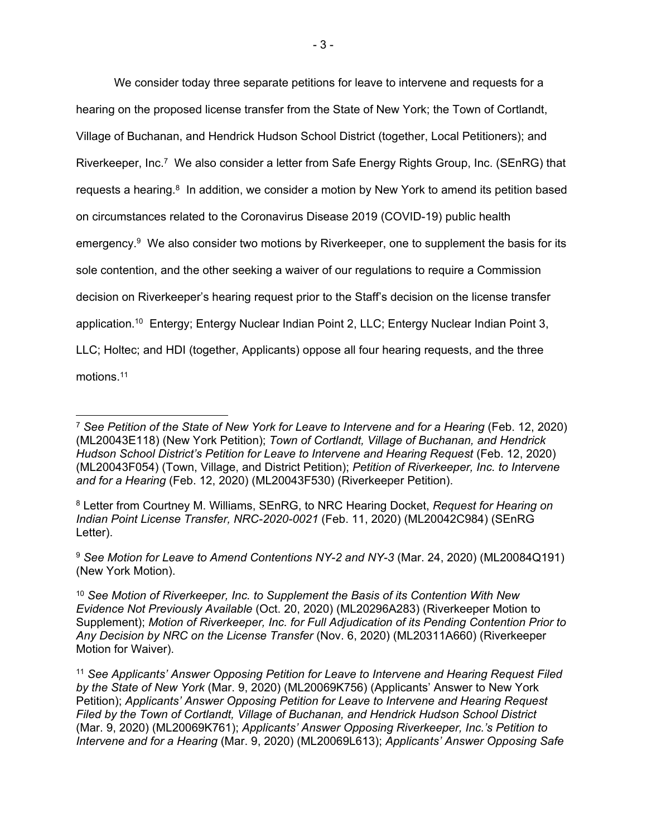We consider today three separate petitions for leave to intervene and requests for a hearing on the proposed license transfer from the State of New York; the Town of Cortlandt, Village of Buchanan, and Hendrick Hudson School District (together, Local Petitioners); and Riverkeeper, Inc.<sup>7</sup> We also consider a letter from Safe Energy Rights Group, Inc. (SEnRG) that requests a hearing.<sup>8</sup> In addition, we consider a motion by New York to amend its petition based on circumstances related to the Coronavirus Disease 2019 (COVID-19) public health emergency.<sup>9</sup> We also consider two motions by Riverkeeper, one to supplement the basis for its sole contention, and the other seeking a waiver of our regulations to require a Commission decision on Riverkeeper's hearing request prior to the Staff's decision on the license transfer application.10 Entergy; Entergy Nuclear Indian Point 2, LLC; Entergy Nuclear Indian Point 3, LLC; Holtec; and HDI (together, Applicants) oppose all four hearing requests, and the three motions.11

<sup>&</sup>lt;sup>7</sup> See Petition of the State of New York for Leave to Intervene and for a Hearing (Feb. 12, 2020) (ML20043E118) (New York Petition); *Town of Cortlandt, Village of Buchanan, and Hendrick Hudson School District's Petition for Leave to Intervene and Hearing Request* (Feb. 12, 2020) (ML20043F054) (Town, Village, and District Petition); *Petition of Riverkeeper, Inc. to Intervene and for a Hearing* (Feb. 12, 2020) (ML20043F530) (Riverkeeper Petition).

<sup>8</sup> Letter from Courtney M. Williams, SEnRG, to NRC Hearing Docket, *Request for Hearing on Indian Point License Transfer, NRC-2020-0021* (Feb. 11, 2020) (ML20042C984) (SEnRG Letter).

<sup>&</sup>lt;sup>9</sup> See Motion for Leave to Amend Contentions NY-2 and NY-3 (Mar. 24, 2020) (ML20084Q191) (New York Motion).

<sup>10</sup> *See Motion of Riverkeeper, Inc. to Supplement the Basis of its Contention With New Evidence Not Previously Available* (Oct. 20, 2020) (ML20296A283) (Riverkeeper Motion to Supplement); *Motion of Riverkeeper, Inc. for Full Adjudication of its Pending Contention Prior to Any Decision by NRC on the License Transfer* (Nov. 6, 2020) (ML20311A660) (Riverkeeper Motion for Waiver).

<sup>11</sup> *See Applicants' Answer Opposing Petition for Leave to Intervene and Hearing Request Filed by the State of New York* (Mar. 9, 2020) (ML20069K756) (Applicants' Answer to New York Petition); *Applicants' Answer Opposing Petition for Leave to Intervene and Hearing Request Filed by the Town of Cortlandt, Village of Buchanan, and Hendrick Hudson School District*  (Mar. 9, 2020) (ML20069K761); *Applicants' Answer Opposing Riverkeeper, Inc.'s Petition to Intervene and for a Hearing* (Mar. 9, 2020) (ML20069L613); *Applicants' Answer Opposing Safe*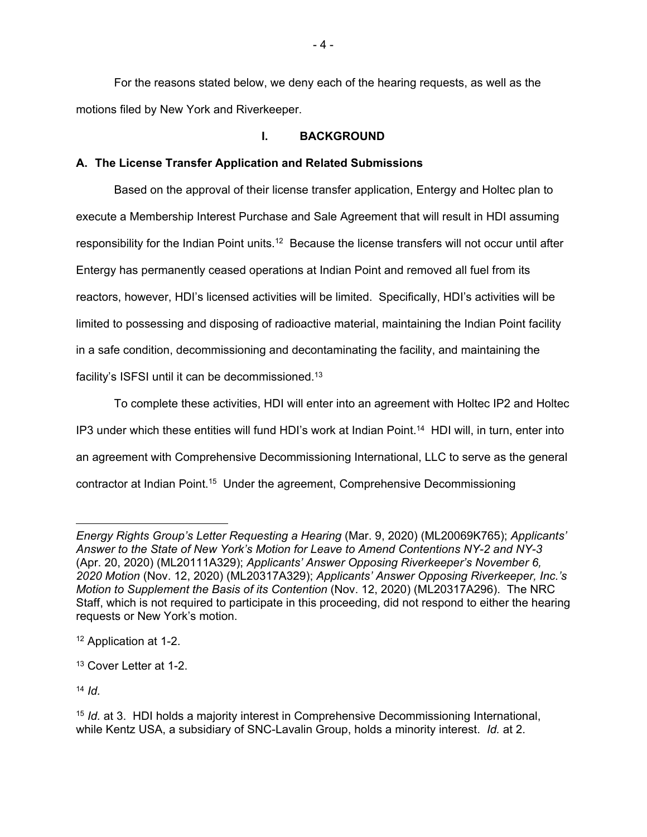For the reasons stated below, we deny each of the hearing requests, as well as the motions filed by New York and Riverkeeper.

# **I. BACKGROUND**

# **A. The License Transfer Application and Related Submissions**

Based on the approval of their license transfer application, Entergy and Holtec plan to execute a Membership Interest Purchase and Sale Agreement that will result in HDI assuming responsibility for the Indian Point units.<sup>12</sup> Because the license transfers will not occur until after Entergy has permanently ceased operations at Indian Point and removed all fuel from its reactors, however, HDI's licensed activities will be limited. Specifically, HDI's activities will be limited to possessing and disposing of radioactive material, maintaining the Indian Point facility in a safe condition, decommissioning and decontaminating the facility, and maintaining the facility's ISFSI until it can be decommissioned.<sup>13</sup>

To complete these activities, HDI will enter into an agreement with Holtec IP2 and Holtec IP3 under which these entities will fund HDI's work at Indian Point.14 HDI will, in turn, enter into an agreement with Comprehensive Decommissioning International, LLC to serve as the general contractor at Indian Point.15 Under the agreement, Comprehensive Decommissioning

<sup>14</sup> *Id.*

*Energy Rights Group's Letter Requesting a Hearing* (Mar. 9, 2020) (ML20069K765); *Applicants' Answer to the State of New York's Motion for Leave to Amend Contentions NY-2 and NY-3* (Apr. 20, 2020) (ML20111A329); *Applicants' Answer Opposing Riverkeeper's November 6, 2020 Motion* (Nov. 12, 2020) (ML20317A329); *Applicants' Answer Opposing Riverkeeper, Inc.'s Motion to Supplement the Basis of its Contention* (Nov. 12, 2020) (ML20317A296). The NRC Staff, which is not required to participate in this proceeding, did not respond to either the hearing requests or New York's motion.

<sup>12</sup> Application at 1-2.

<sup>13</sup> Cover Letter at 1-2.

<sup>15</sup> *Id.* at 3. HDI holds a majority interest in Comprehensive Decommissioning International, while Kentz USA, a subsidiary of SNC-Lavalin Group, holds a minority interest. *Id.* at 2.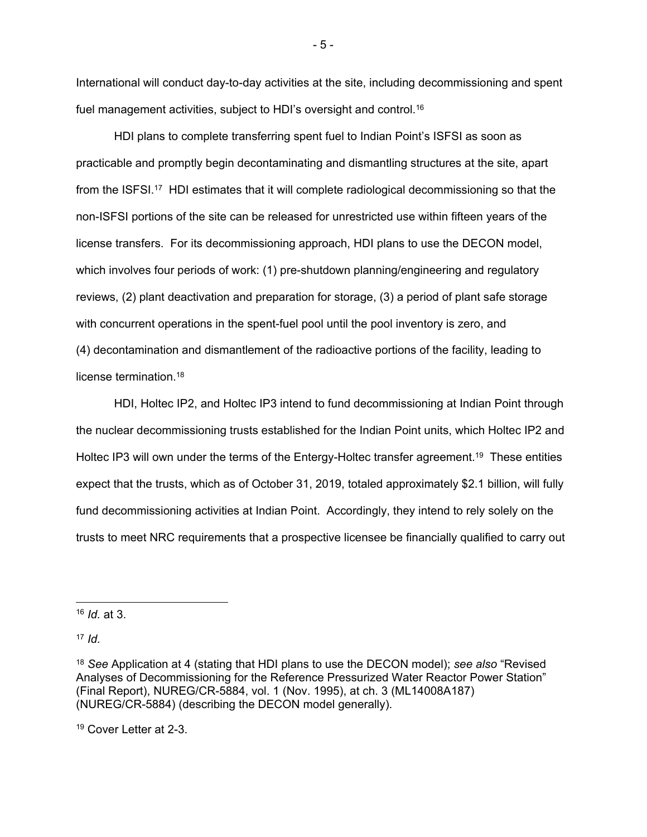International will conduct day-to-day activities at the site, including decommissioning and spent fuel management activities, subject to HDI's oversight and control.16

HDI plans to complete transferring spent fuel to Indian Point's ISFSI as soon as practicable and promptly begin decontaminating and dismantling structures at the site, apart from the ISFSI.17 HDI estimates that it will complete radiological decommissioning so that the non-ISFSI portions of the site can be released for unrestricted use within fifteen years of the license transfers. For its decommissioning approach, HDI plans to use the DECON model, which involves four periods of work: (1) pre-shutdown planning/engineering and regulatory reviews, (2) plant deactivation and preparation for storage, (3) a period of plant safe storage with concurrent operations in the spent-fuel pool until the pool inventory is zero, and (4) decontamination and dismantlement of the radioactive portions of the facility, leading to license termination.18

HDI, Holtec IP2, and Holtec IP3 intend to fund decommissioning at Indian Point through the nuclear decommissioning trusts established for the Indian Point units, which Holtec IP2 and Holtec IP3 will own under the terms of the Entergy-Holtec transfer agreement.<sup>19</sup> These entities expect that the trusts, which as of October 31, 2019, totaled approximately \$2.1 billion, will fully fund decommissioning activities at Indian Point. Accordingly, they intend to rely solely on the trusts to meet NRC requirements that a prospective licensee be financially qualified to carry out

 $17$  *Id.* 

19 Cover Letter at 2-3.

- 5 -

<sup>16</sup> *Id.* at 3.

<sup>18</sup> *See* Application at 4 (stating that HDI plans to use the DECON model); *see also* "Revised Analyses of Decommissioning for the Reference Pressurized Water Reactor Power Station" (Final Report), NUREG/CR-5884, vol. 1 (Nov. 1995), at ch. 3 (ML14008A187) (NUREG/CR-5884) (describing the DECON model generally).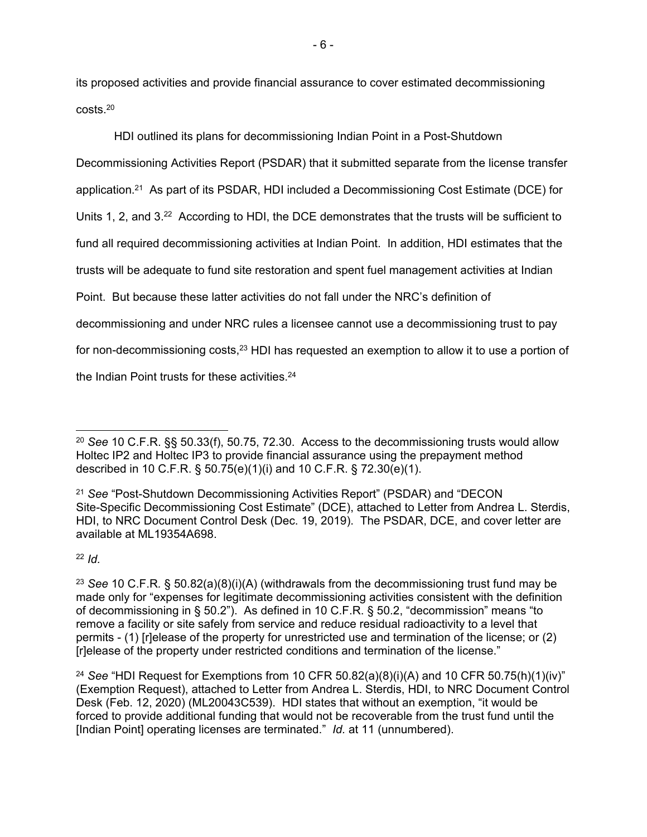its proposed activities and provide financial assurance to cover estimated decommissioning costs.20

HDI outlined its plans for decommissioning Indian Point in a Post-Shutdown

Decommissioning Activities Report (PSDAR) that it submitted separate from the license transfer

application.21 As part of its PSDAR, HDI included a Decommissioning Cost Estimate (DCE) for

Units 1, 2, and 3.<sup>22</sup> According to HDI, the DCE demonstrates that the trusts will be sufficient to

fund all required decommissioning activities at Indian Point. In addition, HDI estimates that the

trusts will be adequate to fund site restoration and spent fuel management activities at Indian

Point. But because these latter activities do not fall under the NRC's definition of

decommissioning and under NRC rules a licensee cannot use a decommissioning trust to pay

for non-decommissioning costs,<sup>23</sup> HDI has requested an exemption to allow it to use a portion of

the Indian Point trusts for these activities. $24$ 

<sup>22</sup> *Id.*

<sup>20</sup> *See* 10 C.F.R. §§ 50.33(f), 50.75, 72.30. Access to the decommissioning trusts would allow Holtec IP2 and Holtec IP3 to provide financial assurance using the prepayment method described in 10 C.F.R. § 50.75(e)(1)(i) and 10 C.F.R. § 72.30(e)(1).

<sup>21</sup> *See* "Post-Shutdown Decommissioning Activities Report" (PSDAR) and "DECON Site-Specific Decommissioning Cost Estimate" (DCE), attached to Letter from Andrea L. Sterdis, HDI, to NRC Document Control Desk (Dec. 19, 2019). The PSDAR, DCE, and cover letter are available at ML19354A698.

<sup>23</sup> *See* 10 C.F.R*.* § 50.82(a)(8)(i)(A) (withdrawals from the decommissioning trust fund may be made only for "expenses for legitimate decommissioning activities consistent with the definition of decommissioning in § 50.2"). As defined in 10 C.F.R. § 50.2, "decommission" means "to remove a facility or site safely from service and reduce residual radioactivity to a level that permits - (1) [r]elease of the property for unrestricted use and termination of the license; or (2) [r]elease of the property under restricted conditions and termination of the license."

<sup>24</sup> *See* "HDI Request for Exemptions from 10 CFR 50.82(a)(8)(i)(A) and 10 CFR 50.75(h)(1)(iv)" (Exemption Request), attached to Letter from Andrea L. Sterdis, HDI, to NRC Document Control Desk (Feb. 12, 2020) (ML20043C539). HDI states that without an exemption, "it would be forced to provide additional funding that would not be recoverable from the trust fund until the [Indian Point] operating licenses are terminated." *Id.* at 11 (unnumbered).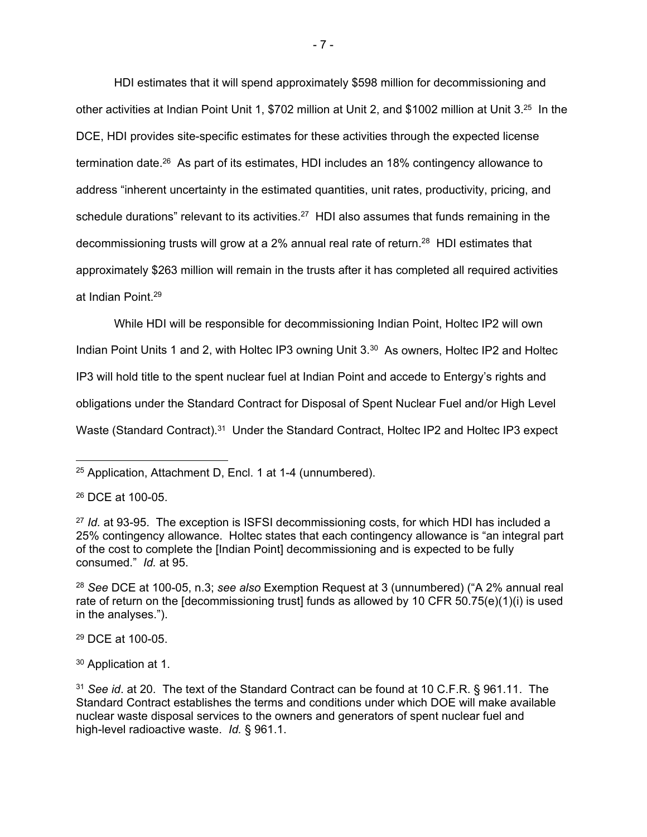HDI estimates that it will spend approximately \$598 million for decommissioning and other activities at Indian Point Unit 1, \$702 million at Unit 2, and \$1002 million at Unit 3.25 In the DCE, HDI provides site-specific estimates for these activities through the expected license termination date.26 As part of its estimates, HDI includes an 18% contingency allowance to address "inherent uncertainty in the estimated quantities, unit rates, productivity, pricing, and schedule durations" relevant to its activities.<sup>27</sup> HDI also assumes that funds remaining in the decommissioning trusts will grow at a 2% annual real rate of return.<sup>28</sup> HDI estimates that approximately \$263 million will remain in the trusts after it has completed all required activities at Indian Point.29

While HDI will be responsible for decommissioning Indian Point, Holtec IP2 will own Indian Point Units 1 and 2, with Holtec IP3 owning Unit 3.<sup>30</sup> As owners, Holtec IP2 and Holtec IP3 will hold title to the spent nuclear fuel at Indian Point and accede to Entergy's rights and obligations under the Standard Contract for Disposal of Spent Nuclear Fuel and/or High Level Waste (Standard Contract).<sup>31</sup> Under the Standard Contract, Holtec IP2 and Holtec IP3 expect

29 DCE at 100-05.

30 Application at 1.

<sup>25</sup> Application, Attachment D, Encl. 1 at 1-4 (unnumbered).

<sup>26</sup> DCE at 100-05.

<sup>27</sup> *Id.* at 93-95. The exception is ISFSI decommissioning costs, for which HDI has included a 25% contingency allowance. Holtec states that each contingency allowance is "an integral part of the cost to complete the [Indian Point] decommissioning and is expected to be fully consumed." *Id.* at 95.

<sup>28</sup> *See* DCE at 100-05, n.3; *see also* Exemption Request at 3 (unnumbered) ("A 2% annual real rate of return on the [decommissioning trust] funds as allowed by 10 CFR 50.75(e)(1)(i) is used in the analyses.").

<sup>31</sup> *See id*. at 20. The text of the Standard Contract can be found at 10 C.F.R. § 961.11. The Standard Contract establishes the terms and conditions under which DOE will make available nuclear waste disposal services to the owners and generators of spent nuclear fuel and high-level radioactive waste. *Id.* § 961.1.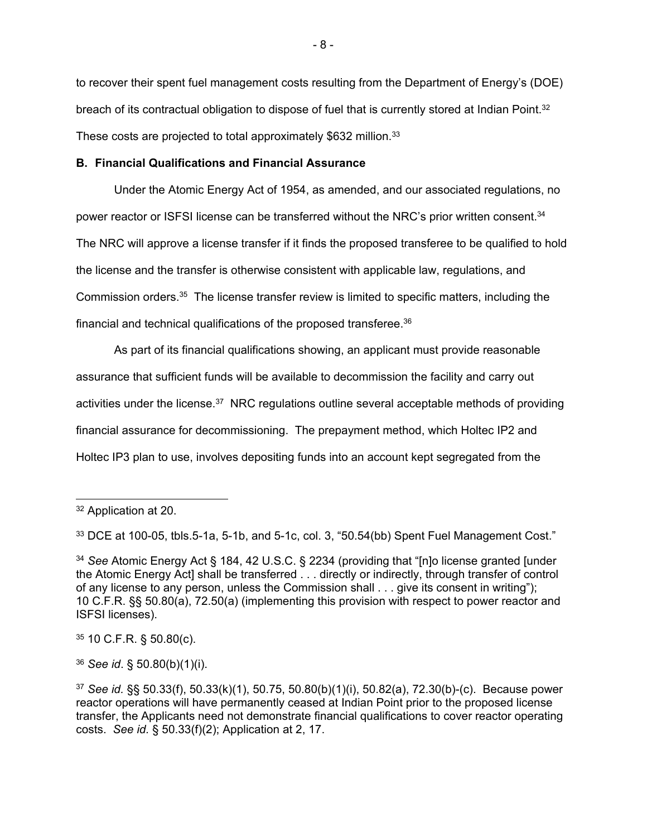to recover their spent fuel management costs resulting from the Department of Energy's (DOE) breach of its contractual obligation to dispose of fuel that is currently stored at Indian Point.<sup>32</sup> These costs are projected to total approximately \$632 million.<sup>33</sup>

# **B. Financial Qualifications and Financial Assurance**

 Under the Atomic Energy Act of 1954, as amended, and our associated regulations, no power reactor or ISFSI license can be transferred without the NRC's prior written consent.34 The NRC will approve a license transfer if it finds the proposed transferee to be qualified to hold the license and the transfer is otherwise consistent with applicable law, regulations, and Commission orders.35 The license transfer review is limited to specific matters, including the financial and technical qualifications of the proposed transferee.<sup>36</sup>

 As part of its financial qualifications showing, an applicant must provide reasonable assurance that sufficient funds will be available to decommission the facility and carry out activities under the license.<sup>37</sup> NRC regulations outline several acceptable methods of providing financial assurance for decommissioning. The prepayment method, which Holtec IP2 and Holtec IP3 plan to use, involves depositing funds into an account kept segregated from the

35 10 C.F.R. § 50.80(c).

<sup>36</sup> *See id*. § 50.80(b)(1)(i).

<sup>32</sup> Application at 20.

<sup>33</sup> DCE at 100-05, tbls.5-1a, 5-1b, and 5-1c, col. 3, "50.54(bb) Spent Fuel Management Cost."

<sup>34</sup> *See* Atomic Energy Act § 184, 42 U.S.C. § 2234 (providing that "[n]o license granted [under the Atomic Energy Act] shall be transferred . . . directly or indirectly, through transfer of control of any license to any person, unless the Commission shall . . . give its consent in writing"); 10 C.F.R. §§ 50.80(a), 72.50(a) (implementing this provision with respect to power reactor and ISFSI licenses).

<sup>37</sup> *See id.* §§ 50.33(f), 50.33(k)(1), 50.75, 50.80(b)(1)(i), 50.82(a), 72.30(b)-(c). Because power reactor operations will have permanently ceased at Indian Point prior to the proposed license transfer, the Applicants need not demonstrate financial qualifications to cover reactor operating costs. *See id.* § 50.33(f)(2); Application at 2, 17.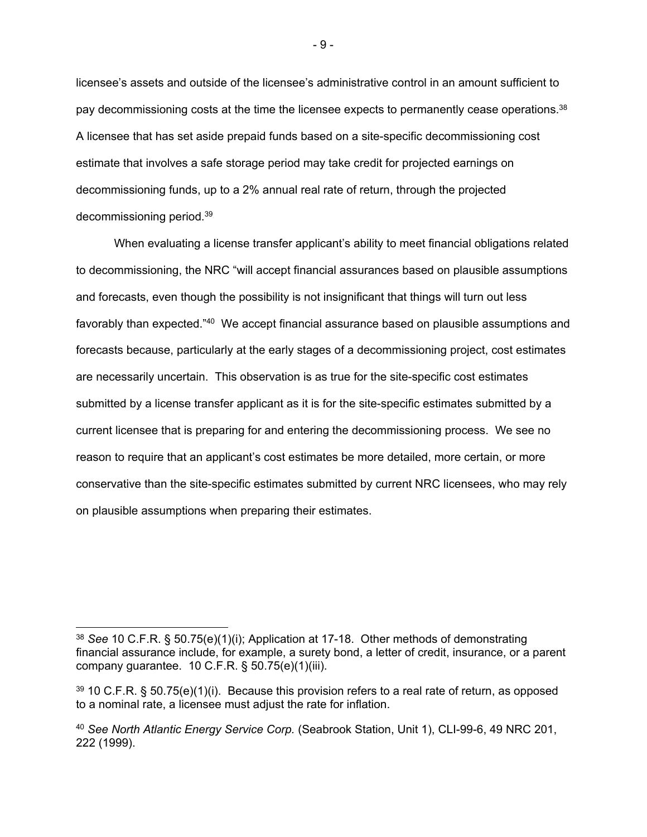licensee's assets and outside of the licensee's administrative control in an amount sufficient to pay decommissioning costs at the time the licensee expects to permanently cease operations.<sup>38</sup> A licensee that has set aside prepaid funds based on a site-specific decommissioning cost estimate that involves a safe storage period may take credit for projected earnings on decommissioning funds, up to a 2% annual real rate of return, through the projected decommissioning period.39

 When evaluating a license transfer applicant's ability to meet financial obligations related to decommissioning, the NRC "will accept financial assurances based on plausible assumptions and forecasts, even though the possibility is not insignificant that things will turn out less favorably than expected."40We accept financial assurance based on plausible assumptions and forecasts because, particularly at the early stages of a decommissioning project, cost estimates are necessarily uncertain. This observation is as true for the site-specific cost estimates submitted by a license transfer applicant as it is for the site-specific estimates submitted by a current licensee that is preparing for and entering the decommissioning process. We see no reason to require that an applicant's cost estimates be more detailed, more certain, or more conservative than the site-specific estimates submitted by current NRC licensees, who may rely on plausible assumptions when preparing their estimates.

<sup>38</sup> *See* 10 C.F.R. § 50.75(e)(1)(i); Application at 17-18. Other methods of demonstrating financial assurance include, for example, a surety bond, a letter of credit, insurance, or a parent company guarantee. 10 C.F.R. § 50.75(e)(1)(iii).

 $39$  10 C.F.R. § 50.75(e)(1)(i). Because this provision refers to a real rate of return, as opposed to a nominal rate, a licensee must adjust the rate for inflation.

<sup>40</sup> *See North Atlantic Energy Service Corp.* (Seabrook Station, Unit 1), CLI-99-6, 49 NRC 201, 222 (1999).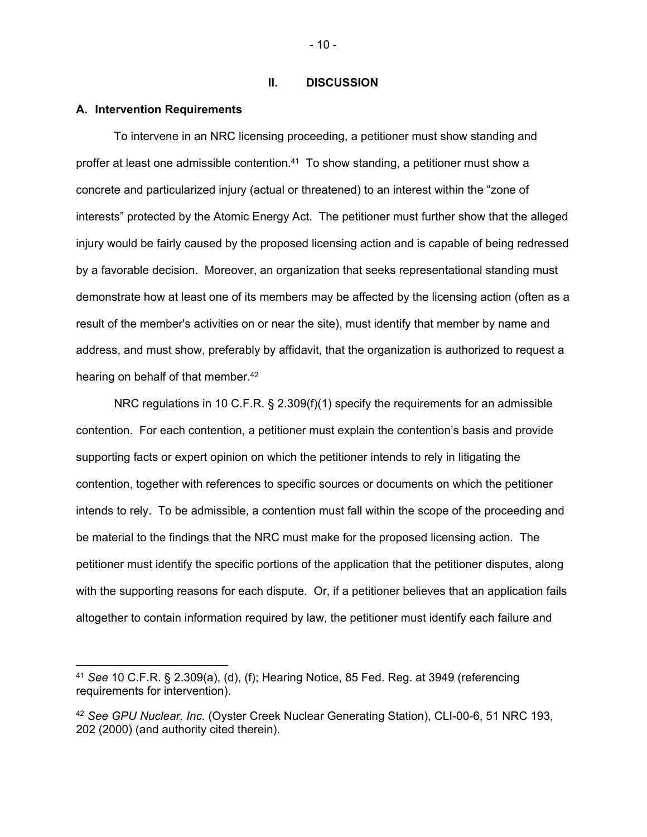# **II. DISCUSSION**

#### **A. Intervention Requirements**

To intervene in an NRC licensing proceeding, a petitioner must show standing and proffer at least one admissible contention.<sup>41</sup> To show standing, a petitioner must show a concrete and particularized injury (actual or threatened) to an interest within the "zone of interests" protected by the Atomic Energy Act. The petitioner must further show that the alleged injury would be fairly caused by the proposed licensing action and is capable of being redressed by a favorable decision. Moreover, an organization that seeks representational standing must demonstrate how at least one of its members may be affected by the licensing action (often as a result of the member's activities on or near the site), must identify that member by name and address, and must show, preferably by affidavit, that the organization is authorized to request a hearing on behalf of that member.<sup>42</sup>

NRC regulations in 10 C.F.R. § 2.309(f)(1) specify the requirements for an admissible contention. For each contention, a petitioner must explain the contention's basis and provide supporting facts or expert opinion on which the petitioner intends to rely in litigating the contention, together with references to specific sources or documents on which the petitioner intends to rely. To be admissible, a contention must fall within the scope of the proceeding and be material to the findings that the NRC must make for the proposed licensing action. The petitioner must identify the specific portions of the application that the petitioner disputes, along with the supporting reasons for each dispute. Or, if a petitioner believes that an application fails altogether to contain information required by law, the petitioner must identify each failure and

- 10 -

<sup>41</sup> *See* 10 C.F.R. § 2.309(a), (d), (f); Hearing Notice, 85 Fed. Reg. at 3949 (referencing requirements for intervention).

<sup>42</sup> *See GPU Nuclear, Inc.* (Oyster Creek Nuclear Generating Station), CLI-00-6, 51 NRC 193, 202 (2000) (and authority cited therein).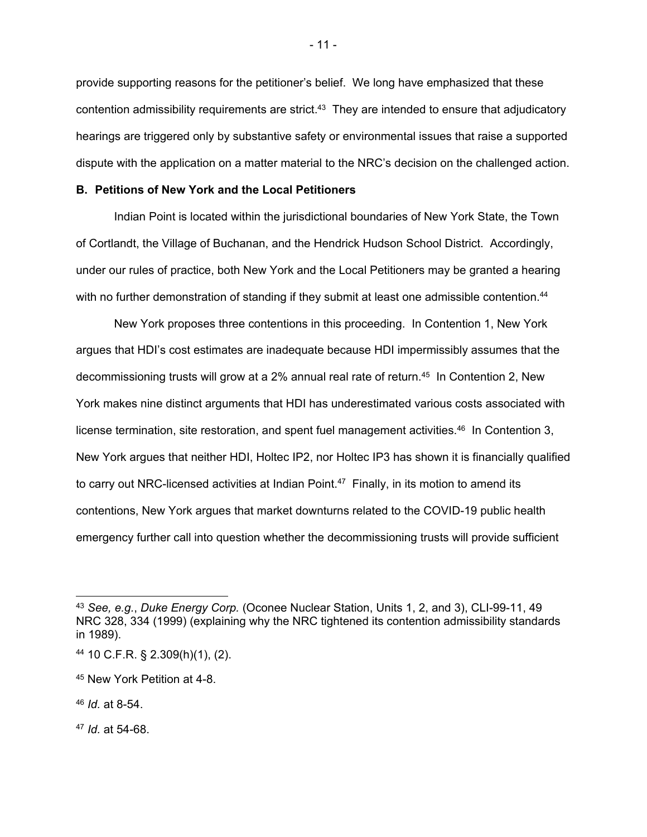provide supporting reasons for the petitioner's belief. We long have emphasized that these contention admissibility requirements are strict.<sup>43</sup> They are intended to ensure that adjudicatory hearings are triggered only by substantive safety or environmental issues that raise a supported dispute with the application on a matter material to the NRC's decision on the challenged action.

#### **B. Petitions of New York and the Local Petitioners**

 Indian Point is located within the jurisdictional boundaries of New York State, the Town of Cortlandt, the Village of Buchanan, and the Hendrick Hudson School District. Accordingly, under our rules of practice, both New York and the Local Petitioners may be granted a hearing with no further demonstration of standing if they submit at least one admissible contention.<sup>44</sup>

New York proposes three contentions in this proceeding. In Contention 1, New York argues that HDI's cost estimates are inadequate because HDI impermissibly assumes that the decommissioning trusts will grow at a 2% annual real rate of return.45 In Contention 2, New York makes nine distinct arguments that HDI has underestimated various costs associated with license termination, site restoration, and spent fuel management activities.<sup>46</sup> In Contention 3, New York argues that neither HDI, Holtec IP2, nor Holtec IP3 has shown it is financially qualified to carry out NRC-licensed activities at Indian Point. $47$  Finally, in its motion to amend its contentions, New York argues that market downturns related to the COVID-19 public health emergency further call into question whether the decommissioning trusts will provide sufficient

<sup>47</sup> *Id.* at 54-68.

- 11 -

<sup>43</sup> *See, e.g.*, *Duke Energy Corp.* (Oconee Nuclear Station, Units 1, 2, and 3), CLI-99-11, 49 NRC 328, 334 (1999) (explaining why the NRC tightened its contention admissibility standards in 1989).

<sup>44 10</sup> C.F.R. § 2.309(h)(1), (2).

<sup>45</sup> New York Petition at 4-8.

<sup>46</sup> *Id.* at 8-54.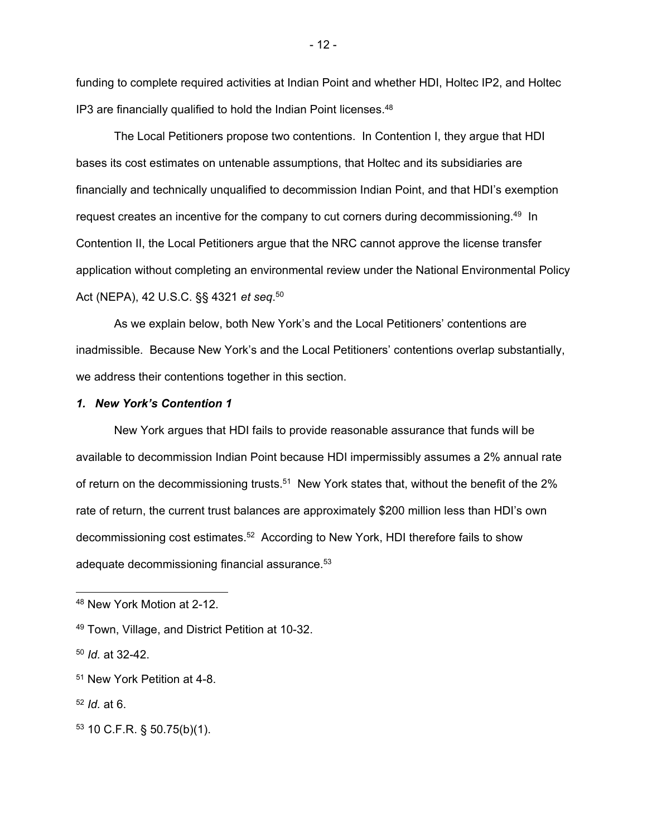funding to complete required activities at Indian Point and whether HDI, Holtec IP2, and Holtec IP3 are financially qualified to hold the Indian Point licenses.48

The Local Petitioners propose two contentions. In Contention I, they argue that HDI bases its cost estimates on untenable assumptions, that Holtec and its subsidiaries are financially and technically unqualified to decommission Indian Point, and that HDI's exemption request creates an incentive for the company to cut corners during decommissioning.49 In Contention II, the Local Petitioners argue that the NRC cannot approve the license transfer application without completing an environmental review under the National Environmental Policy Act (NEPA), 42 U.S.C. §§ 4321 *et seq*. 50

As we explain below, both New York's and the Local Petitioners' contentions are inadmissible. Because New York's and the Local Petitioners' contentions overlap substantially, we address their contentions together in this section.

#### *1. New York's Contention 1*

New York argues that HDI fails to provide reasonable assurance that funds will be available to decommission Indian Point because HDI impermissibly assumes a 2% annual rate of return on the decommissioning trusts.<sup>51</sup> New York states that, without the benefit of the 2% rate of return, the current trust balances are approximately \$200 million less than HDI's own decommissioning cost estimates.<sup>52</sup> According to New York, HDI therefore fails to show adequate decommissioning financial assurance.53

<sup>48</sup> New York Motion at 2-12.

<sup>49</sup> Town, Village, and District Petition at 10-32.

<sup>50</sup> *Id.* at 32-42.

<sup>51</sup> New York Petition at 4-8.

<sup>52</sup> *Id.* at 6.

<sup>53 10</sup> C.F.R. § 50.75(b)(1).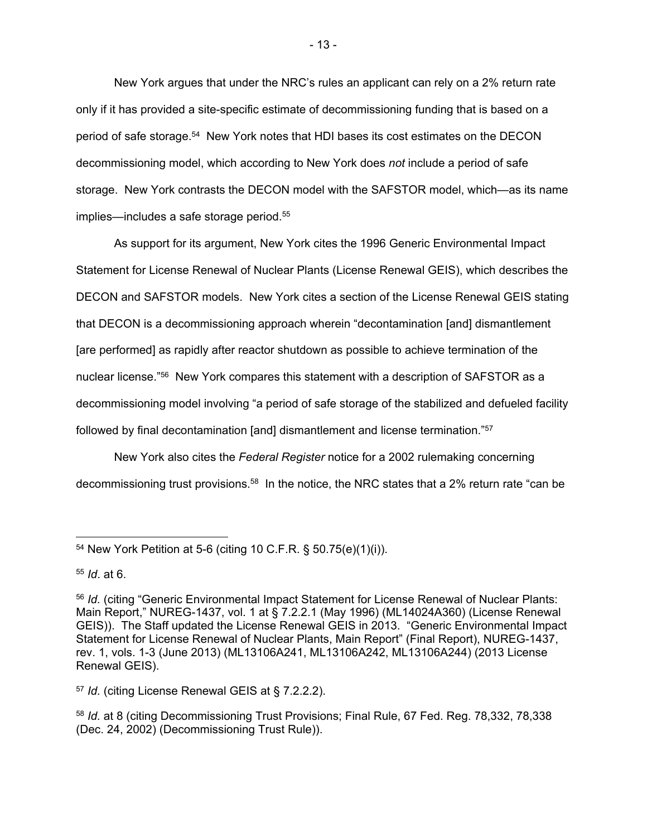New York argues that under the NRC's rules an applicant can rely on a 2% return rate only if it has provided a site-specific estimate of decommissioning funding that is based on a period of safe storage.54 New York notes that HDI bases its cost estimates on the DECON decommissioning model, which according to New York does *not* include a period of safe storage. New York contrasts the DECON model with the SAFSTOR model, which—as its name implies—includes a safe storage period.<sup>55</sup>

As support for its argument, New York cites the 1996 Generic Environmental Impact Statement for License Renewal of Nuclear Plants (License Renewal GEIS), which describes the DECON and SAFSTOR models. New York cites a section of the License Renewal GEIS stating that DECON is a decommissioning approach wherein "decontamination [and] dismantlement [are performed] as rapidly after reactor shutdown as possible to achieve termination of the nuclear license."56 New York compares this statement with a description of SAFSTOR as a decommissioning model involving "a period of safe storage of the stabilized and defueled facility followed by final decontamination [and] dismantlement and license termination."57

New York also cites the *Federal Register* notice for a 2002 rulemaking concerning decommissioning trust provisions.<sup>58</sup> In the notice, the NRC states that a 2% return rate "can be

<sup>54</sup> New York Petition at 5-6 (citing 10 C.F.R. § 50.75(e)(1)(i)).

<sup>55</sup> *Id*. at 6.

<sup>56</sup> *Id.* (citing "Generic Environmental Impact Statement for License Renewal of Nuclear Plants: Main Report," NUREG-1437, vol. 1 at § 7.2.2.1 (May 1996) (ML14024A360) (License Renewal GEIS)). The Staff updated the License Renewal GEIS in 2013. "Generic Environmental Impact Statement for License Renewal of Nuclear Plants, Main Report" (Final Report), NUREG-1437, rev. 1, vols. 1-3 (June 2013) (ML13106A241, ML13106A242, ML13106A244) (2013 License Renewal GEIS).

<sup>57</sup> *Id.* (citing License Renewal GEIS at § 7.2.2.2).

<sup>58</sup> *Id.* at 8 (citing Decommissioning Trust Provisions; Final Rule, 67 Fed. Reg. 78,332, 78,338 (Dec. 24, 2002) (Decommissioning Trust Rule)).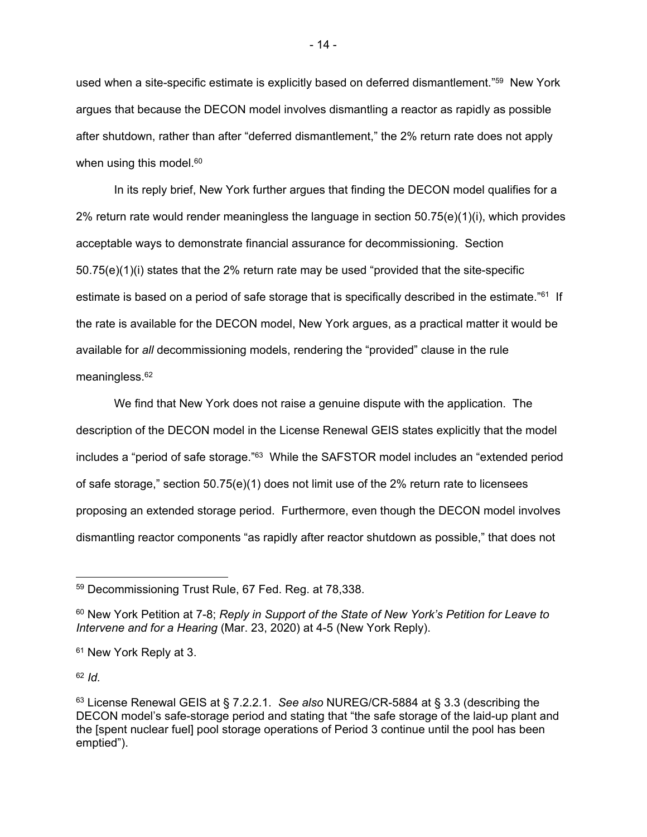used when a site-specific estimate is explicitly based on deferred dismantlement."59 New York argues that because the DECON model involves dismantling a reactor as rapidly as possible after shutdown, rather than after "deferred dismantlement," the 2% return rate does not apply when using this model.<sup>60</sup>

In its reply brief, New York further argues that finding the DECON model qualifies for a  $2\%$  return rate would render meaningless the language in section  $50.75(e)(1)(i)$ , which provides acceptable ways to demonstrate financial assurance for decommissioning. Section  $50.75(e)(1)(i)$  states that the 2% return rate may be used "provided that the site-specific estimate is based on a period of safe storage that is specifically described in the estimate."<sup>61</sup> If the rate is available for the DECON model, New York argues, as a practical matter it would be available for *all* decommissioning models, rendering the "provided" clause in the rule meaningless.<sup>62</sup>

We find that New York does not raise a genuine dispute with the application. The description of the DECON model in the License Renewal GEIS states explicitly that the model includes a "period of safe storage."63 While the SAFSTOR model includes an "extended period of safe storage," section 50.75(e)(1) does not limit use of the 2% return rate to licensees proposing an extended storage period. Furthermore, even though the DECON model involves dismantling reactor components "as rapidly after reactor shutdown as possible," that does not

<sup>62</sup> *Id.*

<sup>59</sup> Decommissioning Trust Rule, 67 Fed. Reg. at 78,338.

<sup>60</sup> New York Petition at 7-8; *Reply in Support of the State of New York's Petition for Leave to Intervene and for a Hearing* (Mar. 23, 2020) at 4-5 (New York Reply).

<sup>61</sup> New York Reply at 3.

<sup>63</sup> License Renewal GEIS at § 7.2.2.1. *See also* NUREG/CR-5884 at § 3.3 (describing the DECON model's safe-storage period and stating that "the safe storage of the laid-up plant and the [spent nuclear fuel] pool storage operations of Period 3 continue until the pool has been emptied").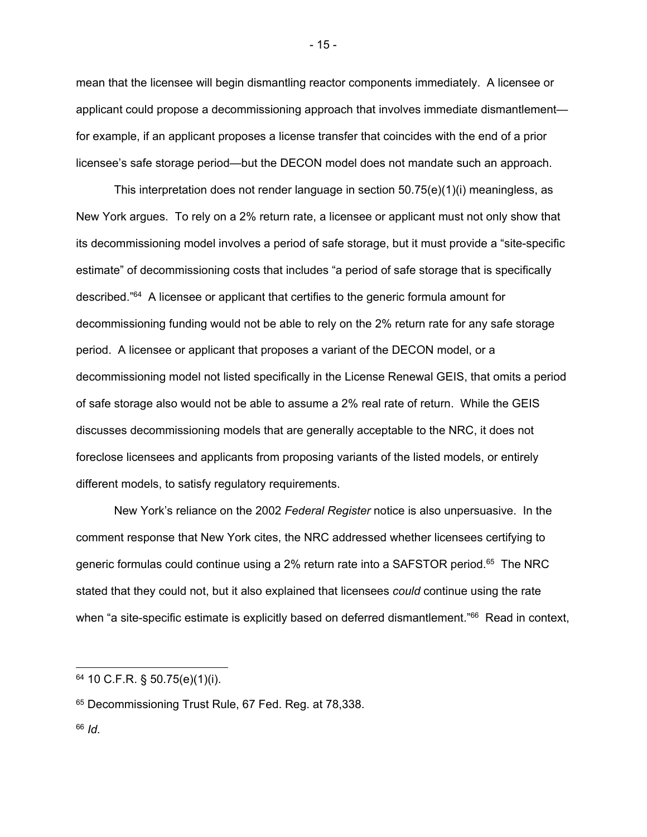mean that the licensee will begin dismantling reactor components immediately. A licensee or applicant could propose a decommissioning approach that involves immediate dismantlement for example, if an applicant proposes a license transfer that coincides with the end of a prior licensee's safe storage period—but the DECON model does not mandate such an approach.

This interpretation does not render language in section  $50.75(e)(1)(i)$  meaningless, as New York argues. To rely on a 2% return rate, a licensee or applicant must not only show that its decommissioning model involves a period of safe storage, but it must provide a "site-specific estimate" of decommissioning costs that includes "a period of safe storage that is specifically described."64 A licensee or applicant that certifies to the generic formula amount for decommissioning funding would not be able to rely on the 2% return rate for any safe storage period. A licensee or applicant that proposes a variant of the DECON model, or a decommissioning model not listed specifically in the License Renewal GEIS, that omits a period of safe storage also would not be able to assume a 2% real rate of return. While the GEIS discusses decommissioning models that are generally acceptable to the NRC, it does not foreclose licensees and applicants from proposing variants of the listed models, or entirely different models, to satisfy regulatory requirements.

New York's reliance on the 2002 *Federal Register* notice is also unpersuasive. In the comment response that New York cites, the NRC addressed whether licensees certifying to generic formulas could continue using a 2% return rate into a SAFSTOR period.<sup>65</sup> The NRC stated that they could not, but it also explained that licensees *could* continue using the rate when "a site-specific estimate is explicitly based on deferred dismantlement."<sup>66</sup> Read in context,

66 *Id.* 

- 15 -

 $64$  10 C.F.R. § 50.75(e)(1)(i).

<sup>65</sup> Decommissioning Trust Rule, 67 Fed. Reg. at 78,338.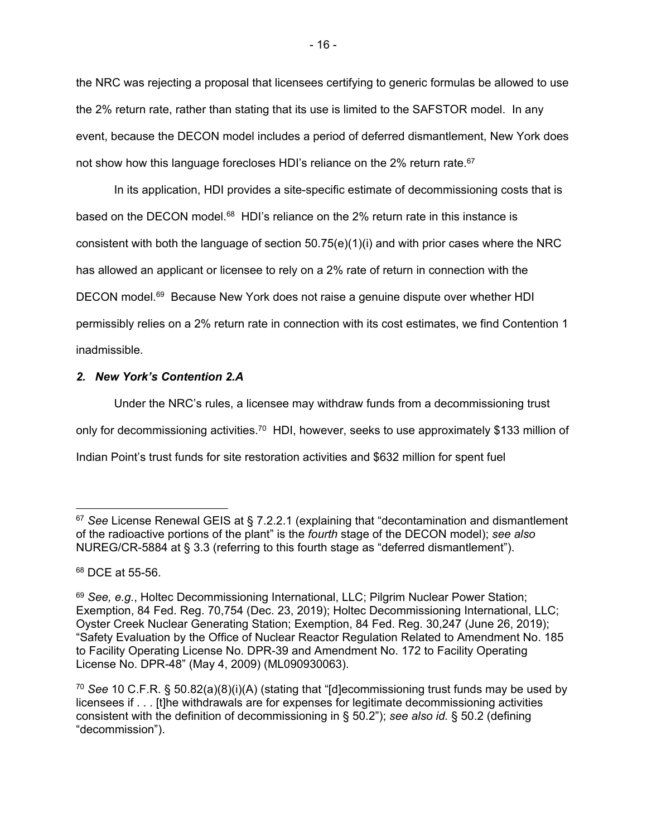the NRC was rejecting a proposal that licensees certifying to generic formulas be allowed to use the 2% return rate, rather than stating that its use is limited to the SAFSTOR model. In any event, because the DECON model includes a period of deferred dismantlement, New York does not show how this language forecloses HDI's reliance on the 2% return rate.<sup>67</sup>

In its application, HDI provides a site-specific estimate of decommissioning costs that is based on the DECON model.<sup>68</sup> HDI's reliance on the 2% return rate in this instance is consistent with both the language of section 50.75(e)(1)(i) and with prior cases where the NRC has allowed an applicant or licensee to rely on a 2% rate of return in connection with the DECON model.69 Because New York does not raise a genuine dispute over whether HDI permissibly relies on a 2% return rate in connection with its cost estimates, we find Contention 1 inadmissible.

# *2. New York's Contention 2.A*

Under the NRC's rules, a licensee may withdraw funds from a decommissioning trust only for decommissioning activities.<sup>70</sup> HDI, however, seeks to use approximately \$133 million of Indian Point's trust funds for site restoration activities and \$632 million for spent fuel

<sup>67</sup> *See* License Renewal GEIS at § 7.2.2.1 (explaining that "decontamination and dismantlement of the radioactive portions of the plant" is the *fourth* stage of the DECON model); *see also* NUREG/CR-5884 at § 3.3 (referring to this fourth stage as "deferred dismantlement").

<sup>68</sup> DCE at 55-56.

<sup>69</sup> *See, e.g.*, Holtec Decommissioning International, LLC; Pilgrim Nuclear Power Station; Exemption, 84 Fed. Reg. 70,754 (Dec. 23, 2019); Holtec Decommissioning International, LLC; Oyster Creek Nuclear Generating Station; Exemption, 84 Fed. Reg. 30,247 (June 26, 2019); "Safety Evaluation by the Office of Nuclear Reactor Regulation Related to Amendment No. 185 to Facility Operating License No. DPR-39 and Amendment No. 172 to Facility Operating License No. DPR-48" (May 4, 2009) (ML090930063).

<sup>70</sup> *See* 10 C.F.R. § 50.82(a)(8)(i)(A) (stating that "[d]ecommissioning trust funds may be used by licensees if . . . [t]he withdrawals are for expenses for legitimate decommissioning activities consistent with the definition of decommissioning in § 50.2"); *see also id.* § 50.2 (defining "decommission").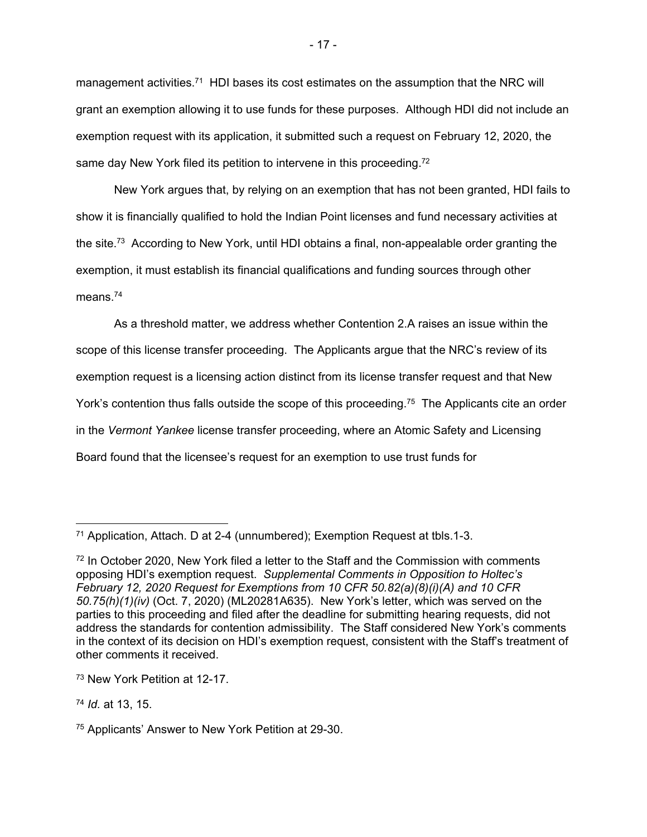management activities.<sup>71</sup> HDI bases its cost estimates on the assumption that the NRC will grant an exemption allowing it to use funds for these purposes. Although HDI did not include an exemption request with its application, it submitted such a request on February 12, 2020, the same day New York filed its petition to intervene in this proceeding.<sup>72</sup>

New York argues that, by relying on an exemption that has not been granted, HDI fails to show it is financially qualified to hold the Indian Point licenses and fund necessary activities at the site.73 According to New York, until HDI obtains a final, non-appealable order granting the exemption, it must establish its financial qualifications and funding sources through other means.74

As a threshold matter, we address whether Contention 2.A raises an issue within the scope of this license transfer proceeding. The Applicants argue that the NRC's review of its exemption request is a licensing action distinct from its license transfer request and that New York's contention thus falls outside the scope of this proceeding.<sup>75</sup> The Applicants cite an order in the *Vermont Yankee* license transfer proceeding, where an Atomic Safety and Licensing Board found that the licensee's request for an exemption to use trust funds for

<sup>71</sup> Application, Attach. D at 2-4 (unnumbered); Exemption Request at tbls.1-3.

 $72$  In October 2020, New York filed a letter to the Staff and the Commission with comments opposing HDI's exemption request. *Supplemental Comments in Opposition to Holtec's February 12, 2020 Request for Exemptions from 10 CFR 50.82(a)(8)(i)(A) and 10 CFR 50.75(h)(1)(iv)* (Oct. 7, 2020) (ML20281A635). New York's letter, which was served on the parties to this proceeding and filed after the deadline for submitting hearing requests, did not address the standards for contention admissibility. The Staff considered New York's comments in the context of its decision on HDI's exemption request, consistent with the Staff's treatment of other comments it received.

<sup>73</sup> New York Petition at 12-17.

<sup>74</sup> *Id.* at 13, 15.

<sup>75</sup> Applicants' Answer to New York Petition at 29-30.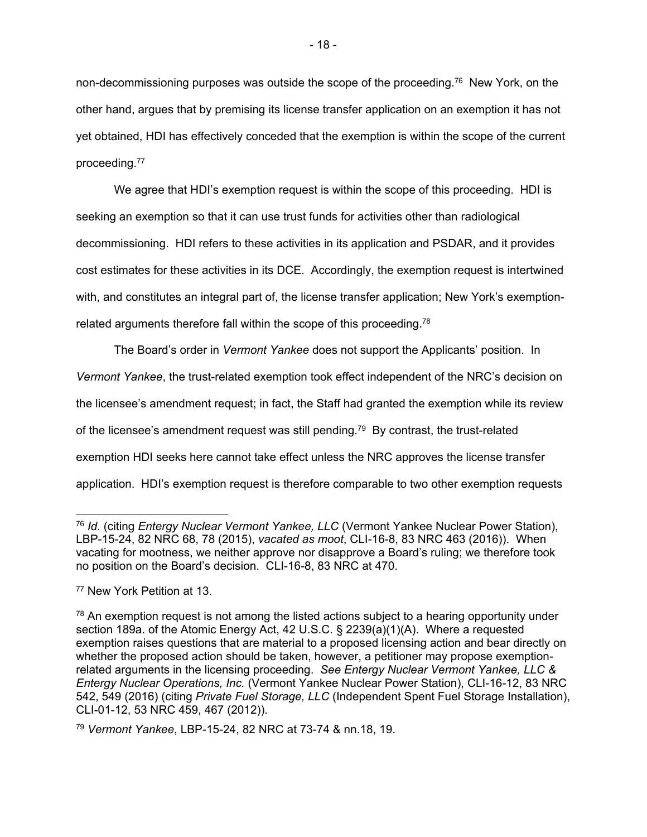non-decommissioning purposes was outside the scope of the proceeding.<sup>76</sup> New York, on the other hand, argues that by premising its license transfer application on an exemption it has not yet obtained, HDI has effectively conceded that the exemption is within the scope of the current proceeding.77

We agree that HDI's exemption request is within the scope of this proceeding. HDI is seeking an exemption so that it can use trust funds for activities other than radiological decommissioning. HDI refers to these activities in its application and PSDAR, and it provides cost estimates for these activities in its DCE. Accordingly, the exemption request is intertwined with, and constitutes an integral part of, the license transfer application; New York's exemptionrelated arguments therefore fall within the scope of this proceeding.<sup>78</sup>

The Board's order in *Vermont Yankee* does not support the Applicants' position. In *Vermont Yankee*, the trust-related exemption took effect independent of the NRC's decision on the licensee's amendment request; in fact, the Staff had granted the exemption while its review of the licensee's amendment request was still pending.<sup>79</sup> By contrast, the trust-related exemption HDI seeks here cannot take effect unless the NRC approves the license transfer application. HDI's exemption request is therefore comparable to two other exemption requests

<sup>76</sup> *Id.* (citing *Entergy Nuclear Vermont Yankee, LLC* (Vermont Yankee Nuclear Power Station), LBP-15-24, 82 NRC 68, 78 (2015), *vacated as moot*, CLI-16-8, 83 NRC 463 (2016)). When vacating for mootness, we neither approve nor disapprove a Board's ruling; we therefore took no position on the Board's decision. CLI-16-8, 83 NRC at 470.

<sup>77</sup> New York Petition at 13.

 $78$  An exemption request is not among the listed actions subject to a hearing opportunity under section 189a. of the Atomic Energy Act, 42 U.S.C. § 2239(a)(1)(A). Where a requested exemption raises questions that are material to a proposed licensing action and bear directly on whether the proposed action should be taken, however, a petitioner may propose exemptionrelated arguments in the licensing proceeding. *See Entergy Nuclear Vermont Yankee, LLC & Entergy Nuclear Operations, Inc.* (Vermont Yankee Nuclear Power Station), CLI-16-12, 83 NRC 542, 549 (2016) (citing *Private Fuel Storage, LLC* (Independent Spent Fuel Storage Installation), CLI-01-12, 53 NRC 459, 467 (2012)).

<sup>79</sup> *Vermont Yankee*, LBP-15-24, 82 NRC at 73-74 & nn.18, 19.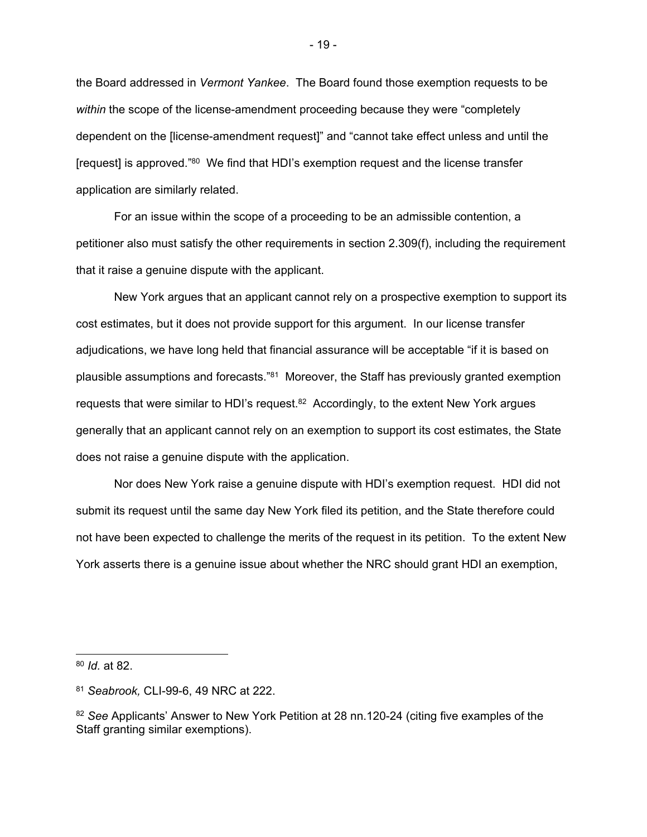the Board addressed in *Vermont Yankee*. The Board found those exemption requests to be *within* the scope of the license-amendment proceeding because they were "completely dependent on the [license-amendment request]" and "cannot take effect unless and until the [request] is approved."80 We find that HDI's exemption request and the license transfer application are similarly related.

For an issue within the scope of a proceeding to be an admissible contention, a petitioner also must satisfy the other requirements in section 2.309(f), including the requirement that it raise a genuine dispute with the applicant.

 New York argues that an applicant cannot rely on a prospective exemption to support its cost estimates, but it does not provide support for this argument. In our license transfer adjudications, we have long held that financial assurance will be acceptable "if it is based on plausible assumptions and forecasts."81 Moreover, the Staff has previously granted exemption requests that were similar to HDI's request.<sup>82</sup> Accordingly, to the extent New York argues generally that an applicant cannot rely on an exemption to support its cost estimates, the State does not raise a genuine dispute with the application.

 Nor does New York raise a genuine dispute with HDI's exemption request. HDI did not submit its request until the same day New York filed its petition, and the State therefore could not have been expected to challenge the merits of the request in its petition. To the extent New York asserts there is a genuine issue about whether the NRC should grant HDI an exemption,

<sup>80</sup> *Id.* at 82.

<sup>81</sup> *Seabrook,* CLI-99-6, 49 NRC at 222.

<sup>82</sup> *See* Applicants' Answer to New York Petition at 28 nn.120-24 (citing five examples of the Staff granting similar exemptions).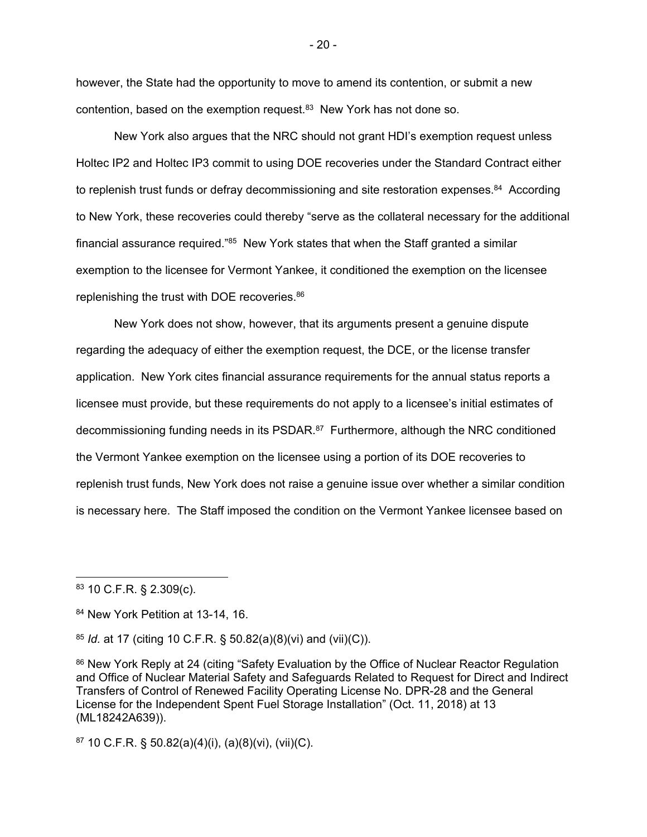however, the State had the opportunity to move to amend its contention, or submit a new contention, based on the exemption request.<sup>83</sup> New York has not done so.

New York also argues that the NRC should not grant HDI's exemption request unless Holtec IP2 and Holtec IP3 commit to using DOE recoveries under the Standard Contract either to replenish trust funds or defray decommissioning and site restoration expenses.<sup>84</sup> According to New York, these recoveries could thereby "serve as the collateral necessary for the additional financial assurance required."85 New York states that when the Staff granted a similar exemption to the licensee for Vermont Yankee, it conditioned the exemption on the licensee replenishing the trust with DOE recoveries.<sup>86</sup>

New York does not show, however, that its arguments present a genuine dispute regarding the adequacy of either the exemption request, the DCE, or the license transfer application. New York cites financial assurance requirements for the annual status reports a licensee must provide, but these requirements do not apply to a licensee's initial estimates of decommissioning funding needs in its PSDAR.87 Furthermore, although the NRC conditioned the Vermont Yankee exemption on the licensee using a portion of its DOE recoveries to replenish trust funds, New York does not raise a genuine issue over whether a similar condition is necessary here. The Staff imposed the condition on the Vermont Yankee licensee based on

- 20 -

<sup>83 10</sup> C.F.R. § 2.309(c).

<sup>84</sup> New York Petition at 13-14, 16.

<sup>85</sup> *Id.* at 17 (citing 10 C.F.R. § 50.82(a)(8)(vi) and (vii)(C)).

<sup>86</sup> New York Reply at 24 (citing "Safety Evaluation by the Office of Nuclear Reactor Regulation and Office of Nuclear Material Safety and Safeguards Related to Request for Direct and Indirect Transfers of Control of Renewed Facility Operating License No. DPR-28 and the General License for the Independent Spent Fuel Storage Installation" (Oct. 11, 2018) at 13 (ML18242A639)).

 $87$  10 C.F.R. § 50.82(a)(4)(i), (a)(8)(vi), (vii)(C).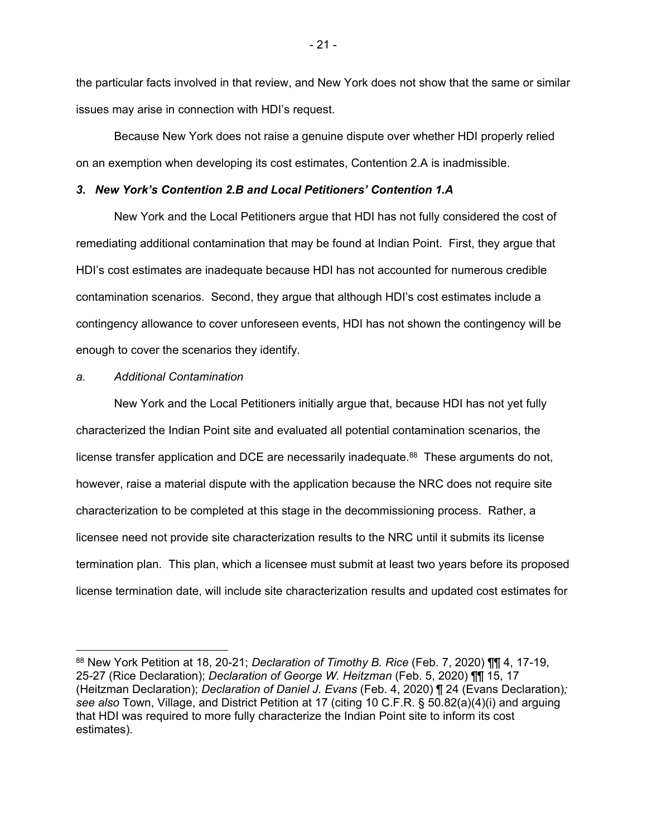the particular facts involved in that review, and New York does not show that the same or similar issues may arise in connection with HDI's request.

Because New York does not raise a genuine dispute over whether HDI properly relied on an exemption when developing its cost estimates, Contention 2.A is inadmissible.

# *3***.** *New York's Contention 2.B and Local Petitioners' Contention 1.A*

New York and the Local Petitioners argue that HDI has not fully considered the cost of remediating additional contamination that may be found at Indian Point. First, they argue that HDI's cost estimates are inadequate because HDI has not accounted for numerous credible contamination scenarios. Second, they argue that although HDI's cost estimates include a contingency allowance to cover unforeseen events, HDI has not shown the contingency will be enough to cover the scenarios they identify.

### *a. Additional Contamination*

New York and the Local Petitioners initially argue that, because HDI has not yet fully characterized the Indian Point site and evaluated all potential contamination scenarios, the license transfer application and DCE are necessarily inadequate.<sup>88</sup> These arguments do not, however, raise a material dispute with the application because the NRC does not require site characterization to be completed at this stage in the decommissioning process. Rather, a licensee need not provide site characterization results to the NRC until it submits its license termination plan. This plan, which a licensee must submit at least two years before its proposed license termination date, will include site characterization results and updated cost estimates for

<sup>88</sup> New York Petition at 18, 20-21; *Declaration of Timothy B. Rice* (Feb. 7, 2020) ¶¶ 4, 17-19, 25-27 (Rice Declaration); *Declaration of George W. Heitzman* (Feb. 5, 2020) ¶¶ 15, 17 (Heitzman Declaration); *Declaration of Daniel J. Evans* (Feb. 4, 2020) ¶ 24 (Evans Declaration)*; see also* Town, Village, and District Petition at 17 (citing 10 C.F.R. § 50.82(a)(4)(i) and arguing that HDI was required to more fully characterize the Indian Point site to inform its cost estimates).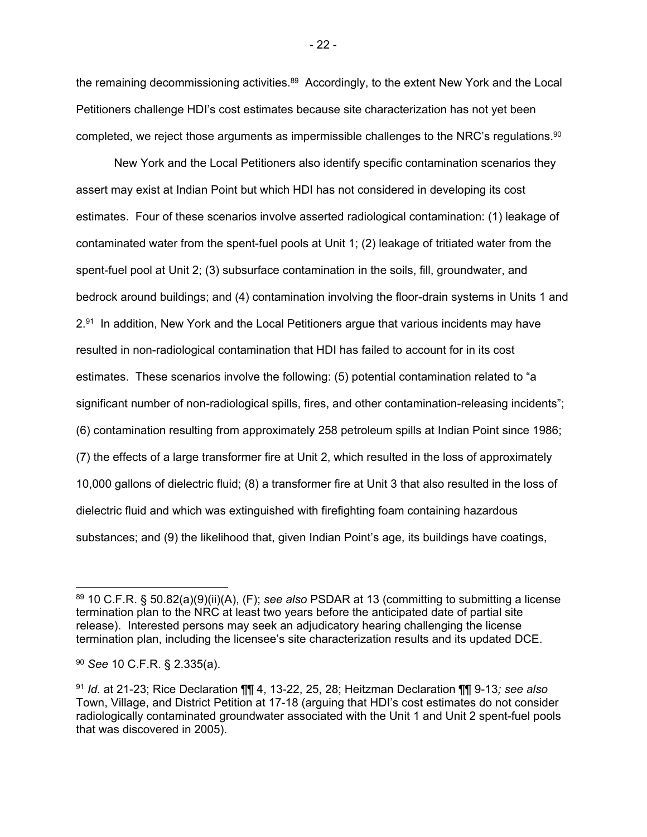the remaining decommissioning activities. $89$  Accordingly, to the extent New York and the Local Petitioners challenge HDI's cost estimates because site characterization has not yet been completed, we reject those arguments as impermissible challenges to the NRC's regulations.<sup>90</sup>

New York and the Local Petitioners also identify specific contamination scenarios they assert may exist at Indian Point but which HDI has not considered in developing its cost estimates. Four of these scenarios involve asserted radiological contamination: (1) leakage of contaminated water from the spent-fuel pools at Unit 1; (2) leakage of tritiated water from the spent-fuel pool at Unit 2; (3) subsurface contamination in the soils, fill, groundwater, and bedrock around buildings; and (4) contamination involving the floor-drain systems in Units 1 and  $2.91$  In addition, New York and the Local Petitioners argue that various incidents may have resulted in non-radiological contamination that HDI has failed to account for in its cost estimates. These scenarios involve the following: (5) potential contamination related to "a significant number of non-radiological spills, fires, and other contamination-releasing incidents"; (6) contamination resulting from approximately 258 petroleum spills at Indian Point since 1986; (7) the effects of a large transformer fire at Unit 2, which resulted in the loss of approximately 10,000 gallons of dielectric fluid; (8) a transformer fire at Unit 3 that also resulted in the loss of dielectric fluid and which was extinguished with firefighting foam containing hazardous substances; and (9) the likelihood that, given Indian Point's age, its buildings have coatings,

- 22 -

<sup>89 10</sup> C.F.R. § 50.82(a)(9)(ii)(A), (F); *see also* PSDAR at 13 (committing to submitting a license termination plan to the NRC at least two years before the anticipated date of partial site release). Interested persons may seek an adjudicatory hearing challenging the license termination plan, including the licensee's site characterization results and its updated DCE.

<sup>90</sup> *See* 10 C.F.R. § 2.335(a).

<sup>91</sup> *Id.* at 21-23; Rice Declaration ¶¶ 4, 13-22, 25, 28; Heitzman Declaration ¶¶ 9-13*; see also* Town, Village, and District Petition at 17-18 (arguing that HDI's cost estimates do not consider radiologically contaminated groundwater associated with the Unit 1 and Unit 2 spent-fuel pools that was discovered in 2005).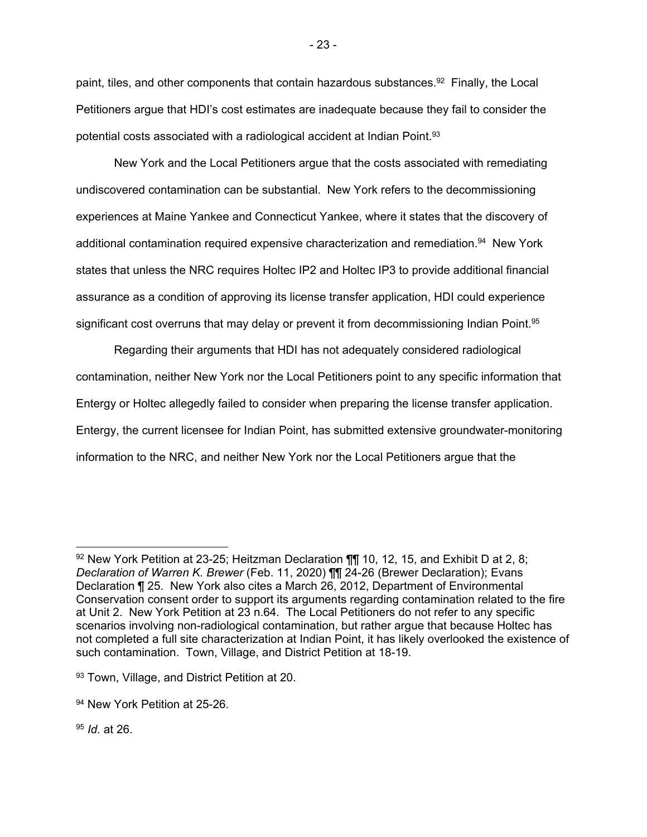paint, tiles, and other components that contain hazardous substances.<sup>92</sup> Finally, the Local Petitioners argue that HDI's cost estimates are inadequate because they fail to consider the potential costs associated with a radiological accident at Indian Point.93

New York and the Local Petitioners argue that the costs associated with remediating undiscovered contamination can be substantial. New York refers to the decommissioning experiences at Maine Yankee and Connecticut Yankee, where it states that the discovery of additional contamination required expensive characterization and remediation.<sup>94</sup> New York states that unless the NRC requires Holtec IP2 and Holtec IP3 to provide additional financial assurance as a condition of approving its license transfer application, HDI could experience significant cost overruns that may delay or prevent it from decommissioning Indian Point.<sup>95</sup>

Regarding their arguments that HDI has not adequately considered radiological contamination, neither New York nor the Local Petitioners point to any specific information that Entergy or Holtec allegedly failed to consider when preparing the license transfer application. Entergy, the current licensee for Indian Point, has submitted extensive groundwater-monitoring information to the NRC, and neither New York nor the Local Petitioners argue that the

<sup>95</sup> *Id.* at 26.

- 23 -

 $92$  New York Petition at 23-25; Heitzman Declaration  $\P\P$  10, 12, 15, and Exhibit D at 2, 8; *Declaration of Warren K. Brewer* (Feb. 11, 2020) ¶¶ 24-26 (Brewer Declaration); Evans Declaration ¶ 25. New York also cites a March 26, 2012, Department of Environmental Conservation consent order to support its arguments regarding contamination related to the fire at Unit 2. New York Petition at 23 n.64. The Local Petitioners do not refer to any specific scenarios involving non-radiological contamination, but rather argue that because Holtec has not completed a full site characterization at Indian Point, it has likely overlooked the existence of such contamination. Town, Village, and District Petition at 18-19.

<sup>93</sup> Town, Village, and District Petition at 20.

<sup>&</sup>lt;sup>94</sup> New York Petition at 25-26.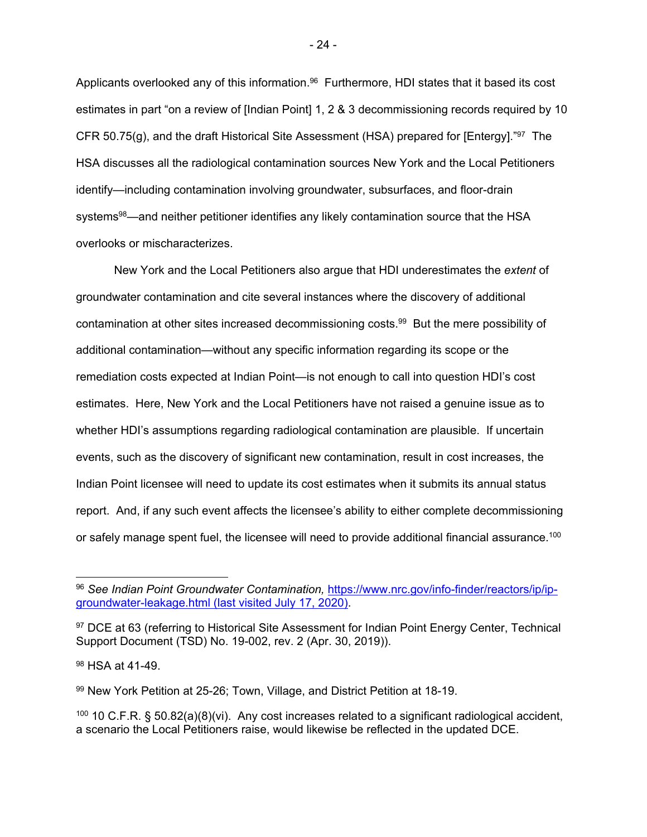Applicants overlooked any of this information.<sup>96</sup> Furthermore, HDI states that it based its cost estimates in part "on a review of [Indian Point] 1, 2 & 3 decommissioning records required by 10 CFR 50.75(g), and the draft Historical Site Assessment (HSA) prepared for [Entergy]. $\frac{97}{1}$  The HSA discusses all the radiological contamination sources New York and the Local Petitioners identify—including contamination involving groundwater, subsurfaces, and floor-drain systems<sup>98</sup>—and neither petitioner identifies any likely contamination source that the HSA overlooks or mischaracterizes.

New York and the Local Petitioners also argue that HDI underestimates the *extent* of groundwater contamination and cite several instances where the discovery of additional contamination at other sites increased decommissioning costs.<sup>99</sup> But the mere possibility of additional contamination—without any specific information regarding its scope or the remediation costs expected at Indian Point—is not enough to call into question HDI's cost estimates. Here, New York and the Local Petitioners have not raised a genuine issue as to whether HDI's assumptions regarding radiological contamination are plausible. If uncertain events, such as the discovery of significant new contamination, result in cost increases, the Indian Point licensee will need to update its cost estimates when it submits its annual status report. And, if any such event affects the licensee's ability to either complete decommissioning or safely manage spent fuel, the licensee will need to provide additional financial assurance.<sup>100</sup>

98 HSA at 41-49.

99 New York Petition at 25-26; Town, Village, and District Petition at 18-19.

- 24 -

<sup>96</sup> *See Indian Point Groundwater Contamination,* https://www.nrc.gov/info-finder/reactors/ip/ipgroundwater-leakage.html (last visited July 17, 2020).

<sup>97</sup> DCE at 63 (referring to Historical Site Assessment for Indian Point Energy Center, Technical Support Document (TSD) No. 19-002, rev. 2 (Apr. 30, 2019)).

 $100$  10 C.F.R. § 50.82(a)(8)(vi). Any cost increases related to a significant radiological accident, a scenario the Local Petitioners raise, would likewise be reflected in the updated DCE.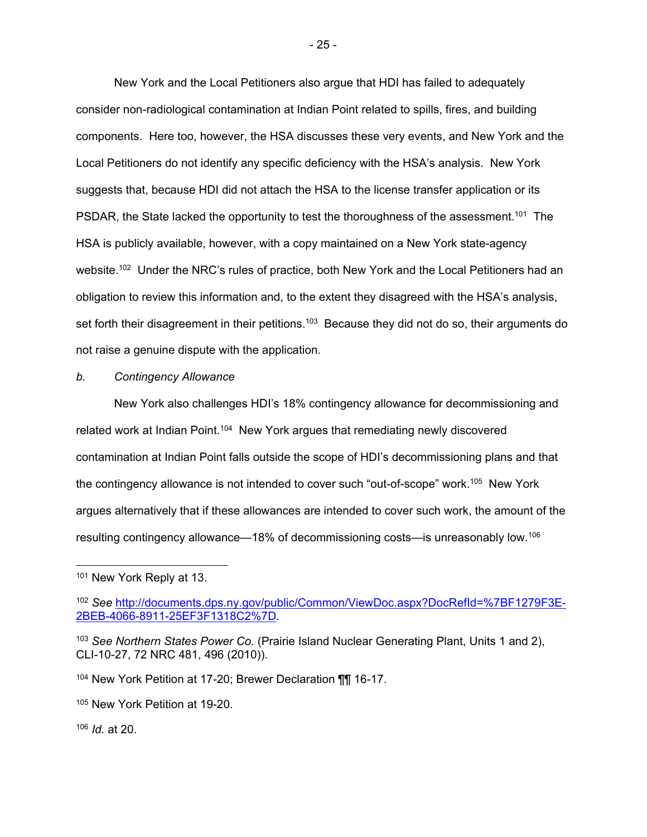New York and the Local Petitioners also argue that HDI has failed to adequately consider non-radiological contamination at Indian Point related to spills, fires, and building components. Here too, however, the HSA discusses these very events, and New York and the Local Petitioners do not identify any specific deficiency with the HSA's analysis. New York suggests that, because HDI did not attach the HSA to the license transfer application or its PSDAR, the State lacked the opportunity to test the thoroughness of the assessment.<sup>101</sup> The HSA is publicly available, however, with a copy maintained on a New York state-agency website.<sup>102</sup> Under the NRC's rules of practice, both New York and the Local Petitioners had an obligation to review this information and, to the extent they disagreed with the HSA's analysis, set forth their disagreement in their petitions.<sup>103</sup> Because they did not do so, their arguments do not raise a genuine dispute with the application.

#### *b. Contingency Allowance*

New York also challenges HDI's 18% contingency allowance for decommissioning and related work at Indian Point.<sup>104</sup> New York argues that remediating newly discovered contamination at Indian Point falls outside the scope of HDI's decommissioning plans and that the contingency allowance is not intended to cover such "out-of-scope" work.105 New York argues alternatively that if these allowances are intended to cover such work, the amount of the resulting contingency allowance—18% of decommissioning costs—is unreasonably low.106

<sup>106</sup> *Id.* at 20.

- 25 -

<sup>101</sup> New York Reply at 13.

<sup>102</sup> *See* http://documents.dps.ny.gov/public/Common/ViewDoc.aspx?DocRefId=%7BF1279F3E-2BEB-4066-8911-25EF3F1318C2%7D.

<sup>103</sup> *See Northern States Power Co.* (Prairie Island Nuclear Generating Plant, Units 1 and 2), CLI-10-27, 72 NRC 481, 496 (2010)).

<sup>&</sup>lt;sup>104</sup> New York Petition at 17-20; Brewer Declaration **[1]** 16-17.

<sup>105</sup> New York Petition at 19-20.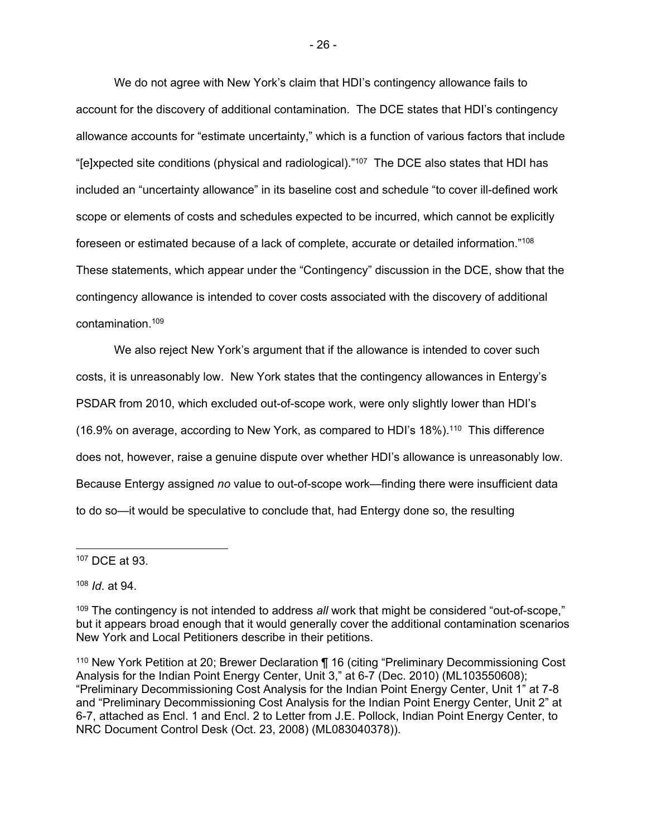We do not agree with New York's claim that HDI's contingency allowance fails to account for the discovery of additional contamination. The DCE states that HDI's contingency allowance accounts for "estimate uncertainty," which is a function of various factors that include "[e]xpected site conditions (physical and radiological)."<sup>107</sup> The DCE also states that HDI has included an "uncertainty allowance" in its baseline cost and schedule "to cover ill-defined work scope or elements of costs and schedules expected to be incurred, which cannot be explicitly foreseen or estimated because of a lack of complete, accurate or detailed information."108 These statements, which appear under the "Contingency" discussion in the DCE, show that the contingency allowance is intended to cover costs associated with the discovery of additional contamination.109

We also reject New York's argument that if the allowance is intended to cover such costs, it is unreasonably low. New York states that the contingency allowances in Entergy's PSDAR from 2010, which excluded out-of-scope work, were only slightly lower than HDI's  $(16.9\%$  on average, according to New York, as compared to HDI's 18%).<sup>110</sup> This difference does not, however, raise a genuine dispute over whether HDI's allowance is unreasonably low. Because Entergy assigned *no* value to out-of-scope work—finding there were insufficient data to do so—it would be speculative to conclude that, had Entergy done so, the resulting

<sup>108</sup> *Id*. at 94.

<sup>107</sup> DCE at 93.

<sup>109</sup> The contingency is not intended to address *all* work that might be considered "out-of-scope," but it appears broad enough that it would generally cover the additional contamination scenarios New York and Local Petitioners describe in their petitions.

<sup>&</sup>lt;sup>110</sup> New York Petition at 20; Brewer Declaration ¶ 16 (citing "Preliminary Decommissioning Cost Analysis for the Indian Point Energy Center, Unit 3," at 6-7 (Dec. 2010) (ML103550608); "Preliminary Decommissioning Cost Analysis for the Indian Point Energy Center, Unit 1" at 7-8 and "Preliminary Decommissioning Cost Analysis for the Indian Point Energy Center, Unit 2" at 6-7, attached as Encl. 1 and Encl. 2 to Letter from J.E. Pollock, Indian Point Energy Center, to NRC Document Control Desk (Oct. 23, 2008) (ML083040378)).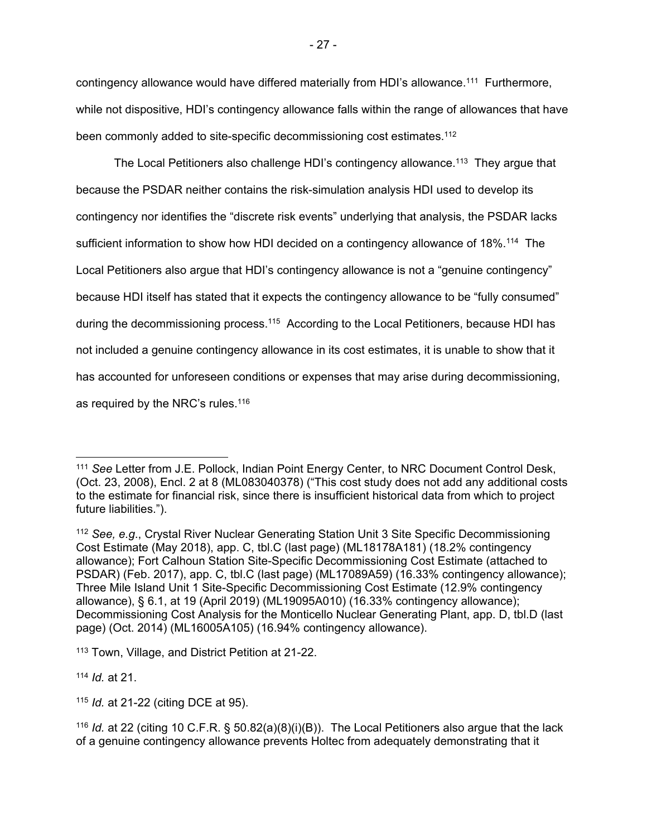contingency allowance would have differed materially from HDI's allowance.<sup>111</sup> Furthermore, while not dispositive, HDI's contingency allowance falls within the range of allowances that have been commonly added to site-specific decommissioning cost estimates.<sup>112</sup>

The Local Petitioners also challenge HDI's contingency allowance.<sup>113</sup> They argue that because the PSDAR neither contains the risk-simulation analysis HDI used to develop its contingency nor identifies the "discrete risk events" underlying that analysis, the PSDAR lacks sufficient information to show how HDI decided on a contingency allowance of 18%.<sup>114</sup> The Local Petitioners also argue that HDI's contingency allowance is not a "genuine contingency" because HDI itself has stated that it expects the contingency allowance to be "fully consumed" during the decommissioning process.<sup>115</sup> According to the Local Petitioners, because HDI has not included a genuine contingency allowance in its cost estimates, it is unable to show that it has accounted for unforeseen conditions or expenses that may arise during decommissioning, as required by the NRC's rules.<sup>116</sup>

<sup>114</sup> *Id.* at 21.

<sup>115</sup> *Id.* at 21-22 (citing DCE at 95).

<sup>111</sup> *See* Letter from J.E. Pollock, Indian Point Energy Center, to NRC Document Control Desk, (Oct. 23, 2008), Encl. 2 at 8 (ML083040378) ("This cost study does not add any additional costs to the estimate for financial risk, since there is insufficient historical data from which to project future liabilities.").

<sup>112</sup> *See, e.g*., Crystal River Nuclear Generating Station Unit 3 Site Specific Decommissioning Cost Estimate (May 2018), app. C, tbl.C (last page) (ML18178A181) (18.2% contingency allowance); Fort Calhoun Station Site-Specific Decommissioning Cost Estimate (attached to PSDAR) (Feb. 2017), app. C, tbl.C (last page) (ML17089A59) (16.33% contingency allowance); Three Mile Island Unit 1 Site-Specific Decommissioning Cost Estimate (12.9% contingency allowance), § 6.1, at 19 (April 2019) (ML19095A010) (16.33% contingency allowance); Decommissioning Cost Analysis for the Monticello Nuclear Generating Plant, app. D, tbl.D (last page) (Oct. 2014) (ML16005A105) (16.94% contingency allowance).

<sup>113</sup> Town, Village, and District Petition at 21-22.

<sup>116</sup> *Id.* at 22 (citing 10 C.F.R. § 50.82(a)(8)(i)(B)). The Local Petitioners also argue that the lack of a genuine contingency allowance prevents Holtec from adequately demonstrating that it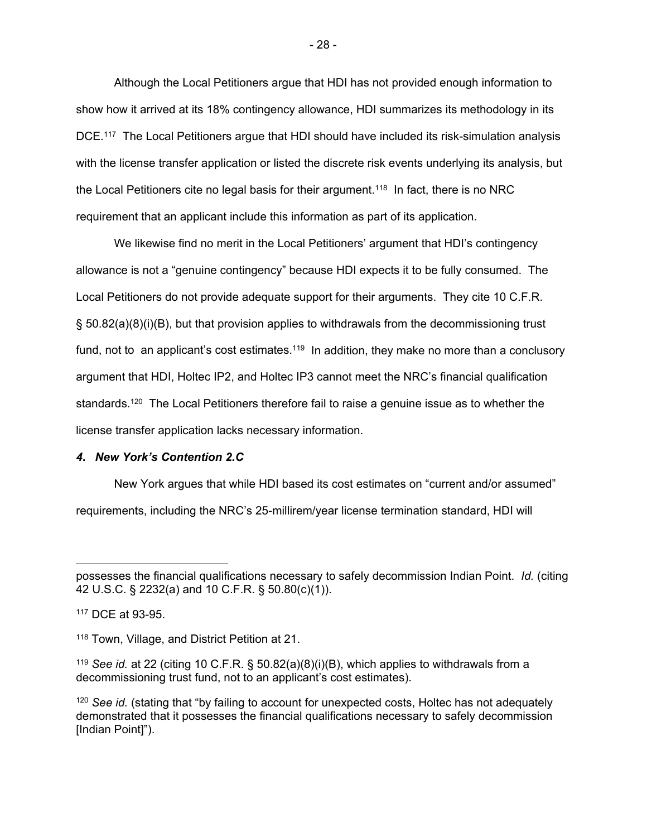Although the Local Petitioners argue that HDI has not provided enough information to show how it arrived at its 18% contingency allowance, HDI summarizes its methodology in its DCE.<sup>117</sup> The Local Petitioners argue that HDI should have included its risk-simulation analysis with the license transfer application or listed the discrete risk events underlying its analysis, but the Local Petitioners cite no legal basis for their argument.<sup>118</sup> In fact, there is no NRC requirement that an applicant include this information as part of its application.

We likewise find no merit in the Local Petitioners' argument that HDI's contingency allowance is not a "genuine contingency" because HDI expects it to be fully consumed. The Local Petitioners do not provide adequate support for their arguments. They cite 10 C.F.R. § 50.82(a)(8)(i)(B), but that provision applies to withdrawals from the decommissioning trust fund, not to an applicant's cost estimates.<sup>119</sup> In addition, they make no more than a conclusory argument that HDI, Holtec IP2, and Holtec IP3 cannot meet the NRC's financial qualification standards.<sup>120</sup> The Local Petitioners therefore fail to raise a genuine issue as to whether the license transfer application lacks necessary information.

### *4***.** *New York's Contention 2.C*

New York argues that while HDI based its cost estimates on "current and/or assumed" requirements, including the NRC's 25-millirem/year license termination standard, HDI will

possesses the financial qualifications necessary to safely decommission Indian Point. *Id.* (citing 42 U.S.C. § 2232(a) and 10 C.F.R. § 50.80(c)(1)).

<sup>117</sup> DCE at 93-95.

<sup>118</sup> Town, Village, and District Petition at 21.

<sup>119</sup> *See id.* at 22 (citing 10 C.F.R. § 50.82(a)(8)(i)(B), which applies to withdrawals from a decommissioning trust fund, not to an applicant's cost estimates).

<sup>120</sup> *See id.* (stating that "by failing to account for unexpected costs, Holtec has not adequately demonstrated that it possesses the financial qualifications necessary to safely decommission [Indian Point]").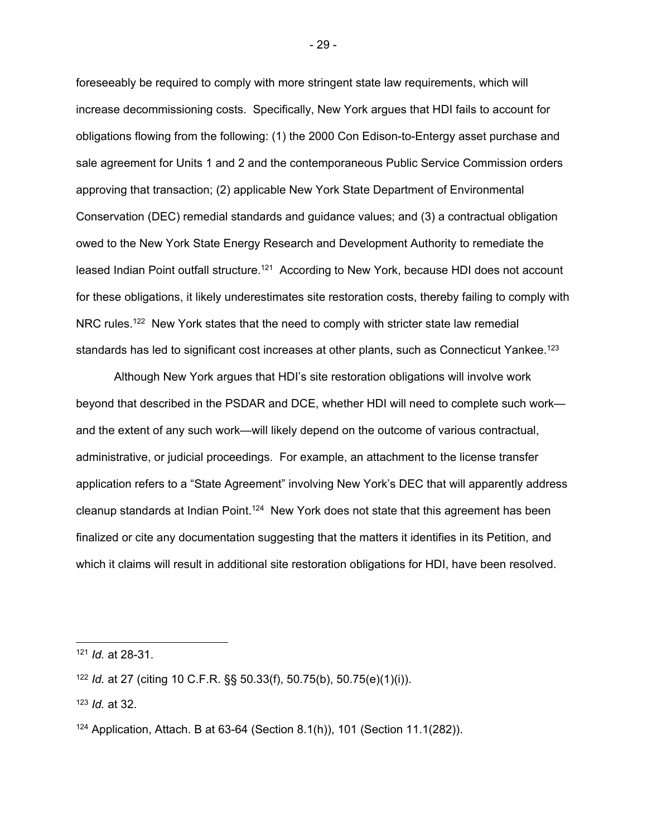foreseeably be required to comply with more stringent state law requirements, which will increase decommissioning costs. Specifically, New York argues that HDI fails to account for obligations flowing from the following: (1) the 2000 Con Edison-to-Entergy asset purchase and sale agreement for Units 1 and 2 and the contemporaneous Public Service Commission orders approving that transaction; (2) applicable New York State Department of Environmental Conservation (DEC) remedial standards and guidance values; and (3) a contractual obligation owed to the New York State Energy Research and Development Authority to remediate the leased Indian Point outfall structure.<sup>121</sup> According to New York, because HDI does not account for these obligations, it likely underestimates site restoration costs, thereby failing to comply with NRC rules.<sup>122</sup> New York states that the need to comply with stricter state law remedial standards has led to significant cost increases at other plants, such as Connecticut Yankee.<sup>123</sup>

Although New York argues that HDI's site restoration obligations will involve work beyond that described in the PSDAR and DCE, whether HDI will need to complete such work and the extent of any such work—will likely depend on the outcome of various contractual, administrative, or judicial proceedings. For example, an attachment to the license transfer application refers to a "State Agreement" involving New York's DEC that will apparently address cleanup standards at Indian Point.124 New York does not state that this agreement has been finalized or cite any documentation suggesting that the matters it identifies in its Petition, and which it claims will result in additional site restoration obligations for HDI, have been resolved.

- 29 -

<sup>121</sup> *Id.* at 28-31.

<sup>122</sup> *Id.* at 27 (citing 10 C.F.R. §§ 50.33(f), 50.75(b), 50.75(e)(1)(i)).

<sup>123</sup> *Id.* at 32.

 $124$  Application, Attach. B at 63-64 (Section 8.1(h)), 101 (Section 11.1(282)).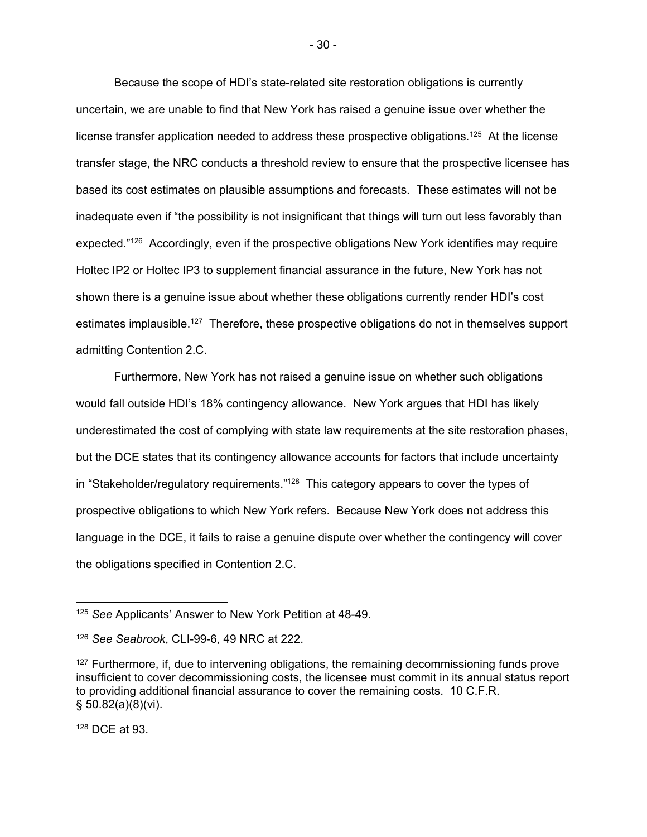Because the scope of HDI's state-related site restoration obligations is currently uncertain, we are unable to find that New York has raised a genuine issue over whether the license transfer application needed to address these prospective obligations.125 At the license transfer stage, the NRC conducts a threshold review to ensure that the prospective licensee has based its cost estimates on plausible assumptions and forecasts. These estimates will not be inadequate even if "the possibility is not insignificant that things will turn out less favorably than expected."<sup>126</sup> Accordingly, even if the prospective obligations New York identifies may require Holtec IP2 or Holtec IP3 to supplement financial assurance in the future, New York has not shown there is a genuine issue about whether these obligations currently render HDI's cost estimates implausible.<sup>127</sup> Therefore, these prospective obligations do not in themselves support admitting Contention 2.C.

Furthermore, New York has not raised a genuine issue on whether such obligations would fall outside HDI's 18% contingency allowance. New York argues that HDI has likely underestimated the cost of complying with state law requirements at the site restoration phases, but the DCE states that its contingency allowance accounts for factors that include uncertainty in "Stakeholder/regulatory requirements."<sup>128</sup> This category appears to cover the types of prospective obligations to which New York refers. Because New York does not address this language in the DCE, it fails to raise a genuine dispute over whether the contingency will cover the obligations specified in Contention 2.C.

128 DCE at 93.

<sup>125</sup> *See* Applicants' Answer to New York Petition at 48-49.

<sup>126</sup> *See Seabrook*, CLI-99-6, 49 NRC at 222.

 $127$  Furthermore, if, due to intervening obligations, the remaining decommissioning funds prove insufficient to cover decommissioning costs, the licensee must commit in its annual status report to providing additional financial assurance to cover the remaining costs. 10 C.F.R. § 50.82(a)(8)(vi).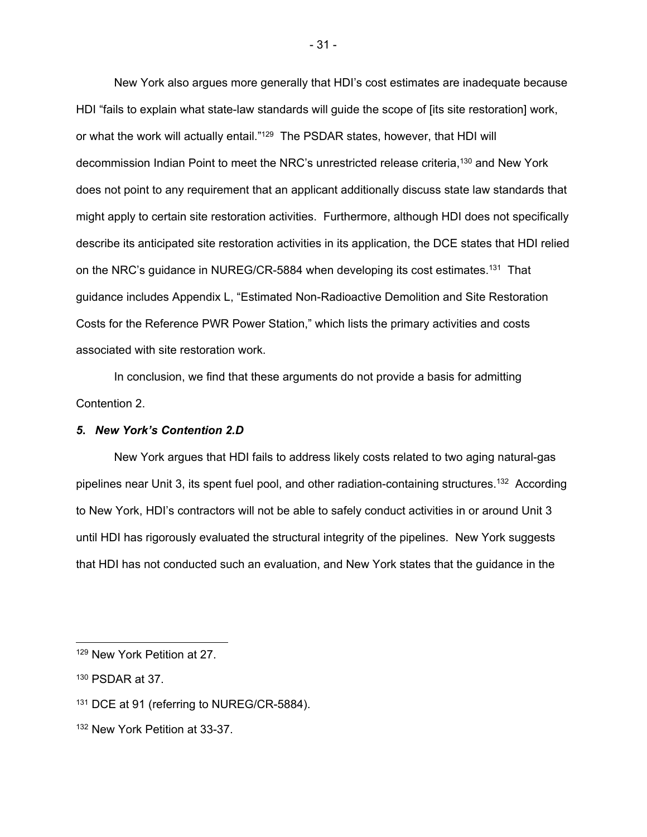New York also argues more generally that HDI's cost estimates are inadequate because HDI "fails to explain what state-law standards will guide the scope of [its site restoration] work, or what the work will actually entail."129 The PSDAR states, however, that HDI will decommission Indian Point to meet the NRC's unrestricted release criteria,130 and New York does not point to any requirement that an applicant additionally discuss state law standards that might apply to certain site restoration activities. Furthermore, although HDI does not specifically describe its anticipated site restoration activities in its application, the DCE states that HDI relied on the NRC's guidance in NUREG/CR-5884 when developing its cost estimates.<sup>131</sup> That guidance includes Appendix L, "Estimated Non-Radioactive Demolition and Site Restoration Costs for the Reference PWR Power Station," which lists the primary activities and costs associated with site restoration work.

In conclusion, we find that these arguments do not provide a basis for admitting Contention 2.

### *5***.** *New York's Contention 2.D*

New York argues that HDI fails to address likely costs related to two aging natural-gas pipelines near Unit 3, its spent fuel pool, and other radiation-containing structures.<sup>132</sup> According to New York, HDI's contractors will not be able to safely conduct activities in or around Unit 3 until HDI has rigorously evaluated the structural integrity of the pipelines. New York suggests that HDI has not conducted such an evaluation, and New York states that the guidance in the

<sup>129</sup> New York Petition at 27.

<sup>130</sup> PSDAR at 37.

<sup>&</sup>lt;sup>131</sup> DCE at 91 (referring to NUREG/CR-5884).

<sup>132</sup> New York Petition at 33-37.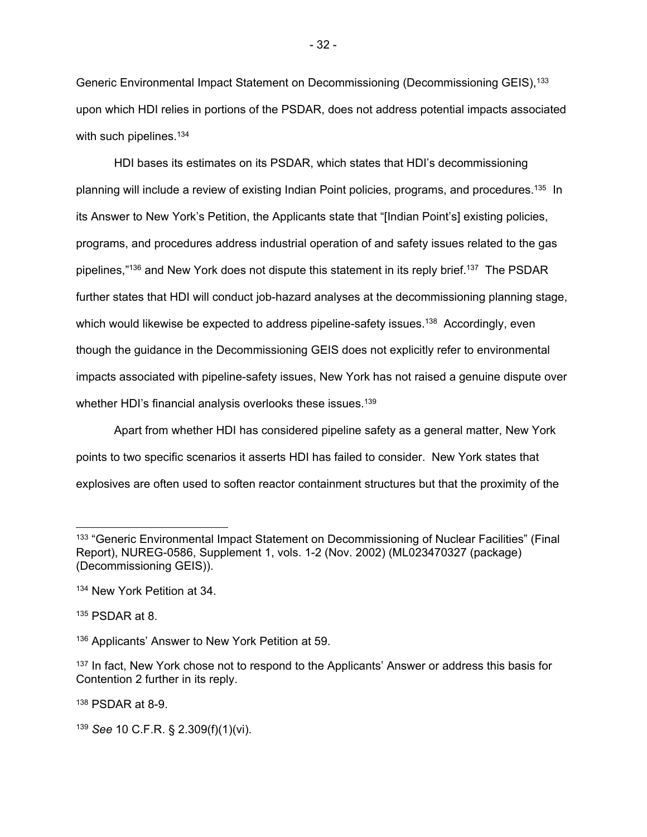Generic Environmental Impact Statement on Decommissioning (Decommissioning GEIS), 133 upon which HDI relies in portions of the PSDAR, does not address potential impacts associated with such pipelines.<sup>134</sup>

HDI bases its estimates on its PSDAR, which states that HDI's decommissioning planning will include a review of existing Indian Point policies, programs, and procedures.<sup>135</sup> In its Answer to New York's Petition, the Applicants state that "[Indian Point's] existing policies, programs, and procedures address industrial operation of and safety issues related to the gas pipelines,"<sup>136</sup> and New York does not dispute this statement in its reply brief.<sup>137</sup> The PSDAR further states that HDI will conduct job-hazard analyses at the decommissioning planning stage, which would likewise be expected to address pipeline-safety issues.<sup>138</sup> Accordingly, even though the guidance in the Decommissioning GEIS does not explicitly refer to environmental impacts associated with pipeline-safety issues, New York has not raised a genuine dispute over whether HDI's financial analysis overlooks these issues.<sup>139</sup>

Apart from whether HDI has considered pipeline safety as a general matter, New York points to two specific scenarios it asserts HDI has failed to consider. New York states that explosives are often used to soften reactor containment structures but that the proximity of the

138 PSDAR at 8-9.

<sup>139</sup> *See* 10 C.F.R. § 2.309(f)(1)(vi).

<sup>&</sup>lt;sup>133</sup> "Generic Environmental Impact Statement on Decommissioning of Nuclear Facilities" (Final Report), NUREG-0586, Supplement 1, vols. 1-2 (Nov. 2002) (ML023470327 (package) (Decommissioning GEIS)).

<sup>134</sup> New York Petition at 34.

<sup>135</sup> PSDAR at 8.

<sup>136</sup> Applicants' Answer to New York Petition at 59.

<sup>&</sup>lt;sup>137</sup> In fact, New York chose not to respond to the Applicants' Answer or address this basis for Contention 2 further in its reply.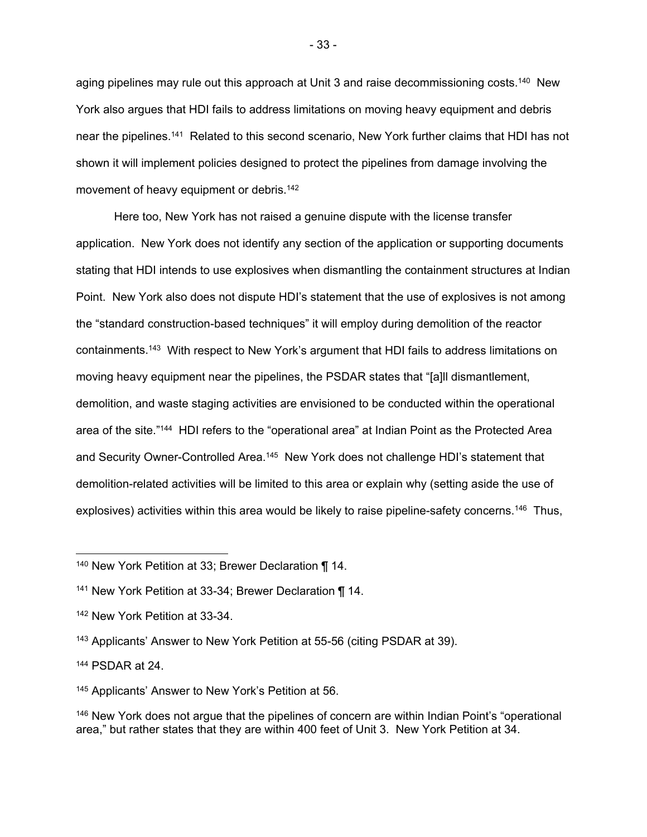aging pipelines may rule out this approach at Unit 3 and raise decommissioning costs.<sup>140</sup> New York also argues that HDI fails to address limitations on moving heavy equipment and debris near the pipelines.141 Related to this second scenario, New York further claims that HDI has not shown it will implement policies designed to protect the pipelines from damage involving the movement of heavy equipment or debris.<sup>142</sup>

Here too, New York has not raised a genuine dispute with the license transfer application. New York does not identify any section of the application or supporting documents stating that HDI intends to use explosives when dismantling the containment structures at Indian Point. New York also does not dispute HDI's statement that the use of explosives is not among the "standard construction-based techniques" it will employ during demolition of the reactor containments.143 With respect to New York's argument that HDI fails to address limitations on moving heavy equipment near the pipelines, the PSDAR states that "[a]ll dismantlement, demolition, and waste staging activities are envisioned to be conducted within the operational area of the site."144 HDI refers to the "operational area" at Indian Point as the Protected Area and Security Owner-Controlled Area.<sup>145</sup> New York does not challenge HDI's statement that demolition-related activities will be limited to this area or explain why (setting aside the use of explosives) activities within this area would be likely to raise pipeline-safety concerns.<sup>146</sup> Thus,

<sup>140</sup> New York Petition at 33; Brewer Declaration ¶ 14.

<sup>141</sup> New York Petition at 33-34; Brewer Declaration ¶ 14.

<sup>142</sup> New York Petition at 33-34.

<sup>143</sup> Applicants' Answer to New York Petition at 55-56 (citing PSDAR at 39).

<sup>144</sup> PSDAR at 24.

<sup>145</sup> Applicants' Answer to New York's Petition at 56.

<sup>&</sup>lt;sup>146</sup> New York does not argue that the pipelines of concern are within Indian Point's "operational area," but rather states that they are within 400 feet of Unit 3. New York Petition at 34.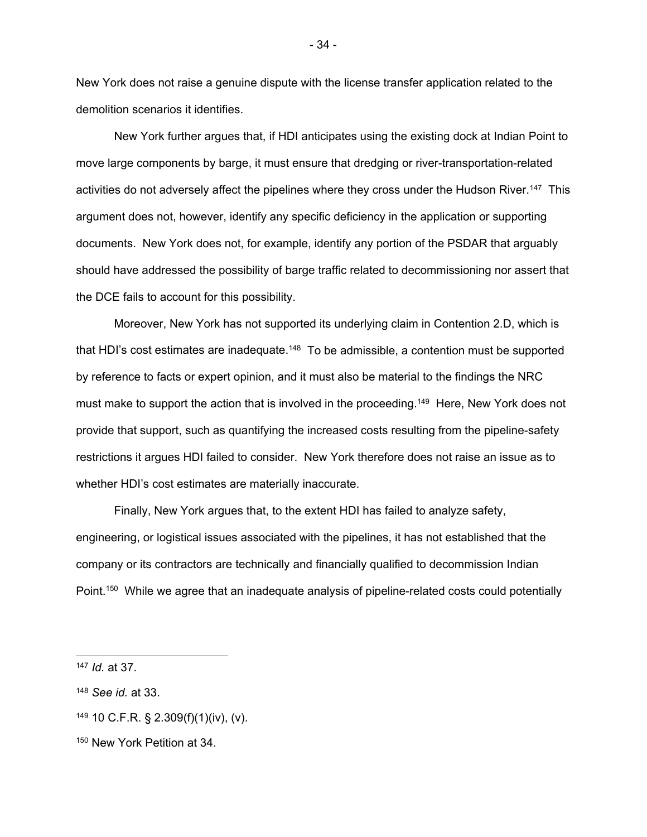New York does not raise a genuine dispute with the license transfer application related to the demolition scenarios it identifies.

New York further argues that, if HDI anticipates using the existing dock at Indian Point to move large components by barge, it must ensure that dredging or river-transportation-related activities do not adversely affect the pipelines where they cross under the Hudson River.<sup>147</sup> This argument does not, however, identify any specific deficiency in the application or supporting documents. New York does not, for example, identify any portion of the PSDAR that arguably should have addressed the possibility of barge traffic related to decommissioning nor assert that the DCE fails to account for this possibility.

Moreover, New York has not supported its underlying claim in Contention 2.D, which is that HDI's cost estimates are inadequate.<sup>148</sup> To be admissible, a contention must be supported by reference to facts or expert opinion, and it must also be material to the findings the NRC must make to support the action that is involved in the proceeding.<sup>149</sup> Here, New York does not provide that support, such as quantifying the increased costs resulting from the pipeline-safety restrictions it argues HDI failed to consider. New York therefore does not raise an issue as to whether HDI's cost estimates are materially inaccurate.

Finally, New York argues that, to the extent HDI has failed to analyze safety, engineering, or logistical issues associated with the pipelines, it has not established that the company or its contractors are technically and financially qualified to decommission Indian Point.<sup>150</sup> While we agree that an inadequate analysis of pipeline-related costs could potentially

- 34 -

<sup>147</sup> *Id.* at 37.

<sup>148</sup> *See id.* at 33.

 $149$  10 C.F.R. § 2.309(f)(1)(iv), (v).

<sup>150</sup> New York Petition at 34.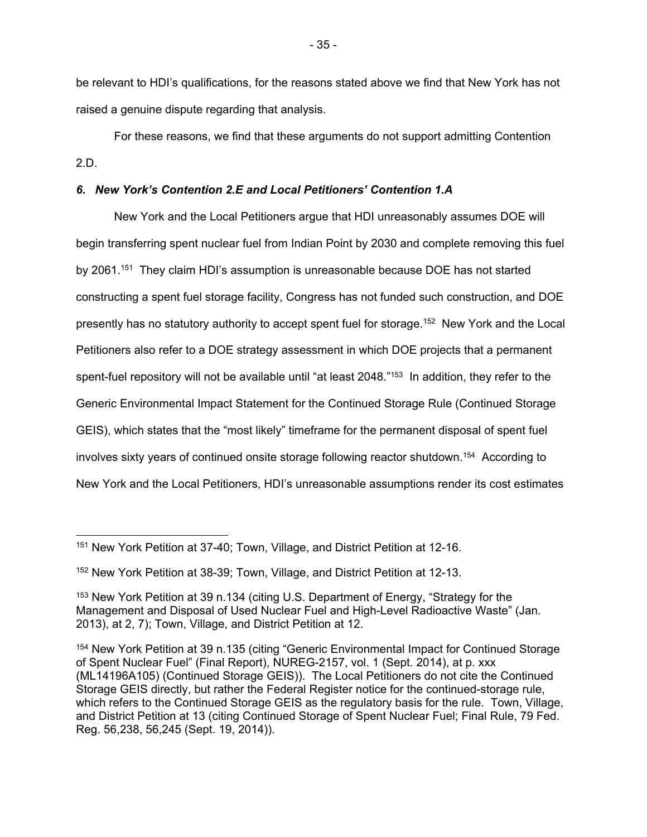be relevant to HDI's qualifications, for the reasons stated above we find that New York has not raised a genuine dispute regarding that analysis.

For these reasons, we find that these arguments do not support admitting Contention 2.D.

# *6***.** *New York's Contention 2.E and Local Petitioners' Contention 1.A*

New York and the Local Petitioners argue that HDI unreasonably assumes DOE will begin transferring spent nuclear fuel from Indian Point by 2030 and complete removing this fuel by 2061.151 They claim HDI's assumption is unreasonable because DOE has not started constructing a spent fuel storage facility, Congress has not funded such construction, and DOE presently has no statutory authority to accept spent fuel for storage.152 New York and the Local Petitioners also refer to a DOE strategy assessment in which DOE projects that a permanent spent-fuel repository will not be available until "at least 2048."<sup>153</sup> In addition, they refer to the Generic Environmental Impact Statement for the Continued Storage Rule (Continued Storage GEIS), which states that the "most likely" timeframe for the permanent disposal of spent fuel involves sixty years of continued onsite storage following reactor shutdown.154 According to New York and the Local Petitioners, HDI's unreasonable assumptions render its cost estimates

<sup>151</sup> New York Petition at 37-40; Town, Village, and District Petition at 12-16.

<sup>152</sup> New York Petition at 38-39; Town, Village, and District Petition at 12-13.

<sup>&</sup>lt;sup>153</sup> New York Petition at 39 n.134 (citing U.S. Department of Energy, "Strategy for the Management and Disposal of Used Nuclear Fuel and High-Level Radioactive Waste" (Jan. 2013), at 2, 7); Town, Village, and District Petition at 12.

<sup>154</sup> New York Petition at 39 n.135 (citing "Generic Environmental Impact for Continued Storage of Spent Nuclear Fuel" (Final Report), NUREG-2157, vol. 1 (Sept. 2014), at p. xxx (ML14196A105) (Continued Storage GEIS)). The Local Petitioners do not cite the Continued Storage GEIS directly, but rather the Federal Register notice for the continued-storage rule, which refers to the Continued Storage GEIS as the regulatory basis for the rule. Town, Village, and District Petition at 13 (citing Continued Storage of Spent Nuclear Fuel; Final Rule, 79 Fed. Reg. 56,238, 56,245 (Sept. 19, 2014)).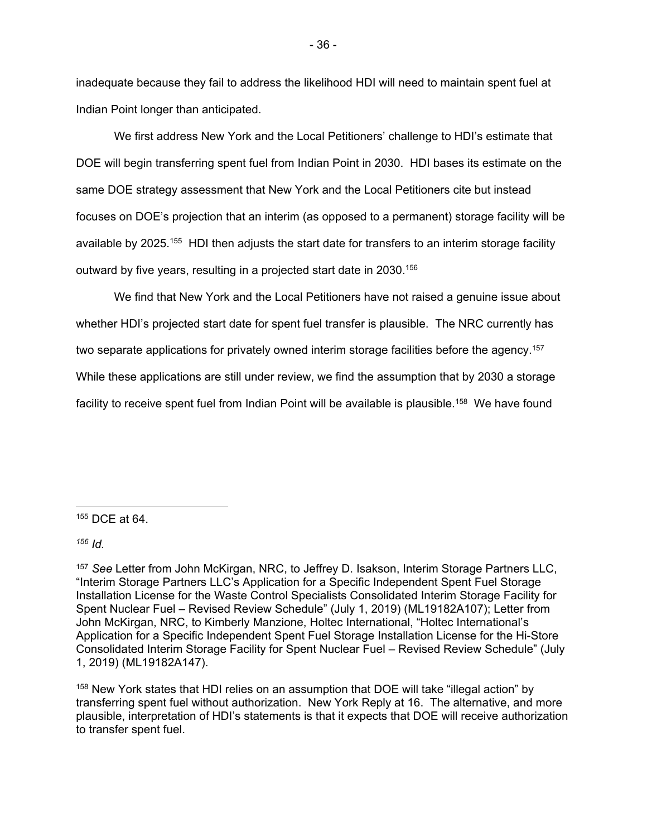inadequate because they fail to address the likelihood HDI will need to maintain spent fuel at Indian Point longer than anticipated.

We first address New York and the Local Petitioners' challenge to HDI's estimate that DOE will begin transferring spent fuel from Indian Point in 2030. HDI bases its estimate on the same DOE strategy assessment that New York and the Local Petitioners cite but instead focuses on DOE's projection that an interim (as opposed to a permanent) storage facility will be available by 2025.<sup>155</sup> HDI then adjusts the start date for transfers to an interim storage facility outward by five years, resulting in a projected start date in 2030.<sup>156</sup>

We find that New York and the Local Petitioners have not raised a genuine issue about whether HDI's projected start date for spent fuel transfer is plausible. The NRC currently has two separate applications for privately owned interim storage facilities before the agency.<sup>157</sup> While these applications are still under review, we find the assumption that by 2030 a storage facility to receive spent fuel from Indian Point will be available is plausible.<sup>158</sup> We have found

155 DCE at 64.

*156 Id.* 

<sup>158</sup> New York states that HDI relies on an assumption that DOE will take "illegal action" by transferring spent fuel without authorization. New York Reply at 16. The alternative, and more plausible, interpretation of HDI's statements is that it expects that DOE will receive authorization to transfer spent fuel.

<sup>157</sup> *See* Letter from John McKirgan, NRC, to Jeffrey D. Isakson, Interim Storage Partners LLC, "Interim Storage Partners LLC's Application for a Specific Independent Spent Fuel Storage Installation License for the Waste Control Specialists Consolidated Interim Storage Facility for Spent Nuclear Fuel – Revised Review Schedule" (July 1, 2019) (ML19182A107); Letter from John McKirgan, NRC, to Kimberly Manzione, Holtec International, "Holtec International's Application for a Specific Independent Spent Fuel Storage Installation License for the Hi-Store Consolidated Interim Storage Facility for Spent Nuclear Fuel – Revised Review Schedule" (July 1, 2019) (ML19182A147).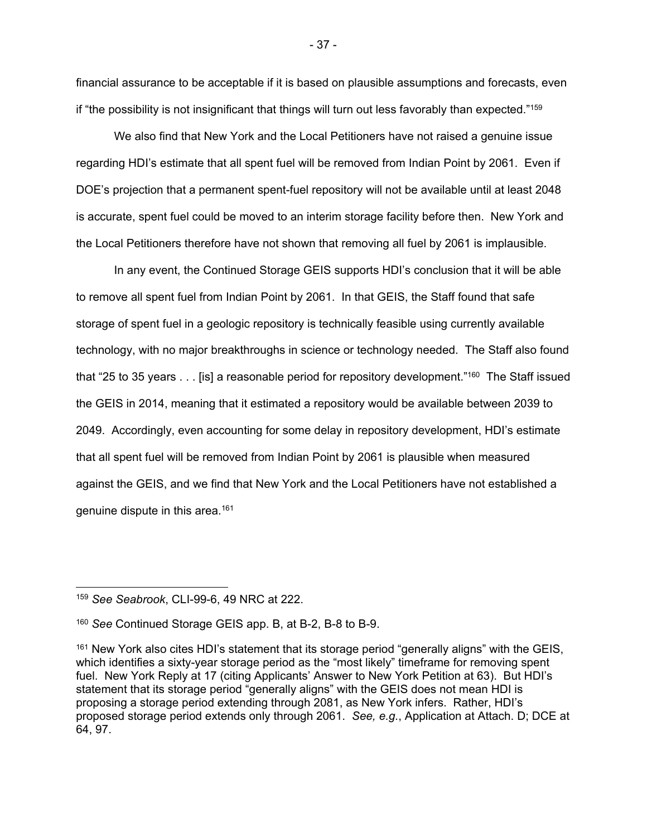financial assurance to be acceptable if it is based on plausible assumptions and forecasts, even if "the possibility is not insignificant that things will turn out less favorably than expected."159

We also find that New York and the Local Petitioners have not raised a genuine issue regarding HDI's estimate that all spent fuel will be removed from Indian Point by 2061. Even if DOE's projection that a permanent spent-fuel repository will not be available until at least 2048 is accurate, spent fuel could be moved to an interim storage facility before then. New York and the Local Petitioners therefore have not shown that removing all fuel by 2061 is implausible.

In any event, the Continued Storage GEIS supports HDI's conclusion that it will be able to remove all spent fuel from Indian Point by 2061. In that GEIS, the Staff found that safe storage of spent fuel in a geologic repository is technically feasible using currently available technology, with no major breakthroughs in science or technology needed. The Staff also found that "25 to 35 years . . . [is] a reasonable period for repository development."<sup>160</sup> The Staff issued the GEIS in 2014, meaning that it estimated a repository would be available between 2039 to 2049. Accordingly, even accounting for some delay in repository development, HDI's estimate that all spent fuel will be removed from Indian Point by 2061 is plausible when measured against the GEIS, and we find that New York and the Local Petitioners have not established a genuine dispute in this area.161

<sup>159</sup> *See Seabrook*, CLI-99-6, 49 NRC at 222.

<sup>160</sup> *See* Continued Storage GEIS app. B, at B-2, B-8 to B-9.

<sup>&</sup>lt;sup>161</sup> New York also cites HDI's statement that its storage period "generally aligns" with the GEIS, which identifies a sixty-year storage period as the "most likely" timeframe for removing spent fuel. New York Reply at 17 (citing Applicants' Answer to New York Petition at 63). But HDI's statement that its storage period "generally aligns" with the GEIS does not mean HDI is proposing a storage period extending through 2081, as New York infers. Rather, HDI's proposed storage period extends only through 2061. *See, e.g.*, Application at Attach. D; DCE at 64, 97.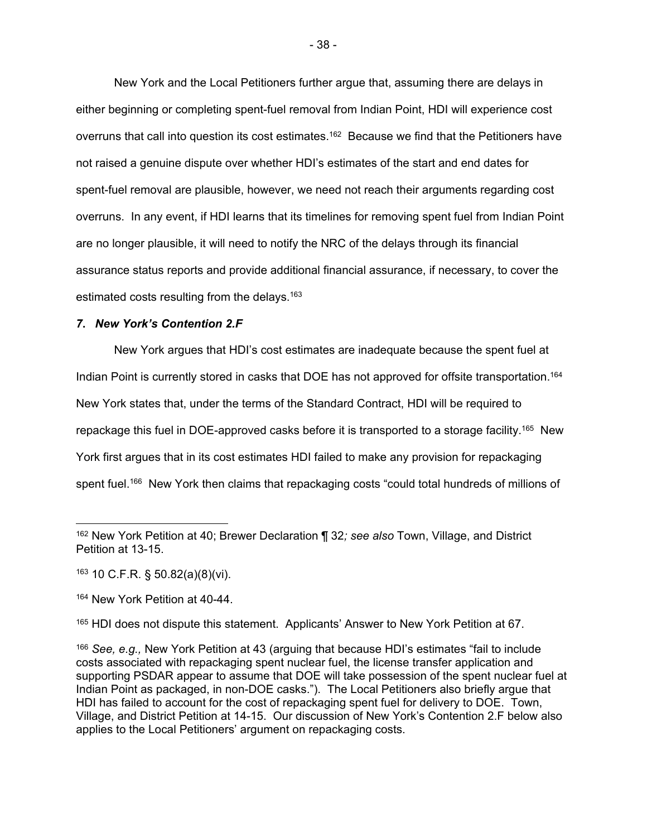New York and the Local Petitioners further argue that, assuming there are delays in either beginning or completing spent-fuel removal from Indian Point, HDI will experience cost overruns that call into question its cost estimates.<sup>162</sup> Because we find that the Petitioners have not raised a genuine dispute over whether HDI's estimates of the start and end dates for spent-fuel removal are plausible, however, we need not reach their arguments regarding cost overruns. In any event, if HDI learns that its timelines for removing spent fuel from Indian Point are no longer plausible, it will need to notify the NRC of the delays through its financial assurance status reports and provide additional financial assurance, if necessary, to cover the estimated costs resulting from the delays.163

# *7***.** *New York's Contention 2.F*

New York argues that HDI's cost estimates are inadequate because the spent fuel at Indian Point is currently stored in casks that DOE has not approved for offsite transportation.<sup>164</sup> New York states that, under the terms of the Standard Contract, HDI will be required to repackage this fuel in DOE-approved casks before it is transported to a storage facility.165 New York first argues that in its cost estimates HDI failed to make any provision for repackaging spent fuel.<sup>166</sup> New York then claims that repackaging costs "could total hundreds of millions of

<sup>162</sup> New York Petition at 40; Brewer Declaration ¶ 32*; see also* Town, Village, and District Petition at 13-15.

 $163$  10 C.F.R. § 50.82(a)(8)(vi).

<sup>164</sup> New York Petition at 40-44.

<sup>165</sup> HDI does not dispute this statement. Applicants' Answer to New York Petition at 67.

<sup>166</sup> *See, e.g.,* New York Petition at 43 (arguing that because HDI's estimates "fail to include costs associated with repackaging spent nuclear fuel, the license transfer application and supporting PSDAR appear to assume that DOE will take possession of the spent nuclear fuel at Indian Point as packaged, in non-DOE casks."). The Local Petitioners also briefly argue that HDI has failed to account for the cost of repackaging spent fuel for delivery to DOE. Town, Village, and District Petition at 14-15. Our discussion of New York's Contention 2.F below also applies to the Local Petitioners' argument on repackaging costs.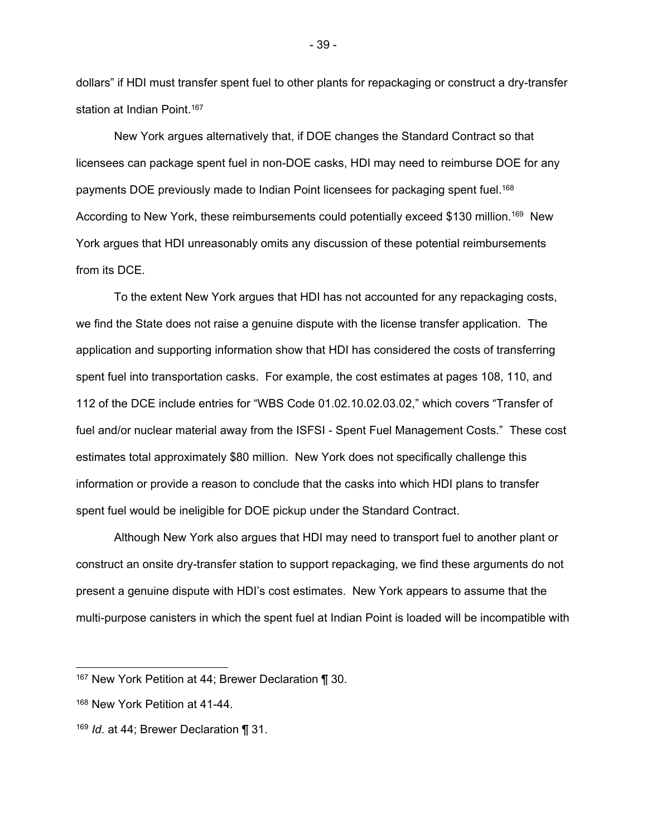dollars" if HDI must transfer spent fuel to other plants for repackaging or construct a dry-transfer station at Indian Point.<sup>167</sup>

New York argues alternatively that, if DOE changes the Standard Contract so that licensees can package spent fuel in non-DOE casks, HDI may need to reimburse DOE for any payments DOE previously made to Indian Point licensees for packaging spent fuel.168 According to New York, these reimbursements could potentially exceed \$130 million.169 New York argues that HDI unreasonably omits any discussion of these potential reimbursements from its DCE.

To the extent New York argues that HDI has not accounted for any repackaging costs, we find the State does not raise a genuine dispute with the license transfer application. The application and supporting information show that HDI has considered the costs of transferring spent fuel into transportation casks. For example, the cost estimates at pages 108, 110, and 112 of the DCE include entries for "WBS Code 01.02.10.02.03.02," which covers "Transfer of fuel and/or nuclear material away from the ISFSI - Spent Fuel Management Costs." These cost estimates total approximately \$80 million. New York does not specifically challenge this information or provide a reason to conclude that the casks into which HDI plans to transfer spent fuel would be ineligible for DOE pickup under the Standard Contract.

Although New York also argues that HDI may need to transport fuel to another plant or construct an onsite dry-transfer station to support repackaging, we find these arguments do not present a genuine dispute with HDI's cost estimates. New York appears to assume that the multi-purpose canisters in which the spent fuel at Indian Point is loaded will be incompatible with

- 39 -

<sup>167</sup> New York Petition at 44; Brewer Declaration ¶ 30.

<sup>&</sup>lt;sup>168</sup> New York Petition at 41-44.

<sup>169</sup> *Id*. at 44; Brewer Declaration ¶ 31.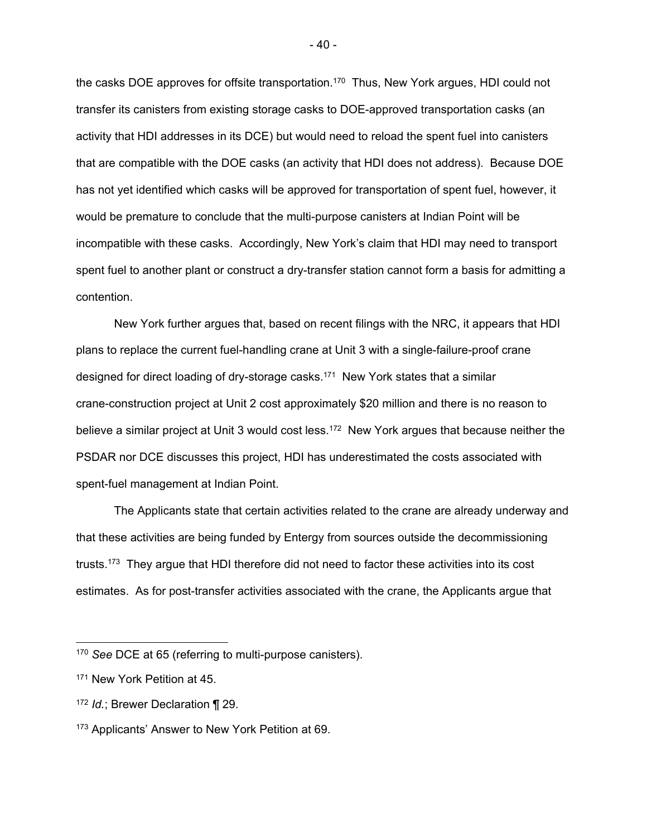the casks DOE approves for offsite transportation.<sup>170</sup> Thus, New York argues, HDI could not transfer its canisters from existing storage casks to DOE-approved transportation casks (an activity that HDI addresses in its DCE) but would need to reload the spent fuel into canisters that are compatible with the DOE casks (an activity that HDI does not address). Because DOE has not yet identified which casks will be approved for transportation of spent fuel, however, it would be premature to conclude that the multi-purpose canisters at Indian Point will be incompatible with these casks. Accordingly, New York's claim that HDI may need to transport spent fuel to another plant or construct a dry-transfer station cannot form a basis for admitting a contention.

New York further argues that, based on recent filings with the NRC, it appears that HDI plans to replace the current fuel-handling crane at Unit 3 with a single-failure-proof crane designed for direct loading of dry-storage casks.171 New York states that a similar crane-construction project at Unit 2 cost approximately \$20 million and there is no reason to believe a similar project at Unit 3 would cost less.<sup>172</sup> New York argues that because neither the PSDAR nor DCE discusses this project, HDI has underestimated the costs associated with spent-fuel management at Indian Point.

 The Applicants state that certain activities related to the crane are already underway and that these activities are being funded by Entergy from sources outside the decommissioning trusts.173 They argue that HDI therefore did not need to factor these activities into its cost estimates. As for post-transfer activities associated with the crane, the Applicants argue that

 $-40-$ 

<sup>170</sup> *See* DCE at 65 (referring to multi-purpose canisters).

<sup>171</sup> New York Petition at 45.

<sup>172</sup> *Id.*; Brewer Declaration ¶ 29.

<sup>173</sup> Applicants' Answer to New York Petition at 69.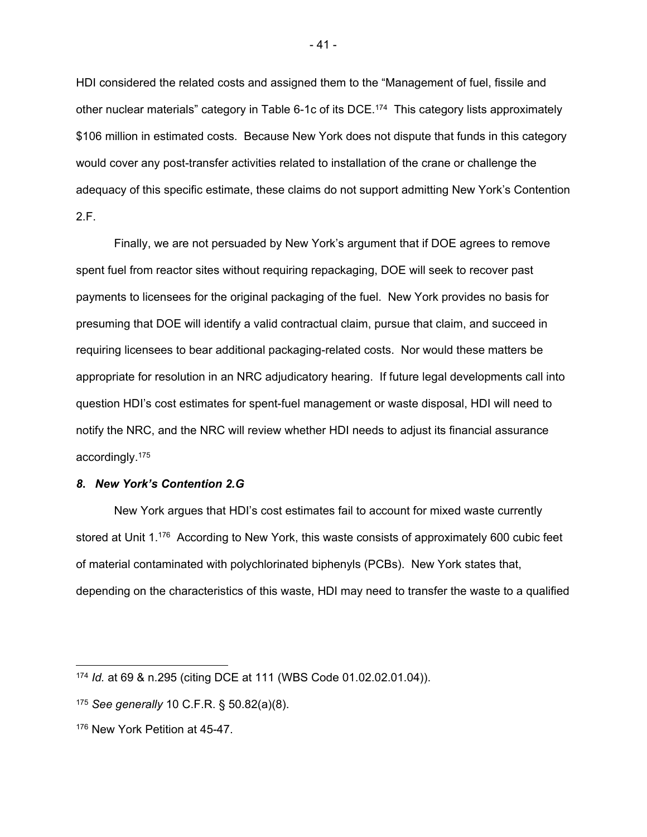HDI considered the related costs and assigned them to the "Management of fuel, fissile and other nuclear materials" category in Table 6-1c of its DCE.174 This category lists approximately \$106 million in estimated costs. Because New York does not dispute that funds in this category would cover any post-transfer activities related to installation of the crane or challenge the adequacy of this specific estimate, these claims do not support admitting New York's Contention 2.F.

Finally, we are not persuaded by New York's argument that if DOE agrees to remove spent fuel from reactor sites without requiring repackaging, DOE will seek to recover past payments to licensees for the original packaging of the fuel. New York provides no basis for presuming that DOE will identify a valid contractual claim, pursue that claim, and succeed in requiring licensees to bear additional packaging-related costs. Nor would these matters be appropriate for resolution in an NRC adjudicatory hearing. If future legal developments call into question HDI's cost estimates for spent-fuel management or waste disposal, HDI will need to notify the NRC, and the NRC will review whether HDI needs to adjust its financial assurance accordingly.175

## *8***.** *New York's Contention 2.G*

New York argues that HDI's cost estimates fail to account for mixed waste currently stored at Unit 1.176 According to New York, this waste consists of approximately 600 cubic feet of material contaminated with polychlorinated biphenyls (PCBs). New York states that, depending on the characteristics of this waste, HDI may need to transfer the waste to a qualified

- 41 -

<sup>174</sup> *Id.* at 69 & n.295 (citing DCE at 111 (WBS Code 01.02.02.01.04)).

<sup>175</sup> *See generally* 10 C.F.R. § 50.82(a)(8).

<sup>176</sup> New York Petition at 45-47.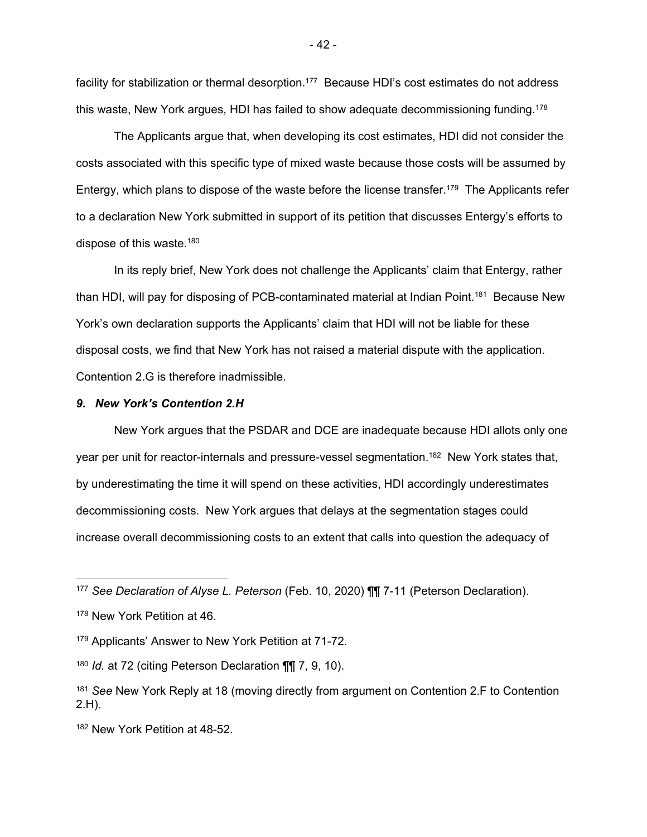facility for stabilization or thermal desorption.<sup>177</sup> Because HDI's cost estimates do not address this waste, New York argues, HDI has failed to show adequate decommissioning funding.<sup>178</sup>

The Applicants argue that, when developing its cost estimates, HDI did not consider the costs associated with this specific type of mixed waste because those costs will be assumed by Entergy, which plans to dispose of the waste before the license transfer.179 The Applicants refer to a declaration New York submitted in support of its petition that discusses Entergy's efforts to dispose of this waste.<sup>180</sup>

In its reply brief, New York does not challenge the Applicants' claim that Entergy, rather than HDI, will pay for disposing of PCB-contaminated material at Indian Point.<sup>181</sup> Because New York's own declaration supports the Applicants' claim that HDI will not be liable for these disposal costs, we find that New York has not raised a material dispute with the application. Contention 2.G is therefore inadmissible.

# *9***.** *New York's Contention 2.H*

New York argues that the PSDAR and DCE are inadequate because HDI allots only one year per unit for reactor-internals and pressure-vessel segmentation.<sup>182</sup> New York states that, by underestimating the time it will spend on these activities, HDI accordingly underestimates decommissioning costs. New York argues that delays at the segmentation stages could increase overall decommissioning costs to an extent that calls into question the adequacy of

- 42 -

<sup>177</sup> *See Declaration of Alyse L. Peterson* (Feb. 10, 2020) ¶¶ 7-11 (Peterson Declaration).

<sup>178</sup> New York Petition at 46.

<sup>179</sup> Applicants' Answer to New York Petition at 71-72.

<sup>180</sup> *Id.* at 72 (citing Peterson Declaration ¶¶ 7, 9, 10).

<sup>181</sup> *See* New York Reply at 18 (moving directly from argument on Contention 2.F to Contention 2.H).

<sup>182</sup> New York Petition at 48-52.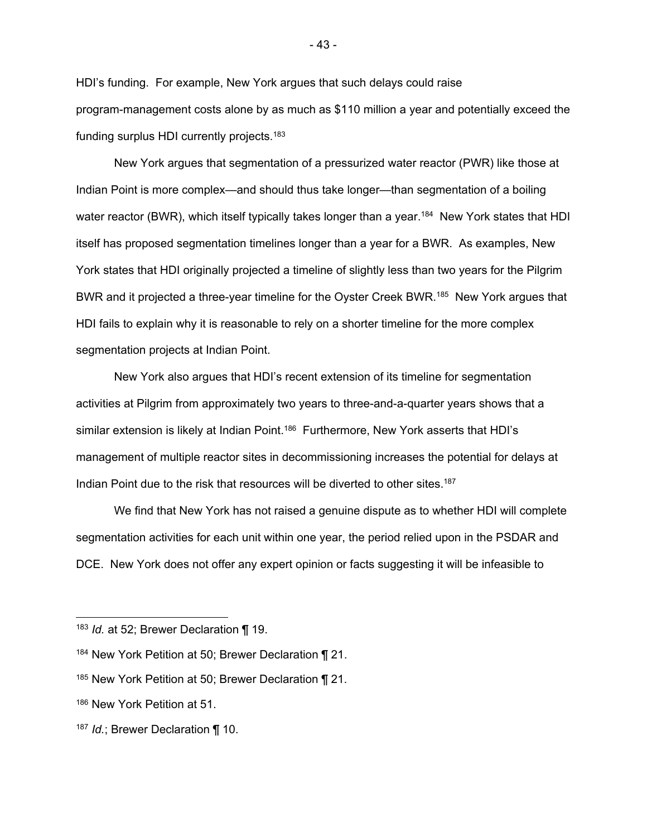HDI's funding. For example, New York argues that such delays could raise program-management costs alone by as much as \$110 million a year and potentially exceed the funding surplus HDI currently projects.<sup>183</sup>

New York argues that segmentation of a pressurized water reactor (PWR) like those at Indian Point is more complex—and should thus take longer—than segmentation of a boiling water reactor (BWR), which itself typically takes longer than a year.<sup>184</sup> New York states that HDI itself has proposed segmentation timelines longer than a year for a BWR. As examples, New York states that HDI originally projected a timeline of slightly less than two years for the Pilgrim BWR and it projected a three-year timeline for the Oyster Creek BWR.<sup>185</sup> New York argues that HDI fails to explain why it is reasonable to rely on a shorter timeline for the more complex segmentation projects at Indian Point.

New York also argues that HDI's recent extension of its timeline for segmentation activities at Pilgrim from approximately two years to three-and-a-quarter years shows that a similar extension is likely at Indian Point.<sup>186</sup> Furthermore, New York asserts that HDI's management of multiple reactor sites in decommissioning increases the potential for delays at Indian Point due to the risk that resources will be diverted to other sites.<sup>187</sup>

 We find that New York has not raised a genuine dispute as to whether HDI will complete segmentation activities for each unit within one year, the period relied upon in the PSDAR and DCE. New York does not offer any expert opinion or facts suggesting it will be infeasible to

<sup>183</sup> *Id.* at 52; Brewer Declaration ¶ 19.

<sup>&</sup>lt;sup>184</sup> New York Petition at 50; Brewer Declaration ¶ 21.

<sup>&</sup>lt;sup>185</sup> New York Petition at 50; Brewer Declaration ¶ 21.

<sup>186</sup> New York Petition at 51.

<sup>187</sup> *Id.*; Brewer Declaration ¶ 10.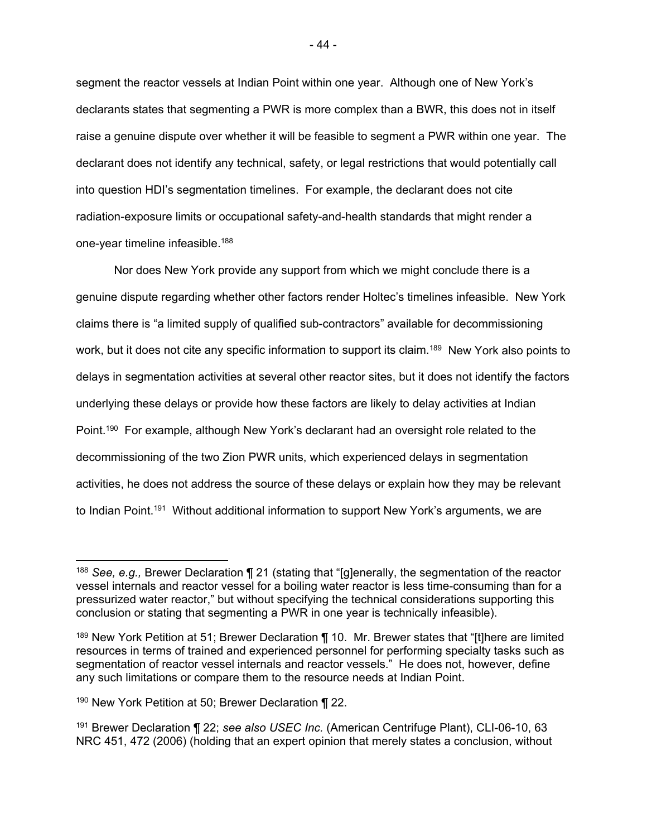segment the reactor vessels at Indian Point within one year. Although one of New York's declarants states that segmenting a PWR is more complex than a BWR, this does not in itself raise a genuine dispute over whether it will be feasible to segment a PWR within one year. The declarant does not identify any technical, safety, or legal restrictions that would potentially call into question HDI's segmentation timelines. For example, the declarant does not cite radiation-exposure limits or occupational safety-and-health standards that might render a one-year timeline infeasible.188

 Nor does New York provide any support from which we might conclude there is a genuine dispute regarding whether other factors render Holtec's timelines infeasible. New York claims there is "a limited supply of qualified sub-contractors" available for decommissioning work, but it does not cite any specific information to support its claim.<sup>189</sup> New York also points to delays in segmentation activities at several other reactor sites, but it does not identify the factors underlying these delays or provide how these factors are likely to delay activities at Indian Point.190 For example, although New York's declarant had an oversight role related to the decommissioning of the two Zion PWR units, which experienced delays in segmentation activities, he does not address the source of these delays or explain how they may be relevant to Indian Point.<sup>191</sup> Without additional information to support New York's arguments, we are

<sup>188</sup> *See, e.g.,* Brewer Declaration ¶ 21 (stating that "[g]enerally, the segmentation of the reactor vessel internals and reactor vessel for a boiling water reactor is less time-consuming than for a pressurized water reactor," but without specifying the technical considerations supporting this conclusion or stating that segmenting a PWR in one year is technically infeasible).

<sup>&</sup>lt;sup>189</sup> New York Petition at 51; Brewer Declaration  $\P$  10. Mr. Brewer states that "[t]here are limited resources in terms of trained and experienced personnel for performing specialty tasks such as segmentation of reactor vessel internals and reactor vessels." He does not, however, define any such limitations or compare them to the resource needs at Indian Point.

<sup>190</sup> New York Petition at 50; Brewer Declaration ¶ 22.

<sup>191</sup> Brewer Declaration ¶ 22; *see also USEC Inc.* (American Centrifuge Plant), CLI-06-10, 63 NRC 451, 472 (2006) (holding that an expert opinion that merely states a conclusion, without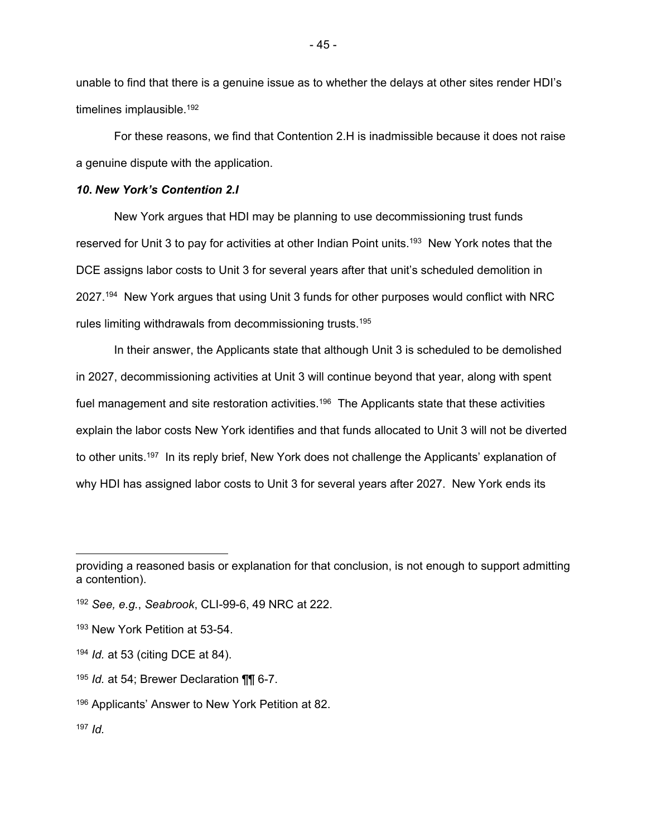unable to find that there is a genuine issue as to whether the delays at other sites render HDI's timelines implausible.192

 For these reasons, we find that Contention 2.H is inadmissible because it does not raise a genuine dispute with the application.

### *10***.** *New York's Contention 2.I*

New York argues that HDI may be planning to use decommissioning trust funds reserved for Unit 3 to pay for activities at other Indian Point units.<sup>193</sup> New York notes that the DCE assigns labor costs to Unit 3 for several years after that unit's scheduled demolition in 2027.194 New York argues that using Unit 3 funds for other purposes would conflict with NRC rules limiting withdrawals from decommissioning trusts.195

In their answer, the Applicants state that although Unit 3 is scheduled to be demolished in 2027, decommissioning activities at Unit 3 will continue beyond that year, along with spent fuel management and site restoration activities.<sup>196</sup> The Applicants state that these activities explain the labor costs New York identifies and that funds allocated to Unit 3 will not be diverted to other units.<sup>197</sup> In its reply brief, New York does not challenge the Applicants' explanation of why HDI has assigned labor costs to Unit 3 for several years after 2027. New York ends its

<sup>197</sup> *Id.* 

providing a reasoned basis or explanation for that conclusion, is not enough to support admitting a contention).

<sup>192</sup> *See, e.g.*, *Seabrook*, CLI-99-6, 49 NRC at 222.

<sup>193</sup> New York Petition at 53-54.

<sup>194</sup> *Id.* at 53 (citing DCE at 84).

<sup>195</sup> *Id.* at 54; Brewer Declaration ¶¶ 6-7.

<sup>196</sup> Applicants' Answer to New York Petition at 82.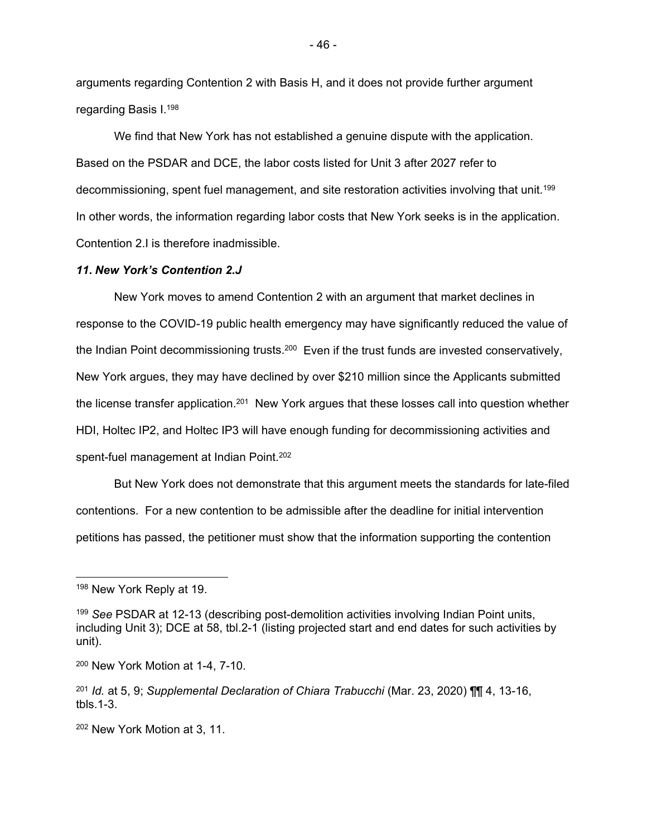arguments regarding Contention 2 with Basis H, and it does not provide further argument regarding Basis I.198

We find that New York has not established a genuine dispute with the application. Based on the PSDAR and DCE, the labor costs listed for Unit 3 after 2027 refer to decommissioning, spent fuel management, and site restoration activities involving that unit.199 In other words, the information regarding labor costs that New York seeks is in the application. Contention 2.I is therefore inadmissible.

### *11***.** *New York's Contention 2.J*

New York moves to amend Contention 2 with an argument that market declines in response to the COVID-19 public health emergency may have significantly reduced the value of the Indian Point decommissioning trusts.<sup>200</sup> Even if the trust funds are invested conservatively, New York argues, they may have declined by over \$210 million since the Applicants submitted the license transfer application.<sup>201</sup> New York argues that these losses call into question whether HDI, Holtec IP2, and Holtec IP3 will have enough funding for decommissioning activities and spent-fuel management at Indian Point.<sup>202</sup>

But New York does not demonstrate that this argument meets the standards for late-filed contentions. For a new contention to be admissible after the deadline for initial intervention petitions has passed, the petitioner must show that the information supporting the contention

- 46 -

<sup>198</sup> New York Reply at 19.

<sup>199</sup> *See* PSDAR at 12-13 (describing post-demolition activities involving Indian Point units, including Unit 3); DCE at 58, tbl.2-1 (listing projected start and end dates for such activities by unit).

<sup>200</sup> New York Motion at 1-4, 7-10.

<sup>201</sup> *Id.* at 5, 9; *Supplemental Declaration of Chiara Trabucchi* (Mar. 23, 2020) ¶¶ 4, 13-16, tbls.1-3.

<sup>202</sup> New York Motion at 3, 11.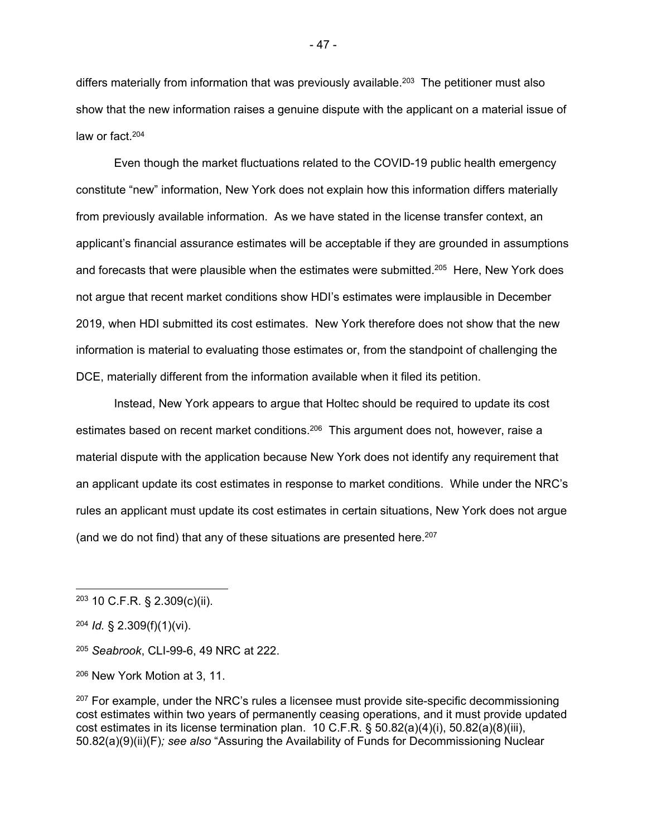differs materially from information that was previously available.<sup>203</sup> The petitioner must also show that the new information raises a genuine dispute with the applicant on a material issue of law or fact.204

Even though the market fluctuations related to the COVID-19 public health emergency constitute "new" information, New York does not explain how this information differs materially from previously available information. As we have stated in the license transfer context, an applicant's financial assurance estimates will be acceptable if they are grounded in assumptions and forecasts that were plausible when the estimates were submitted.205 Here, New York does not argue that recent market conditions show HDI's estimates were implausible in December 2019, when HDI submitted its cost estimates. New York therefore does not show that the new information is material to evaluating those estimates or, from the standpoint of challenging the DCE, materially different from the information available when it filed its petition.

Instead, New York appears to argue that Holtec should be required to update its cost estimates based on recent market conditions.<sup>206</sup> This argument does not, however, raise a material dispute with the application because New York does not identify any requirement that an applicant update its cost estimates in response to market conditions. While under the NRC's rules an applicant must update its cost estimates in certain situations, New York does not argue (and we do not find) that any of these situations are presented here. $207$ 

<sup>203 10</sup> C.F.R. § 2.309(c)(ii).

<sup>204</sup> *Id.* § 2.309(f)(1)(vi).

<sup>205</sup> *Seabrook*, CLI-99-6, 49 NRC at 222.

<sup>206</sup> New York Motion at 3, 11.

 $207$  For example, under the NRC's rules a licensee must provide site-specific decommissioning cost estimates within two years of permanently ceasing operations, and it must provide updated cost estimates in its license termination plan. 10 C.F.R. § 50.82(a)(4)(i), 50.82(a)(8)(iii), 50.82(a)(9)(ii)(F)*; see also* "Assuring the Availability of Funds for Decommissioning Nuclear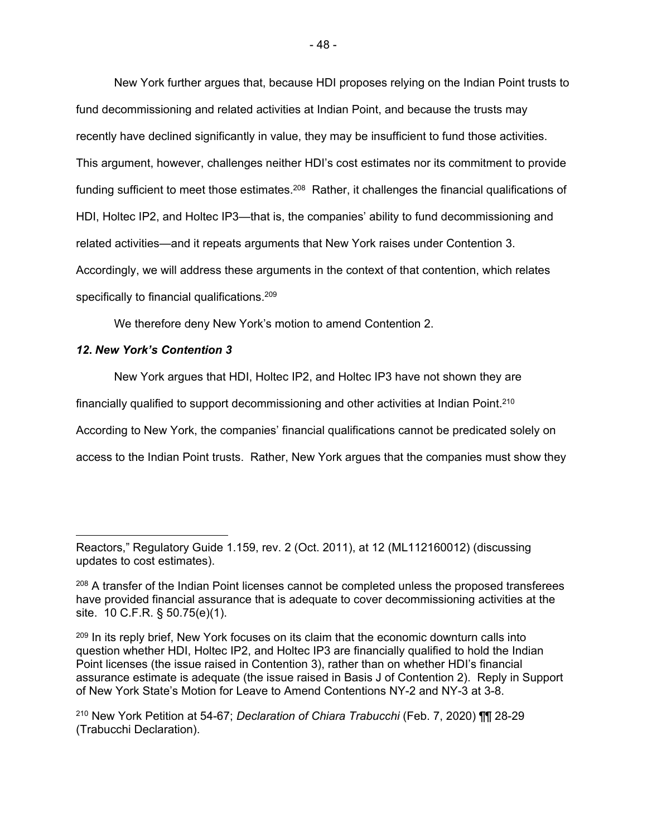New York further argues that, because HDI proposes relying on the Indian Point trusts to fund decommissioning and related activities at Indian Point, and because the trusts may recently have declined significantly in value, they may be insufficient to fund those activities. This argument, however, challenges neither HDI's cost estimates nor its commitment to provide funding sufficient to meet those estimates.<sup>208</sup> Rather, it challenges the financial qualifications of HDI, Holtec IP2, and Holtec IP3—that is, the companies' ability to fund decommissioning and related activities—and it repeats arguments that New York raises under Contention 3. Accordingly, we will address these arguments in the context of that contention, which relates specifically to financial qualifications.<sup>209</sup>

We therefore deny New York's motion to amend Contention 2.

# *12***.** *New York's Contention 3*

New York argues that HDI, Holtec IP2, and Holtec IP3 have not shown they are financially qualified to support decommissioning and other activities at Indian Point.<sup>210</sup> According to New York, the companies' financial qualifications cannot be predicated solely on access to the Indian Point trusts. Rather, New York argues that the companies must show they

Reactors," Regulatory Guide 1.159, rev. 2 (Oct. 2011), at 12 (ML112160012) (discussing updates to cost estimates).

<sup>&</sup>lt;sup>208</sup> A transfer of the Indian Point licenses cannot be completed unless the proposed transferees have provided financial assurance that is adequate to cover decommissioning activities at the site. 10 C.F.R. § 50.75(e)(1).

<sup>&</sup>lt;sup>209</sup> In its reply brief, New York focuses on its claim that the economic downturn calls into question whether HDI, Holtec IP2, and Holtec IP3 are financially qualified to hold the Indian Point licenses (the issue raised in Contention 3), rather than on whether HDI's financial assurance estimate is adequate (the issue raised in Basis J of Contention 2). Reply in Support of New York State's Motion for Leave to Amend Contentions NY-2 and NY-3 at 3-8.

<sup>210</sup> New York Petition at 54-67; *Declaration of Chiara Trabucchi* (Feb. 7, 2020) ¶¶ 28-29 (Trabucchi Declaration).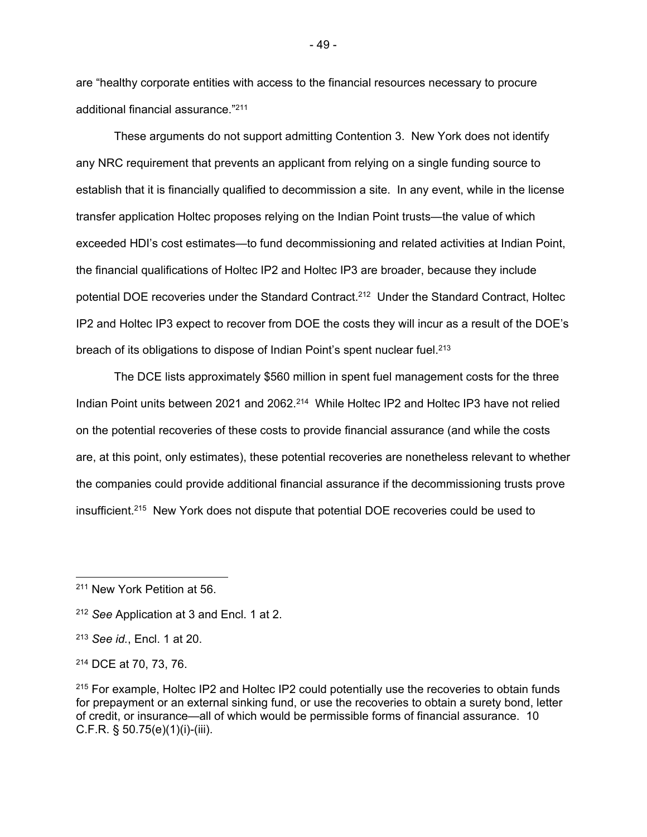are "healthy corporate entities with access to the financial resources necessary to procure additional financial assurance."211

These arguments do not support admitting Contention 3. New York does not identify any NRC requirement that prevents an applicant from relying on a single funding source to establish that it is financially qualified to decommission a site. In any event, while in the license transfer application Holtec proposes relying on the Indian Point trusts—the value of which exceeded HDI's cost estimates—to fund decommissioning and related activities at Indian Point, the financial qualifications of Holtec IP2 and Holtec IP3 are broader, because they include potential DOE recoveries under the Standard Contract.<sup>212</sup> Under the Standard Contract, Holtec IP2 and Holtec IP3 expect to recover from DOE the costs they will incur as a result of the DOE's breach of its obligations to dispose of Indian Point's spent nuclear fuel.<sup>213</sup>

The DCE lists approximately \$560 million in spent fuel management costs for the three Indian Point units between 2021 and 2062.<sup>214</sup> While Holtec IP2 and Holtec IP3 have not relied on the potential recoveries of these costs to provide financial assurance (and while the costs are, at this point, only estimates), these potential recoveries are nonetheless relevant to whether the companies could provide additional financial assurance if the decommissioning trusts prove insufficient.215 New York does not dispute that potential DOE recoveries could be used to

- 49 -

<sup>211</sup> New York Petition at 56.

<sup>212</sup> *See* Application at 3 and Encl. 1 at 2.

<sup>213</sup> *See id.*, Encl. 1 at 20.

<sup>214</sup> DCE at 70, 73, 76.

 $215$  For example, Holtec IP2 and Holtec IP2 could potentially use the recoveries to obtain funds for prepayment or an external sinking fund, or use the recoveries to obtain a surety bond, letter of credit, or insurance—all of which would be permissible forms of financial assurance. 10 C.F.R. § 50.75(e)(1)(i)-(iii).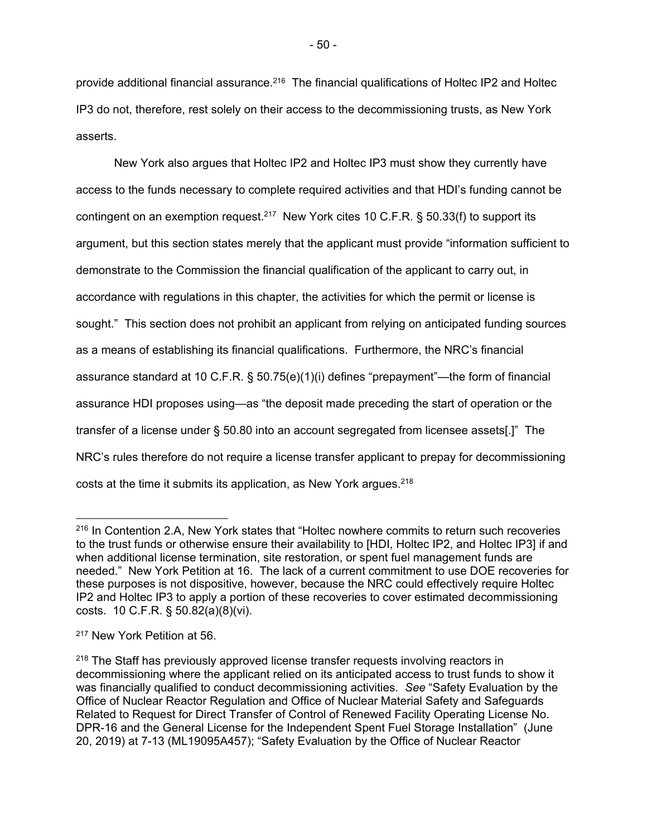provide additional financial assurance.<sup>216</sup> The financial qualifications of Holtec IP2 and Holtec IP3 do not, therefore, rest solely on their access to the decommissioning trusts, as New York asserts.

New York also argues that Holtec IP2 and Holtec IP3 must show they currently have access to the funds necessary to complete required activities and that HDI's funding cannot be contingent on an exemption request.217 New York cites 10 C.F.R. § 50.33(f) to support its argument, but this section states merely that the applicant must provide "information sufficient to demonstrate to the Commission the financial qualification of the applicant to carry out, in accordance with regulations in this chapter, the activities for which the permit or license is sought." This section does not prohibit an applicant from relying on anticipated funding sources as a means of establishing its financial qualifications. Furthermore, the NRC's financial assurance standard at 10 C.F.R. § 50.75(e)(1)(i) defines "prepayment"—the form of financial assurance HDI proposes using—as "the deposit made preceding the start of operation or the transfer of a license under § 50.80 into an account segregated from licensee assets[.]" The NRC's rules therefore do not require a license transfer applicant to prepay for decommissioning costs at the time it submits its application, as New York argues.<sup>218</sup>

 $216$  In Contention 2.A, New York states that "Holtec nowhere commits to return such recoveries to the trust funds or otherwise ensure their availability to [HDI, Holtec IP2, and Holtec IP3] if and when additional license termination, site restoration, or spent fuel management funds are needed." New York Petition at 16. The lack of a current commitment to use DOE recoveries for these purposes is not dispositive, however, because the NRC could effectively require Holtec IP2 and Holtec IP3 to apply a portion of these recoveries to cover estimated decommissioning costs. 10 C.F.R. § 50.82(a)(8)(vi).

<sup>217</sup> New York Petition at 56.

<sup>&</sup>lt;sup>218</sup> The Staff has previously approved license transfer requests involving reactors in decommissioning where the applicant relied on its anticipated access to trust funds to show it was financially qualified to conduct decommissioning activities. *See* "Safety Evaluation by the Office of Nuclear Reactor Regulation and Office of Nuclear Material Safety and Safeguards Related to Request for Direct Transfer of Control of Renewed Facility Operating License No. DPR-16 and the General License for the Independent Spent Fuel Storage Installation" (June 20, 2019) at 7-13 (ML19095A457); "Safety Evaluation by the Office of Nuclear Reactor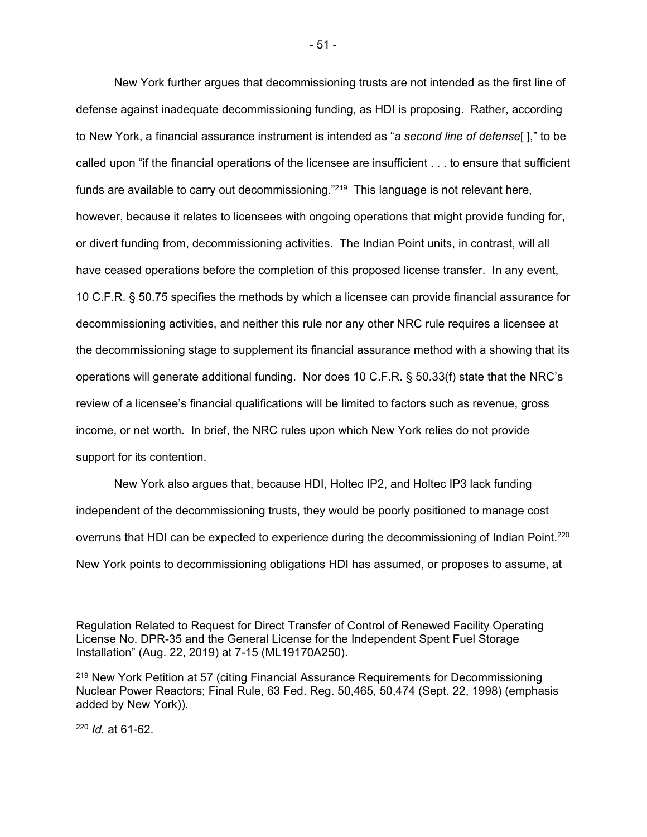New York further argues that decommissioning trusts are not intended as the first line of defense against inadequate decommissioning funding, as HDI is proposing. Rather, according to New York, a financial assurance instrument is intended as "*a second line of defense*[ ]," to be called upon "if the financial operations of the licensee are insufficient . . . to ensure that sufficient funds are available to carry out decommissioning."<sup>219</sup> This language is not relevant here, however, because it relates to licensees with ongoing operations that might provide funding for, or divert funding from, decommissioning activities. The Indian Point units, in contrast, will all have ceased operations before the completion of this proposed license transfer. In any event, 10 C.F.R. § 50.75 specifies the methods by which a licensee can provide financial assurance for decommissioning activities, and neither this rule nor any other NRC rule requires a licensee at the decommissioning stage to supplement its financial assurance method with a showing that its operations will generate additional funding. Nor does 10 C.F.R. § 50.33(f) state that the NRC's review of a licensee's financial qualifications will be limited to factors such as revenue, gross income, or net worth. In brief, the NRC rules upon which New York relies do not provide support for its contention.

New York also argues that, because HDI, Holtec IP2, and Holtec IP3 lack funding independent of the decommissioning trusts, they would be poorly positioned to manage cost overruns that HDI can be expected to experience during the decommissioning of Indian Point.<sup>220</sup> New York points to decommissioning obligations HDI has assumed, or proposes to assume, at

<sup>220</sup> *Id.* at 61-62.

- 51 -

Regulation Related to Request for Direct Transfer of Control of Renewed Facility Operating License No. DPR-35 and the General License for the Independent Spent Fuel Storage Installation" (Aug. 22, 2019) at 7-15 (ML19170A250).

<sup>&</sup>lt;sup>219</sup> New York Petition at 57 (citing Financial Assurance Requirements for Decommissioning Nuclear Power Reactors; Final Rule, 63 Fed. Reg. 50,465, 50,474 (Sept. 22, 1998) (emphasis added by New York)).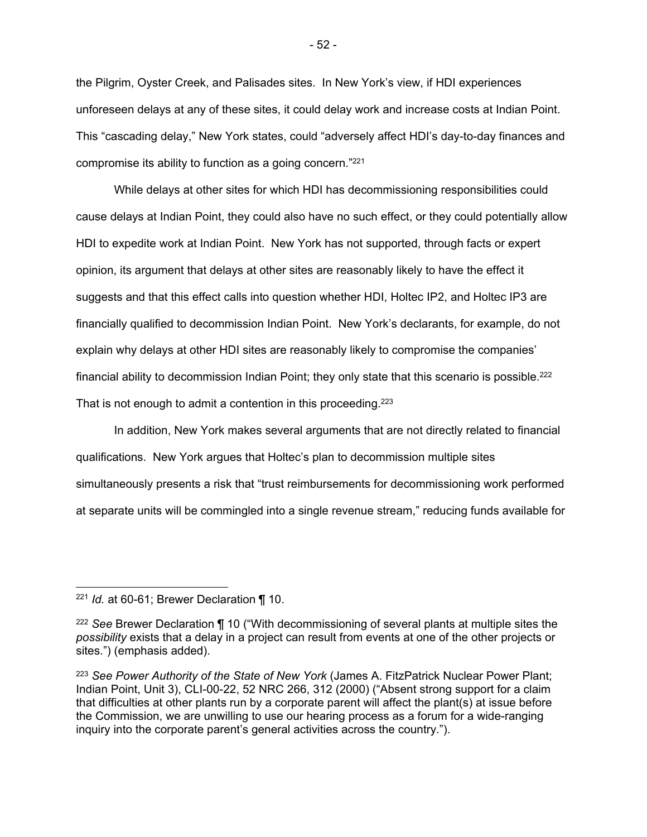the Pilgrim, Oyster Creek, and Palisades sites. In New York's view, if HDI experiences unforeseen delays at any of these sites, it could delay work and increase costs at Indian Point. This "cascading delay," New York states, could "adversely affect HDI's day-to-day finances and compromise its ability to function as a going concern."221

While delays at other sites for which HDI has decommissioning responsibilities could cause delays at Indian Point, they could also have no such effect, or they could potentially allow HDI to expedite work at Indian Point. New York has not supported, through facts or expert opinion, its argument that delays at other sites are reasonably likely to have the effect it suggests and that this effect calls into question whether HDI, Holtec IP2, and Holtec IP3 are financially qualified to decommission Indian Point. New York's declarants, for example, do not explain why delays at other HDI sites are reasonably likely to compromise the companies' financial ability to decommission Indian Point; they only state that this scenario is possible.<sup>222</sup> That is not enough to admit a contention in this proceeding.<sup>223</sup>

In addition, New York makes several arguments that are not directly related to financial qualifications. New York argues that Holtec's plan to decommission multiple sites simultaneously presents a risk that "trust reimbursements for decommissioning work performed at separate units will be commingled into a single revenue stream," reducing funds available for

<sup>221</sup> *Id.* at 60-61; Brewer Declaration ¶ 10.

<sup>222</sup> *See* Brewer Declaration ¶ 10 ("With decommissioning of several plants at multiple sites the *possibility* exists that a delay in a project can result from events at one of the other projects or sites.") (emphasis added).

<sup>223</sup> *See Power Authority of the State of New York* (James A. FitzPatrick Nuclear Power Plant; Indian Point, Unit 3), CLI-00-22, 52 NRC 266, 312 (2000) ("Absent strong support for a claim that difficulties at other plants run by a corporate parent will affect the plant(s) at issue before the Commission, we are unwilling to use our hearing process as a forum for a wide-ranging inquiry into the corporate parent's general activities across the country.").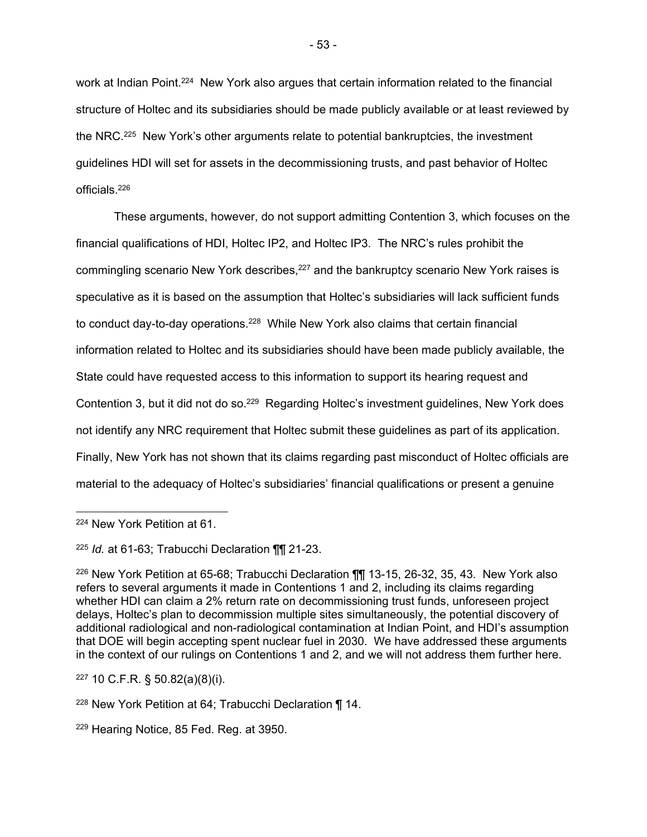work at Indian Point.<sup>224</sup> New York also argues that certain information related to the financial structure of Holtec and its subsidiaries should be made publicly available or at least reviewed by the NRC.<sup>225</sup> New York's other arguments relate to potential bankruptcies, the investment guidelines HDI will set for assets in the decommissioning trusts, and past behavior of Holtec officials.226

These arguments, however, do not support admitting Contention 3, which focuses on the financial qualifications of HDI, Holtec IP2, and Holtec IP3. The NRC's rules prohibit the commingling scenario New York describes,<sup>227</sup> and the bankruptcy scenario New York raises is speculative as it is based on the assumption that Holtec's subsidiaries will lack sufficient funds to conduct day-to-day operations.<sup>228</sup> While New York also claims that certain financial information related to Holtec and its subsidiaries should have been made publicly available, the State could have requested access to this information to support its hearing request and Contention 3, but it did not do so.<sup>229</sup> Regarding Holtec's investment guidelines, New York does not identify any NRC requirement that Holtec submit these guidelines as part of its application. Finally, New York has not shown that its claims regarding past misconduct of Holtec officials are material to the adequacy of Holtec's subsidiaries' financial qualifications or present a genuine

227 10 C.F.R. § 50.82(a)(8)(i).

<sup>224</sup> New York Petition at 61.

<sup>225</sup> *Id.* at 61-63; Trabucchi Declaration ¶¶ 21-23.

<sup>226</sup> New York Petition at 65-68; Trabucchi Declaration ¶¶ 13-15, 26-32, 35, 43. New York also refers to several arguments it made in Contentions 1 and 2, including its claims regarding whether HDI can claim a 2% return rate on decommissioning trust funds, unforeseen project delays, Holtec's plan to decommission multiple sites simultaneously, the potential discovery of additional radiological and non-radiological contamination at Indian Point, and HDI's assumption that DOE will begin accepting spent nuclear fuel in 2030. We have addressed these arguments in the context of our rulings on Contentions 1 and 2, and we will not address them further here.

<sup>&</sup>lt;sup>228</sup> New York Petition at 64; Trabucchi Declaration  $\P$  14.

<sup>229</sup> Hearing Notice, 85 Fed. Reg. at 3950.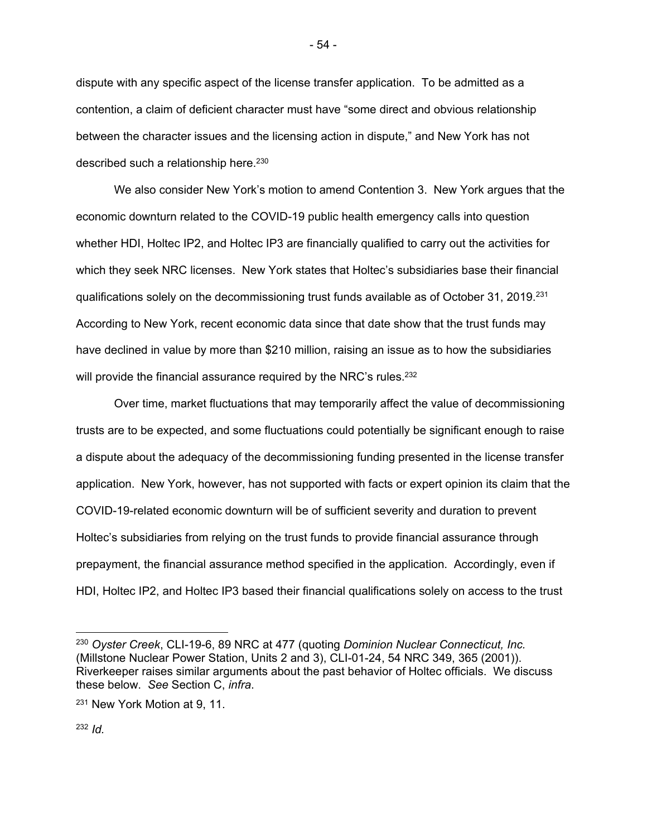dispute with any specific aspect of the license transfer application. To be admitted as a contention, a claim of deficient character must have "some direct and obvious relationship between the character issues and the licensing action in dispute," and New York has not described such a relationship here.<sup>230</sup>

We also consider New York's motion to amend Contention 3. New York argues that the economic downturn related to the COVID-19 public health emergency calls into question whether HDI, Holtec IP2, and Holtec IP3 are financially qualified to carry out the activities for which they seek NRC licenses. New York states that Holtec's subsidiaries base their financial qualifications solely on the decommissioning trust funds available as of October 31, 2019.<sup>231</sup> According to New York, recent economic data since that date show that the trust funds may have declined in value by more than \$210 million, raising an issue as to how the subsidiaries will provide the financial assurance required by the NRC's rules.<sup>232</sup>

Over time, market fluctuations that may temporarily affect the value of decommissioning trusts are to be expected, and some fluctuations could potentially be significant enough to raise a dispute about the adequacy of the decommissioning funding presented in the license transfer application. New York, however, has not supported with facts or expert opinion its claim that the COVID-19-related economic downturn will be of sufficient severity and duration to prevent Holtec's subsidiaries from relying on the trust funds to provide financial assurance through prepayment, the financial assurance method specified in the application. Accordingly, even if HDI, Holtec IP2, and Holtec IP3 based their financial qualifications solely on access to the trust

- 54 -

<sup>230</sup> *Oyster Creek*, CLI-19-6, 89 NRC at 477 (quoting *Dominion Nuclear Connecticut, Inc.*  (Millstone Nuclear Power Station, Units 2 and 3), CLI-01-24, 54 NRC 349, 365 (2001)). Riverkeeper raises similar arguments about the past behavior of Holtec officials. We discuss these below. *See* Section C, *infra*.

<sup>&</sup>lt;sup>231</sup> New York Motion at 9, 11.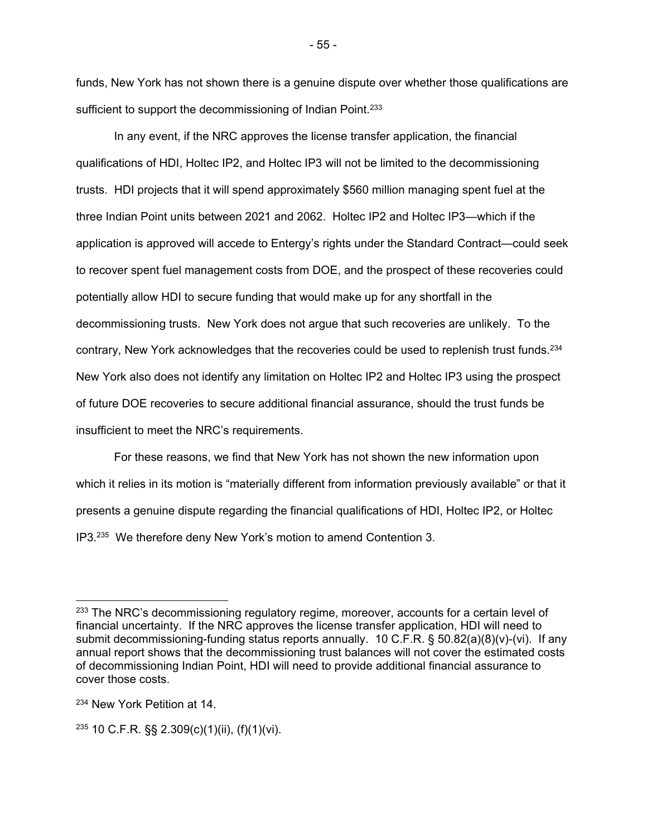funds, New York has not shown there is a genuine dispute over whether those qualifications are sufficient to support the decommissioning of Indian Point.<sup>233</sup>

In any event, if the NRC approves the license transfer application, the financial qualifications of HDI, Holtec IP2, and Holtec IP3 will not be limited to the decommissioning trusts. HDI projects that it will spend approximately \$560 million managing spent fuel at the three Indian Point units between 2021 and 2062. Holtec IP2 and Holtec IP3—which if the application is approved will accede to Entergy's rights under the Standard Contract—could seek to recover spent fuel management costs from DOE, and the prospect of these recoveries could potentially allow HDI to secure funding that would make up for any shortfall in the decommissioning trusts. New York does not argue that such recoveries are unlikely. To the contrary, New York acknowledges that the recoveries could be used to replenish trust funds.<sup>234</sup> New York also does not identify any limitation on Holtec IP2 and Holtec IP3 using the prospect of future DOE recoveries to secure additional financial assurance, should the trust funds be insufficient to meet the NRC's requirements.

 For these reasons, we find that New York has not shown the new information upon which it relies in its motion is "materially different from information previously available" or that it presents a genuine dispute regarding the financial qualifications of HDI, Holtec IP2, or Holtec IP3.235 We therefore deny New York's motion to amend Contention 3.

<sup>&</sup>lt;sup>233</sup> The NRC's decommissioning regulatory regime, moreover, accounts for a certain level of financial uncertainty. If the NRC approves the license transfer application, HDI will need to submit decommissioning-funding status reports annually. 10 C.F.R. § 50.82(a)(8)(v)-(vi). If any annual report shows that the decommissioning trust balances will not cover the estimated costs of decommissioning Indian Point, HDI will need to provide additional financial assurance to cover those costs.

<sup>234</sup> New York Petition at 14.

 $235$  10 C.F.R. §§ 2.309(c)(1)(ii), (f)(1)(vi).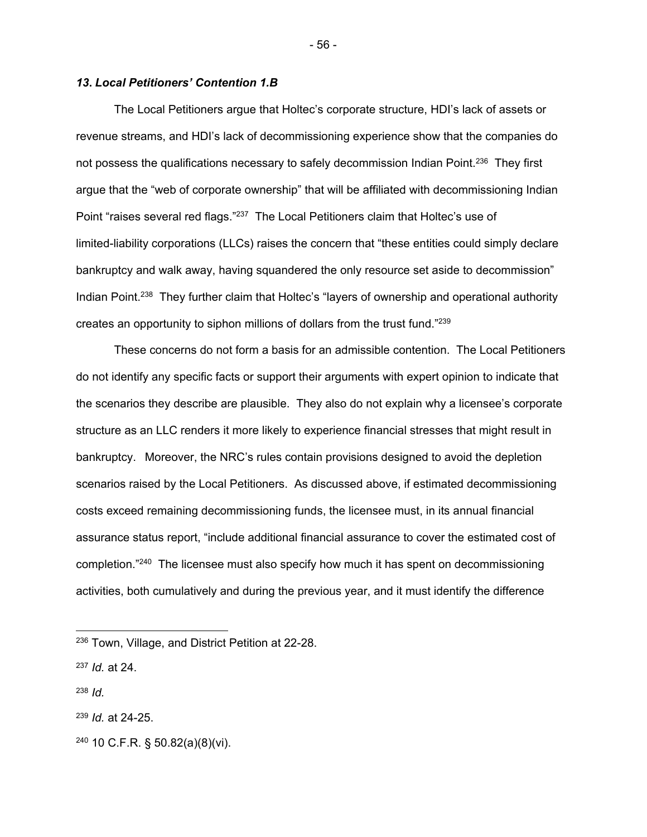# *13***.** *Local Petitioners' Contention 1.B*

The Local Petitioners argue that Holtec's corporate structure, HDI's lack of assets or revenue streams, and HDI's lack of decommissioning experience show that the companies do not possess the qualifications necessary to safely decommission Indian Point.<sup>236</sup> They first argue that the "web of corporate ownership" that will be affiliated with decommissioning Indian Point "raises several red flags."<sup>237</sup> The Local Petitioners claim that Holtec's use of limited-liability corporations (LLCs) raises the concern that "these entities could simply declare bankruptcy and walk away, having squandered the only resource set aside to decommission" Indian Point.238 They further claim that Holtec's "layers of ownership and operational authority creates an opportunity to siphon millions of dollars from the trust fund."239

These concerns do not form a basis for an admissible contention. The Local Petitioners do not identify any specific facts or support their arguments with expert opinion to indicate that the scenarios they describe are plausible. They also do not explain why a licensee's corporate structure as an LLC renders it more likely to experience financial stresses that might result in bankruptcy. Moreover, the NRC's rules contain provisions designed to avoid the depletion scenarios raised by the Local Petitioners. As discussed above, if estimated decommissioning costs exceed remaining decommissioning funds, the licensee must, in its annual financial assurance status report, "include additional financial assurance to cover the estimated cost of completion."240 The licensee must also specify how much it has spent on decommissioning activities, both cumulatively and during the previous year, and it must identify the difference

240 10 C.F.R. § 50.82(a)(8)(vi).

- 56 -

<sup>236</sup> Town, Village, and District Petition at 22-28.

<sup>237</sup> *Id.* at 24.

<sup>238</sup> *Id.*

<sup>239</sup> *Id.* at 24-25.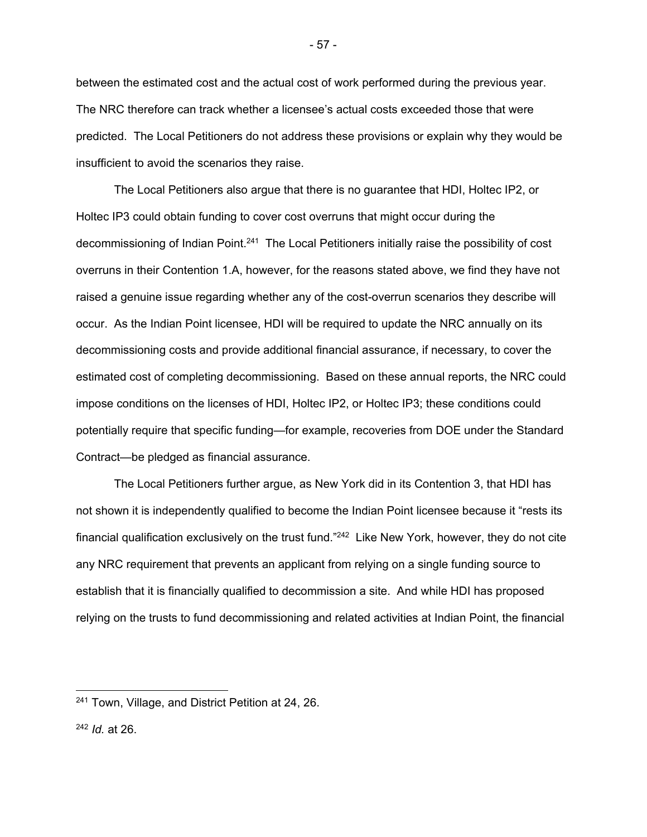between the estimated cost and the actual cost of work performed during the previous year. The NRC therefore can track whether a licensee's actual costs exceeded those that were predicted. The Local Petitioners do not address these provisions or explain why they would be insufficient to avoid the scenarios they raise.

The Local Petitioners also argue that there is no guarantee that HDI, Holtec IP2, or Holtec IP3 could obtain funding to cover cost overruns that might occur during the decommissioning of Indian Point.<sup>241</sup> The Local Petitioners initially raise the possibility of cost overruns in their Contention 1.A, however, for the reasons stated above, we find they have not raised a genuine issue regarding whether any of the cost-overrun scenarios they describe will occur. As the Indian Point licensee, HDI will be required to update the NRC annually on its decommissioning costs and provide additional financial assurance, if necessary, to cover the estimated cost of completing decommissioning. Based on these annual reports, the NRC could impose conditions on the licenses of HDI, Holtec IP2, or Holtec IP3; these conditions could potentially require that specific funding—for example, recoveries from DOE under the Standard Contract—be pledged as financial assurance.

The Local Petitioners further argue, as New York did in its Contention 3, that HDI has not shown it is independently qualified to become the Indian Point licensee because it "rests its financial qualification exclusively on the trust fund."<sup>242</sup> Like New York, however, they do not cite any NRC requirement that prevents an applicant from relying on a single funding source to establish that it is financially qualified to decommission a site. And while HDI has proposed relying on the trusts to fund decommissioning and related activities at Indian Point, the financial

<sup>241</sup> Town, Village, and District Petition at 24, 26. <sup>242</sup> *Id.* at 26.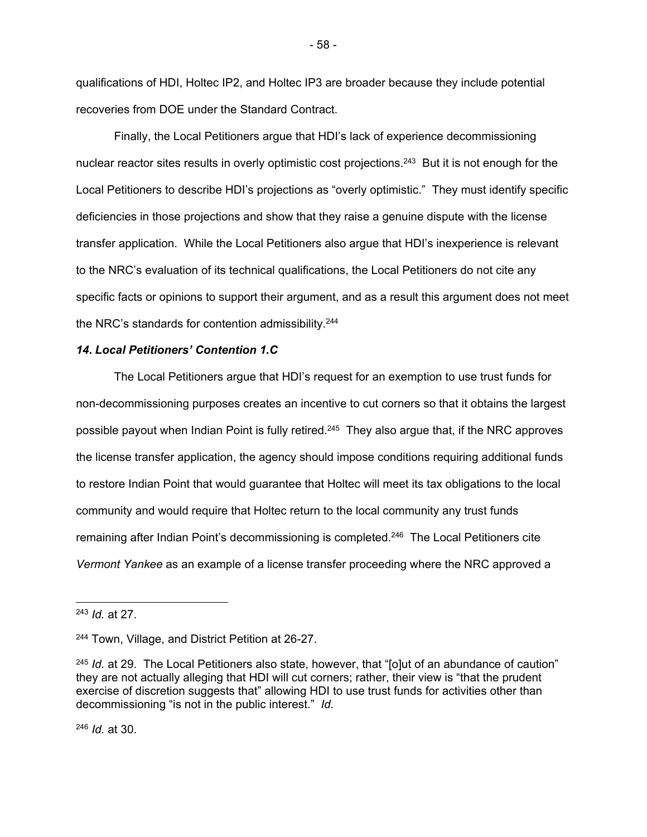qualifications of HDI, Holtec IP2, and Holtec IP3 are broader because they include potential recoveries from DOE under the Standard Contract.

Finally, the Local Petitioners argue that HDI's lack of experience decommissioning nuclear reactor sites results in overly optimistic cost projections.<sup>243</sup> But it is not enough for the Local Petitioners to describe HDI's projections as "overly optimistic." They must identify specific deficiencies in those projections and show that they raise a genuine dispute with the license transfer application. While the Local Petitioners also argue that HDI's inexperience is relevant to the NRC's evaluation of its technical qualifications, the Local Petitioners do not cite any specific facts or opinions to support their argument, and as a result this argument does not meet the NRC's standards for contention admissibility.244

# *14***.** *Local Petitioners' Contention 1.C*

The Local Petitioners argue that HDI's request for an exemption to use trust funds for non-decommissioning purposes creates an incentive to cut corners so that it obtains the largest possible payout when Indian Point is fully retired.<sup>245</sup> They also argue that, if the NRC approves the license transfer application, the agency should impose conditions requiring additional funds to restore Indian Point that would guarantee that Holtec will meet its tax obligations to the local community and would require that Holtec return to the local community any trust funds remaining after Indian Point's decommissioning is completed.246 The Local Petitioners cite *Vermont Yankee* as an example of a license transfer proceeding where the NRC approved a

<sup>246</sup> *Id.* at 30.

<sup>243</sup> *Id.* at 27.

<sup>244</sup> Town, Village, and District Petition at 26-27.

<sup>245</sup> *Id.* at 29. The Local Petitioners also state, however, that "[o]ut of an abundance of caution" they are not actually alleging that HDI will cut corners; rather, their view is "that the prudent exercise of discretion suggests that" allowing HDI to use trust funds for activities other than decommissioning "is not in the public interest." *Id.*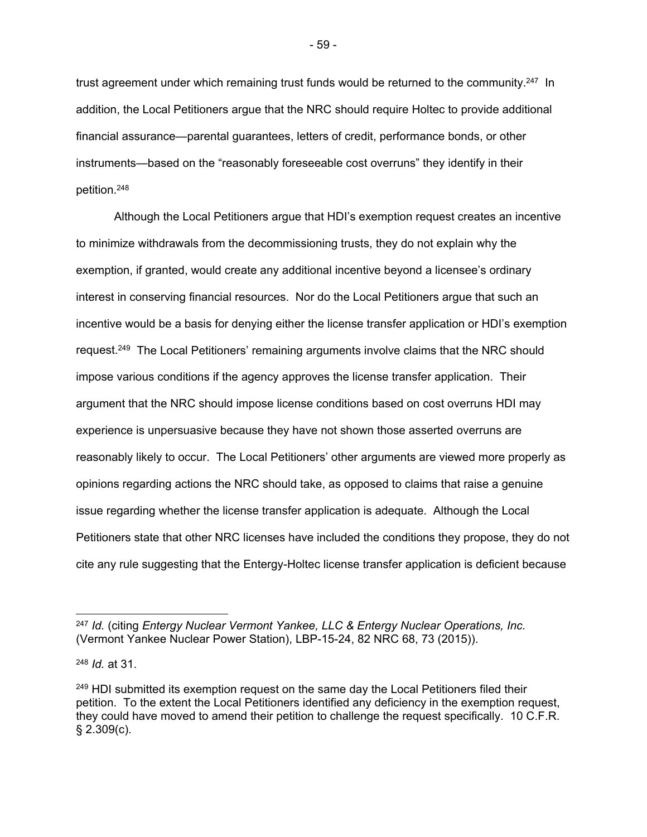trust agreement under which remaining trust funds would be returned to the community.<sup>247</sup> In addition, the Local Petitioners argue that the NRC should require Holtec to provide additional financial assurance—parental guarantees, letters of credit, performance bonds, or other instruments—based on the "reasonably foreseeable cost overruns" they identify in their petition.248

 Although the Local Petitioners argue that HDI's exemption request creates an incentive to minimize withdrawals from the decommissioning trusts, they do not explain why the exemption, if granted, would create any additional incentive beyond a licensee's ordinary interest in conserving financial resources. Nor do the Local Petitioners argue that such an incentive would be a basis for denying either the license transfer application or HDI's exemption request.249 The Local Petitioners' remaining arguments involve claims that the NRC should impose various conditions if the agency approves the license transfer application. Their argument that the NRC should impose license conditions based on cost overruns HDI may experience is unpersuasive because they have not shown those asserted overruns are reasonably likely to occur. The Local Petitioners' other arguments are viewed more properly as opinions regarding actions the NRC should take, as opposed to claims that raise a genuine issue regarding whether the license transfer application is adequate. Although the Local Petitioners state that other NRC licenses have included the conditions they propose, they do not cite any rule suggesting that the Entergy-Holtec license transfer application is deficient because

<sup>247</sup> *Id.* (citing *Entergy Nuclear Vermont Yankee, LLC & Entergy Nuclear Operations, Inc.* (Vermont Yankee Nuclear Power Station), LBP-15-24, 82 NRC 68, 73 (2015)).

<sup>248</sup> *Id.* at 31.

<sup>&</sup>lt;sup>249</sup> HDI submitted its exemption request on the same day the Local Petitioners filed their petition. To the extent the Local Petitioners identified any deficiency in the exemption request, they could have moved to amend their petition to challenge the request specifically. 10 C.F.R. § 2.309(c).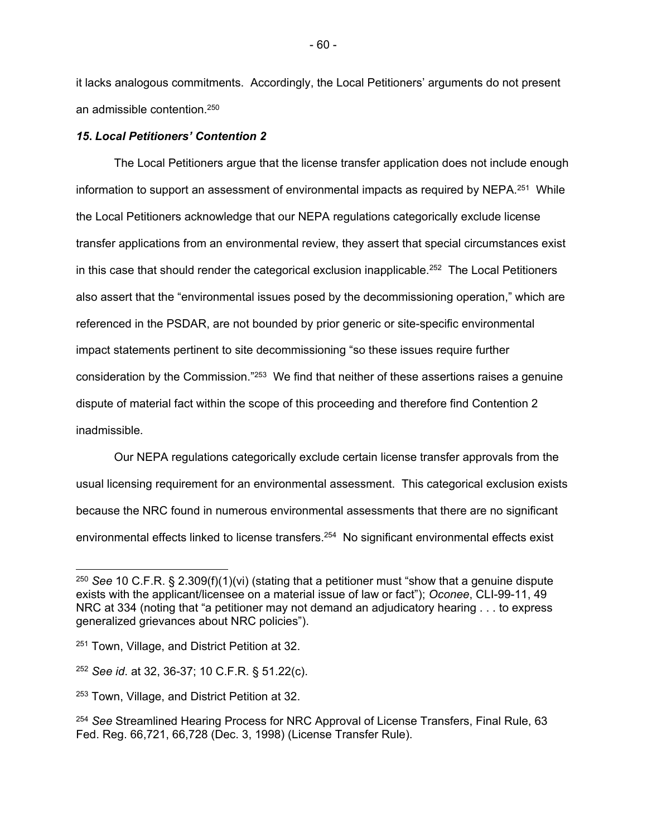it lacks analogous commitments. Accordingly, the Local Petitioners' arguments do not present an admissible contention.250

## *15***.** *Local Petitioners' Contention 2*

The Local Petitioners argue that the license transfer application does not include enough information to support an assessment of environmental impacts as required by NEPA.<sup>251</sup> While the Local Petitioners acknowledge that our NEPA regulations categorically exclude license transfer applications from an environmental review, they assert that special circumstances exist in this case that should render the categorical exclusion inapplicable.<sup>252</sup> The Local Petitioners also assert that the "environmental issues posed by the decommissioning operation," which are referenced in the PSDAR, are not bounded by prior generic or site-specific environmental impact statements pertinent to site decommissioning "so these issues require further consideration by the Commission."<sup>253</sup> We find that neither of these assertions raises a genuine dispute of material fact within the scope of this proceeding and therefore find Contention 2 inadmissible.

 Our NEPA regulations categorically exclude certain license transfer approvals from the usual licensing requirement for an environmental assessment. This categorical exclusion exists because the NRC found in numerous environmental assessments that there are no significant environmental effects linked to license transfers.<sup>254</sup> No significant environmental effects exist

<sup>250</sup> *See* 10 C.F.R. § 2.309(f)(1)(vi) (stating that a petitioner must "show that a genuine dispute exists with the applicant/licensee on a material issue of law or fact"); *Oconee*, CLI-99-11, 49 NRC at 334 (noting that "a petitioner may not demand an adjudicatory hearing . . . to express generalized grievances about NRC policies").

<sup>251</sup> Town, Village, and District Petition at 32.

<sup>252</sup> *See id*. at 32, 36-37; 10 C.F.R. § 51.22(c).

<sup>253</sup> Town, Village, and District Petition at 32.

<sup>254</sup> *See* Streamlined Hearing Process for NRC Approval of License Transfers, Final Rule, 63 Fed. Reg. 66,721, 66,728 (Dec. 3, 1998) (License Transfer Rule).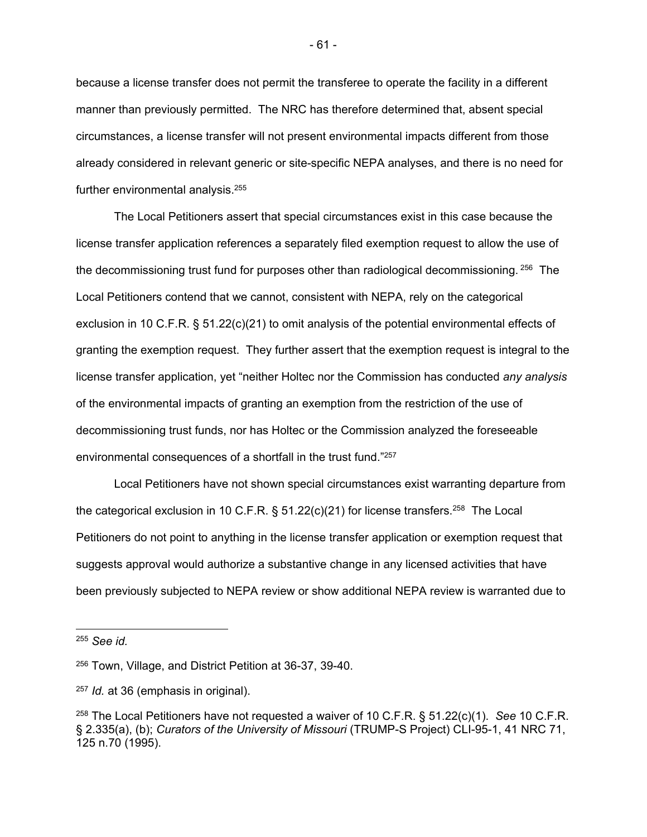because a license transfer does not permit the transferee to operate the facility in a different manner than previously permitted. The NRC has therefore determined that, absent special circumstances, a license transfer will not present environmental impacts different from those already considered in relevant generic or site-specific NEPA analyses, and there is no need for further environmental analysis.255

 The Local Petitioners assert that special circumstances exist in this case because the license transfer application references a separately filed exemption request to allow the use of the decommissioning trust fund for purposes other than radiological decommissioning. <sup>256</sup> The Local Petitioners contend that we cannot, consistent with NEPA, rely on the categorical exclusion in 10 C.F.R. § 51.22(c)(21) to omit analysis of the potential environmental effects of granting the exemption request. They further assert that the exemption request is integral to the license transfer application, yet "neither Holtec nor the Commission has conducted *any analysis*  of the environmental impacts of granting an exemption from the restriction of the use of decommissioning trust funds, nor has Holtec or the Commission analyzed the foreseeable environmental consequences of a shortfall in the trust fund."257

 Local Petitioners have not shown special circumstances exist warranting departure from the categorical exclusion in 10 C.F.R. § 51.22(c)(21) for license transfers.<sup>258</sup> The Local Petitioners do not point to anything in the license transfer application or exemption request that suggests approval would authorize a substantive change in any licensed activities that have been previously subjected to NEPA review or show additional NEPA review is warranted due to

<sup>255</sup> *See id.*

<sup>256</sup> Town, Village, and District Petition at 36-37, 39-40.

<sup>257</sup> *Id.* at 36 (emphasis in original).

<sup>258</sup> The Local Petitioners have not requested a waiver of 10 C.F.R. § 51.22(c)(1). *See* 10 C.F.R. § 2.335(a), (b); *Curators of the University of Missouri* (TRUMP-S Project) CLI-95-1, 41 NRC 71, 125 n.70 (1995).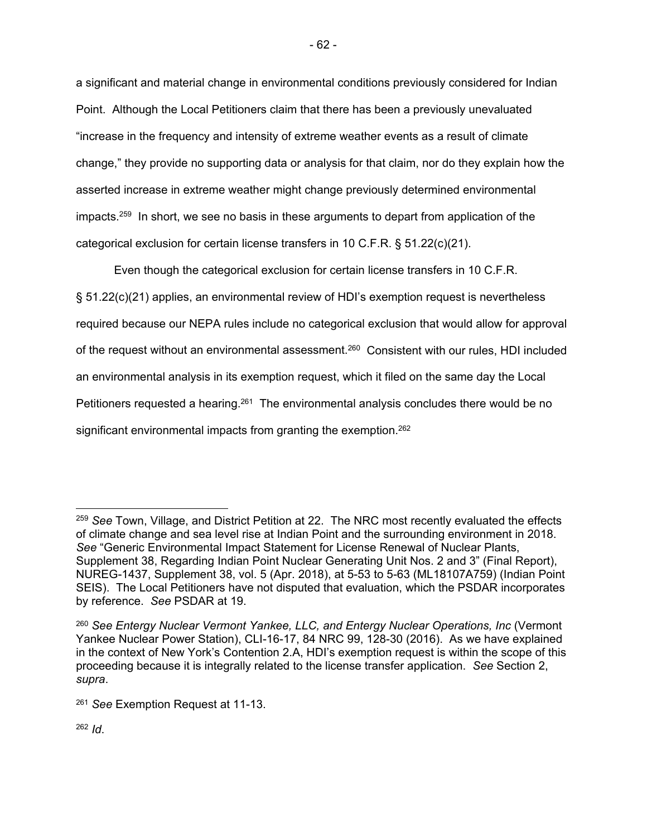a significant and material change in environmental conditions previously considered for Indian Point. Although the Local Petitioners claim that there has been a previously unevaluated "increase in the frequency and intensity of extreme weather events as a result of climate change," they provide no supporting data or analysis for that claim, nor do they explain how the asserted increase in extreme weather might change previously determined environmental impacts.<sup>259</sup> In short, we see no basis in these arguments to depart from application of the categorical exclusion for certain license transfers in 10 C.F.R. § 51.22(c)(21).

 Even though the categorical exclusion for certain license transfers in 10 C.F.R. § 51.22(c)(21) applies, an environmental review of HDI's exemption request is nevertheless required because our NEPA rules include no categorical exclusion that would allow for approval of the request without an environmental assessment.260 Consistent with our rules, HDI included an environmental analysis in its exemption request, which it filed on the same day the Local Petitioners requested a hearing.<sup>261</sup> The environmental analysis concludes there would be no significant environmental impacts from granting the exemption.<sup>262</sup>

<sup>259</sup> *See* Town, Village, and District Petition at 22. The NRC most recently evaluated the effects of climate change and sea level rise at Indian Point and the surrounding environment in 2018. *See* "Generic Environmental Impact Statement for License Renewal of Nuclear Plants, Supplement 38, Regarding Indian Point Nuclear Generating Unit Nos. 2 and 3" (Final Report), NUREG-1437, Supplement 38, vol. 5 (Apr. 2018), at 5-53 to 5-63 (ML18107A759) (Indian Point SEIS). The Local Petitioners have not disputed that evaluation, which the PSDAR incorporates by reference. *See* PSDAR at 19.

<sup>&</sup>lt;sup>260</sup> See Entergy Nuclear Vermont Yankee, LLC, and Entergy Nuclear Operations, Inc (Vermont Yankee Nuclear Power Station), CLI-16-17, 84 NRC 99, 128-30 (2016). As we have explained in the context of New York's Contention 2.A, HDI's exemption request is within the scope of this proceeding because it is integrally related to the license transfer application. *See* Section 2, *supra*.

<sup>261</sup> *See* Exemption Request at 11-13.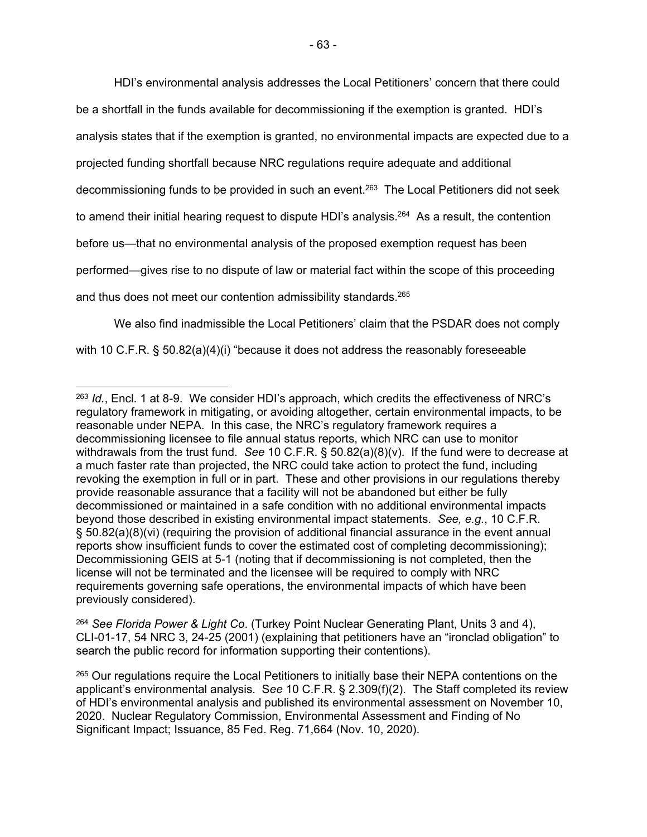HDI's environmental analysis addresses the Local Petitioners' concern that there could be a shortfall in the funds available for decommissioning if the exemption is granted. HDI's analysis states that if the exemption is granted, no environmental impacts are expected due to a projected funding shortfall because NRC regulations require adequate and additional decommissioning funds to be provided in such an event.<sup>263</sup> The Local Petitioners did not seek to amend their initial hearing request to dispute HDI's analysis.<sup>264</sup> As a result, the contention before us—that no environmental analysis of the proposed exemption request has been performed—gives rise to no dispute of law or material fact within the scope of this proceeding and thus does not meet our contention admissibility standards.<sup>265</sup>

We also find inadmissible the Local Petitioners' claim that the PSDAR does not comply with 10 C.F.R. § 50.82(a)(4)(i) "because it does not address the reasonably foreseeable

<sup>264</sup> *See Florida Power & Light Co*. (Turkey Point Nuclear Generating Plant, Units 3 and 4), CLI-01-17, 54 NRC 3, 24-25 (2001) (explaining that petitioners have an "ironclad obligation" to search the public record for information supporting their contentions).

<sup>263</sup> *Id.*, Encl. 1 at 8-9. We consider HDI's approach, which credits the effectiveness of NRC's regulatory framework in mitigating, or avoiding altogether, certain environmental impacts, to be reasonable under NEPA. In this case, the NRC's regulatory framework requires a decommissioning licensee to file annual status reports, which NRC can use to monitor withdrawals from the trust fund. *See* 10 C.F.R. § 50.82(a)(8)(v). If the fund were to decrease at a much faster rate than projected, the NRC could take action to protect the fund, including revoking the exemption in full or in part. These and other provisions in our regulations thereby provide reasonable assurance that a facility will not be abandoned but either be fully decommissioned or maintained in a safe condition with no additional environmental impacts beyond those described in existing environmental impact statements. *See, e.g.*, 10 C.F.R. § 50.82(a)(8)(vi) (requiring the provision of additional financial assurance in the event annual reports show insufficient funds to cover the estimated cost of completing decommissioning); Decommissioning GEIS at 5-1 (noting that if decommissioning is not completed, then the license will not be terminated and the licensee will be required to comply with NRC requirements governing safe operations, the environmental impacts of which have been previously considered).

<sup>&</sup>lt;sup>265</sup> Our regulations require the Local Petitioners to initially base their NEPA contentions on the applicant's environmental analysis. S*ee* 10 C.F.R. § 2.309(f)(2). The Staff completed its review of HDI's environmental analysis and published its environmental assessment on November 10, 2020. Nuclear Regulatory Commission, Environmental Assessment and Finding of No Significant Impact; Issuance, 85 Fed. Reg. 71,664 (Nov. 10, 2020).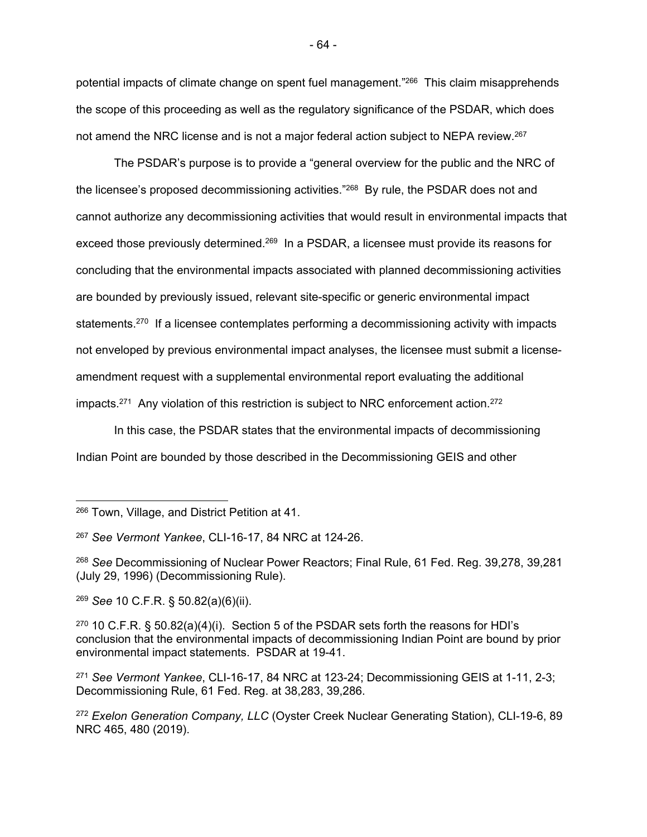potential impacts of climate change on spent fuel management."266 This claim misapprehends the scope of this proceeding as well as the regulatory significance of the PSDAR, which does not amend the NRC license and is not a major federal action subject to NEPA review.267

The PSDAR's purpose is to provide a "general overview for the public and the NRC of the licensee's proposed decommissioning activities."<sup>268</sup> By rule, the PSDAR does not and cannot authorize any decommissioning activities that would result in environmental impacts that exceed those previously determined.<sup>269</sup> In a PSDAR, a licensee must provide its reasons for concluding that the environmental impacts associated with planned decommissioning activities are bounded by previously issued, relevant site-specific or generic environmental impact statements.<sup>270</sup> If a licensee contemplates performing a decommissioning activity with impacts not enveloped by previous environmental impact analyses, the licensee must submit a licenseamendment request with a supplemental environmental report evaluating the additional impacts. $271$  Any violation of this restriction is subject to NRC enforcement action. $272$ 

In this case, the PSDAR states that the environmental impacts of decommissioning Indian Point are bounded by those described in the Decommissioning GEIS and other

<sup>&</sup>lt;sup>266</sup> Town, Village, and District Petition at 41.

<sup>267</sup> *See Vermont Yankee*, CLI-16-17, 84 NRC at 124-26.

<sup>268</sup> *See* Decommissioning of Nuclear Power Reactors; Final Rule, 61 Fed. Reg. 39,278, 39,281 (July 29, 1996) (Decommissioning Rule).

<sup>269</sup> *See* 10 C.F.R. § 50.82(a)(6)(ii).

 $270$  10 C.F.R. § 50.82(a)(4)(i). Section 5 of the PSDAR sets forth the reasons for HDI's conclusion that the environmental impacts of decommissioning Indian Point are bound by prior environmental impact statements. PSDAR at 19-41.

<sup>271</sup> *See Vermont Yankee*, CLI-16-17, 84 NRC at 123-24; Decommissioning GEIS at 1-11, 2-3; Decommissioning Rule, 61 Fed. Reg. at 38,283, 39,286.

<sup>272</sup> *Exelon Generation Company, LLC* (Oyster Creek Nuclear Generating Station), CLI-19-6, 89 NRC 465, 480 (2019).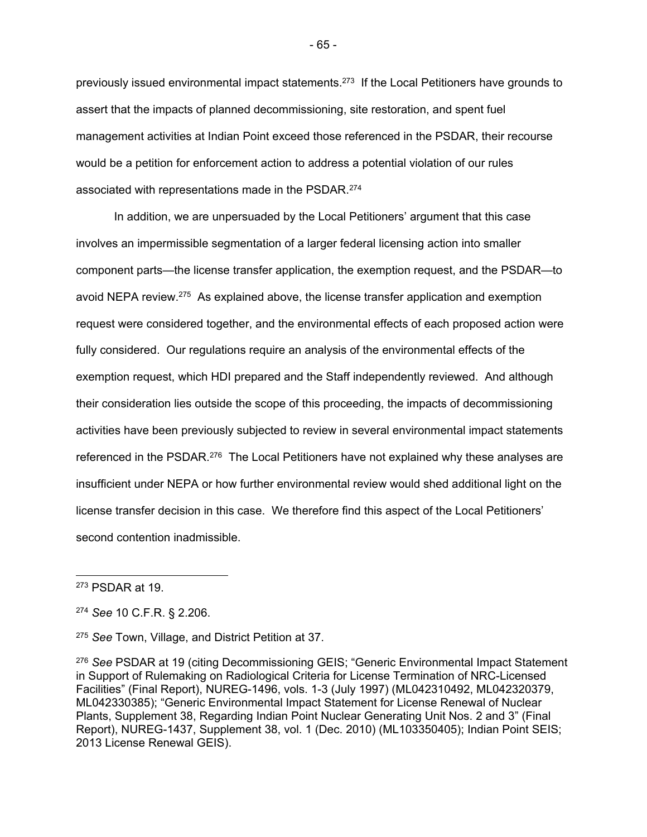previously issued environmental impact statements.<sup>273</sup> If the Local Petitioners have grounds to assert that the impacts of planned decommissioning, site restoration, and spent fuel management activities at Indian Point exceed those referenced in the PSDAR, their recourse would be a petition for enforcement action to address a potential violation of our rules associated with representations made in the PSDAR.274

In addition, we are unpersuaded by the Local Petitioners' argument that this case involves an impermissible segmentation of a larger federal licensing action into smaller component parts—the license transfer application, the exemption request, and the PSDAR—to avoid NEPA review.275 As explained above, the license transfer application and exemption request were considered together, and the environmental effects of each proposed action were fully considered. Our regulations require an analysis of the environmental effects of the exemption request, which HDI prepared and the Staff independently reviewed. And although their consideration lies outside the scope of this proceeding, the impacts of decommissioning activities have been previously subjected to review in several environmental impact statements referenced in the PSDAR.<sup>276</sup> The Local Petitioners have not explained why these analyses are insufficient under NEPA or how further environmental review would shed additional light on the license transfer decision in this case. We therefore find this aspect of the Local Petitioners' second contention inadmissible.

<sup>273</sup> PSDAR at 19.

<sup>274</sup> *See* 10 C.F.R. § 2.206.

<sup>275</sup> *See* Town, Village, and District Petition at 37.

<sup>276</sup> *See* PSDAR at 19 (citing Decommissioning GEIS; "Generic Environmental Impact Statement in Support of Rulemaking on Radiological Criteria for License Termination of NRC-Licensed Facilities" (Final Report), NUREG-1496, vols. 1-3 (July 1997) (ML042310492, ML042320379, ML042330385); "Generic Environmental Impact Statement for License Renewal of Nuclear Plants, Supplement 38, Regarding Indian Point Nuclear Generating Unit Nos. 2 and 3" (Final Report), NUREG-1437, Supplement 38, vol. 1 (Dec. 2010) (ML103350405); Indian Point SEIS; 2013 License Renewal GEIS).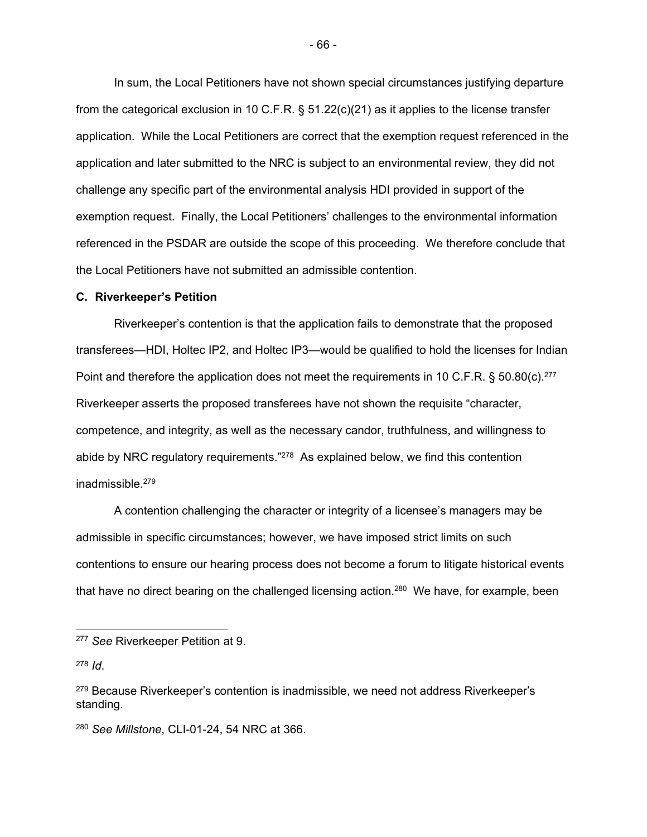In sum, the Local Petitioners have not shown special circumstances justifying departure from the categorical exclusion in 10 C.F.R. § 51.22(c)(21) as it applies to the license transfer application. While the Local Petitioners are correct that the exemption request referenced in the application and later submitted to the NRC is subject to an environmental review, they did not challenge any specific part of the environmental analysis HDI provided in support of the exemption request. Finally, the Local Petitioners' challenges to the environmental information referenced in the PSDAR are outside the scope of this proceeding. We therefore conclude that the Local Petitioners have not submitted an admissible contention.

#### **C. Riverkeeper's Petition**

 Riverkeeper's contention is that the application fails to demonstrate that the proposed transferees—HDI, Holtec IP2, and Holtec IP3—would be qualified to hold the licenses for Indian Point and therefore the application does not meet the requirements in 10 C.F.R. § 50.80(c).<sup>277</sup> Riverkeeper asserts the proposed transferees have not shown the requisite "character, competence, and integrity, as well as the necessary candor, truthfulness, and willingness to abide by NRC regulatory requirements."<sup>278</sup> As explained below, we find this contention inadmissible.279

 A contention challenging the character or integrity of a licensee's managers may be admissible in specific circumstances; however, we have imposed strict limits on such contentions to ensure our hearing process does not become a forum to litigate historical events that have no direct bearing on the challenged licensing action.<sup>280</sup> We have, for example, been

<sup>280</sup> *See Millstone*, CLI-01-24, 54 NRC at 366.

<sup>277</sup> *See* Riverkeeper Petition at 9.

<sup>278</sup> *Id*.

<sup>&</sup>lt;sup>279</sup> Because Riverkeeper's contention is inadmissible, we need not address Riverkeeper's standing.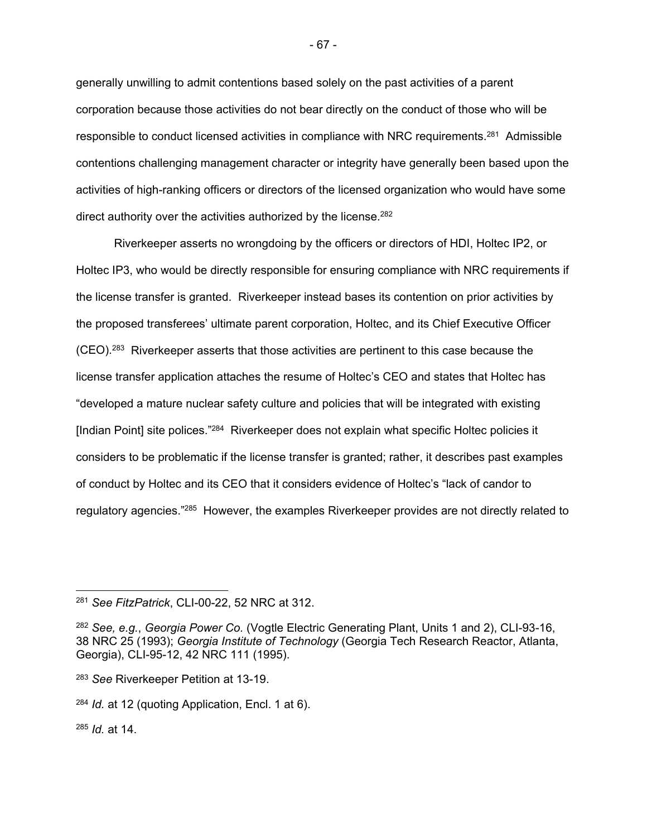generally unwilling to admit contentions based solely on the past activities of a parent corporation because those activities do not bear directly on the conduct of those who will be responsible to conduct licensed activities in compliance with NRC requirements.281 Admissible contentions challenging management character or integrity have generally been based upon the activities of high-ranking officers or directors of the licensed organization who would have some direct authority over the activities authorized by the license.<sup>282</sup>

 Riverkeeper asserts no wrongdoing by the officers or directors of HDI, Holtec IP2, or Holtec IP3, who would be directly responsible for ensuring compliance with NRC requirements if the license transfer is granted. Riverkeeper instead bases its contention on prior activities by the proposed transferees' ultimate parent corporation, Holtec, and its Chief Executive Officer (CEO).283 Riverkeeper asserts that those activities are pertinent to this case because the license transfer application attaches the resume of Holtec's CEO and states that Holtec has "developed a mature nuclear safety culture and policies that will be integrated with existing [Indian Point] site polices."<sup>284</sup> Riverkeeper does not explain what specific Holtec policies it considers to be problematic if the license transfer is granted; rather, it describes past examples of conduct by Holtec and its CEO that it considers evidence of Holtec's "lack of candor to regulatory agencies."285 However, the examples Riverkeeper provides are not directly related to

<sup>285</sup> *Id.* at 14.

- 67 -

<sup>281</sup> *See FitzPatrick*, CLI-00-22, 52 NRC at 312.

<sup>282</sup> *See, e.g.*, *Georgia Power Co.* (Vogtle Electric Generating Plant, Units 1 and 2), CLI-93-16, 38 NRC 25 (1993); *Georgia Institute of Technology* (Georgia Tech Research Reactor, Atlanta, Georgia), CLI-95-12, 42 NRC 111 (1995).

<sup>283</sup> *See* Riverkeeper Petition at 13-19.

<sup>284</sup> *Id.* at 12 (quoting Application, Encl. 1 at 6).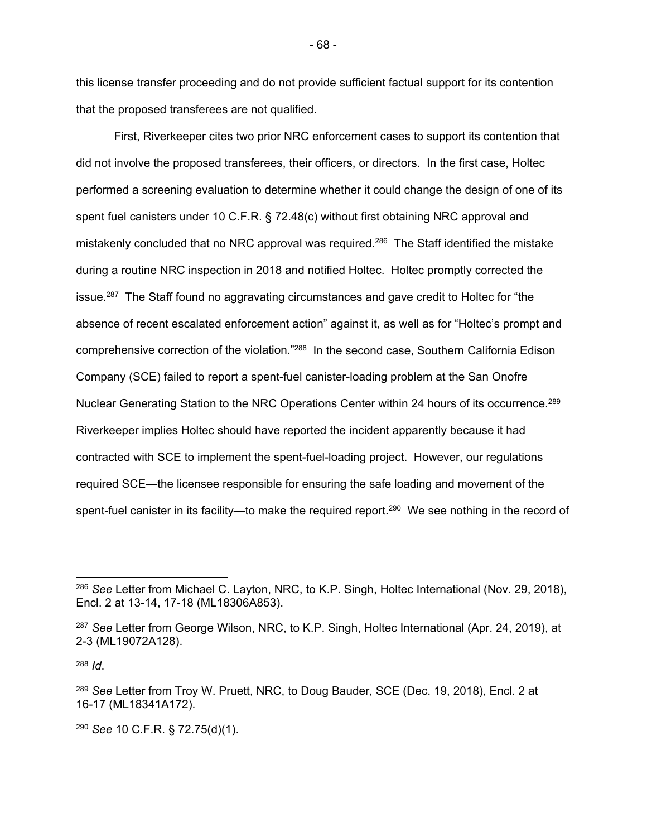this license transfer proceeding and do not provide sufficient factual support for its contention that the proposed transferees are not qualified.

 First, Riverkeeper cites two prior NRC enforcement cases to support its contention that did not involve the proposed transferees, their officers, or directors. In the first case, Holtec performed a screening evaluation to determine whether it could change the design of one of its spent fuel canisters under 10 C.F.R. § 72.48(c) without first obtaining NRC approval and mistakenly concluded that no NRC approval was required.<sup>286</sup> The Staff identified the mistake during a routine NRC inspection in 2018 and notified Holtec. Holtec promptly corrected the issue.<sup>287</sup> The Staff found no aggravating circumstances and gave credit to Holtec for "the absence of recent escalated enforcement action" against it, as well as for "Holtec's prompt and comprehensive correction of the violation."288 In the second case, Southern California Edison Company (SCE) failed to report a spent-fuel canister-loading problem at the San Onofre Nuclear Generating Station to the NRC Operations Center within 24 hours of its occurrence.<sup>289</sup> Riverkeeper implies Holtec should have reported the incident apparently because it had contracted with SCE to implement the spent-fuel-loading project. However, our regulations required SCE—the licensee responsible for ensuring the safe loading and movement of the spent-fuel canister in its facility—to make the required report.<sup>290</sup> We see nothing in the record of

<sup>288</sup> *Id*.

<sup>290</sup> *See* 10 C.F.R. § 72.75(d)(1).

- 68 -

<sup>286</sup> *See* Letter from Michael C. Layton, NRC, to K.P. Singh, Holtec International (Nov. 29, 2018), Encl. 2 at 13-14, 17-18 (ML18306A853).

<sup>287</sup> *See* Letter from George Wilson, NRC, to K.P. Singh, Holtec International (Apr. 24, 2019), at 2-3 (ML19072A128).

<sup>289</sup> *See* Letter from Troy W. Pruett, NRC, to Doug Bauder, SCE (Dec. 19, 2018), Encl. 2 at 16-17 (ML18341A172).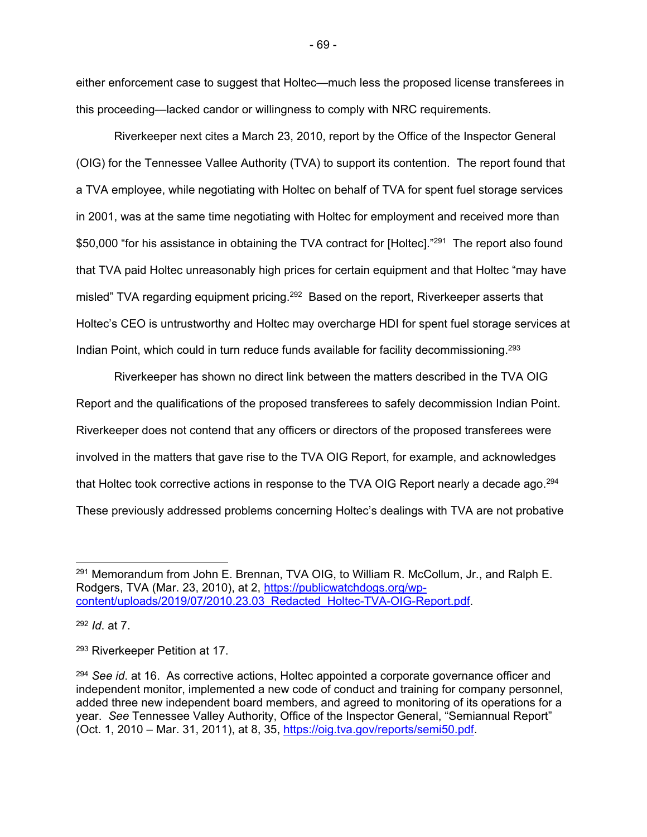either enforcement case to suggest that Holtec—much less the proposed license transferees in this proceeding—lacked candor or willingness to comply with NRC requirements.

 Riverkeeper next cites a March 23, 2010, report by the Office of the Inspector General (OIG) for the Tennessee Vallee Authority (TVA) to support its contention. The report found that a TVA employee, while negotiating with Holtec on behalf of TVA for spent fuel storage services in 2001, was at the same time negotiating with Holtec for employment and received more than \$50,000 "for his assistance in obtaining the TVA contract for [Holtec]."<sup>291</sup> The report also found that TVA paid Holtec unreasonably high prices for certain equipment and that Holtec "may have misled" TVA regarding equipment pricing.<sup>292</sup> Based on the report, Riverkeeper asserts that Holtec's CEO is untrustworthy and Holtec may overcharge HDI for spent fuel storage services at Indian Point, which could in turn reduce funds available for facility decommissioning.<sup>293</sup>

 Riverkeeper has shown no direct link between the matters described in the TVA OIG Report and the qualifications of the proposed transferees to safely decommission Indian Point. Riverkeeper does not contend that any officers or directors of the proposed transferees were involved in the matters that gave rise to the TVA OIG Report, for example, and acknowledges that Holtec took corrective actions in response to the TVA OIG Report nearly a decade ago.<sup>294</sup> These previously addressed problems concerning Holtec's dealings with TVA are not probative

<sup>&</sup>lt;sup>291</sup> Memorandum from John E. Brennan, TVA OIG, to William R. McCollum, Jr., and Ralph E. Rodgers, TVA (Mar. 23, 2010), at 2, https://publicwatchdogs.org/wpcontent/uploads/2019/07/2010.23.03\_Redacted\_Holtec-TVA-OIG-Report.pdf.

<sup>292</sup> *Id*. at 7.

<sup>293</sup> Riverkeeper Petition at 17.

<sup>294</sup> *See id*. at 16. As corrective actions, Holtec appointed a corporate governance officer and independent monitor, implemented a new code of conduct and training for company personnel, added three new independent board members, and agreed to monitoring of its operations for a year. *See* Tennessee Valley Authority, Office of the Inspector General, "Semiannual Report" (Oct. 1, 2010 – Mar. 31, 2011), at 8, 35, https://oig.tva.gov/reports/semi50.pdf.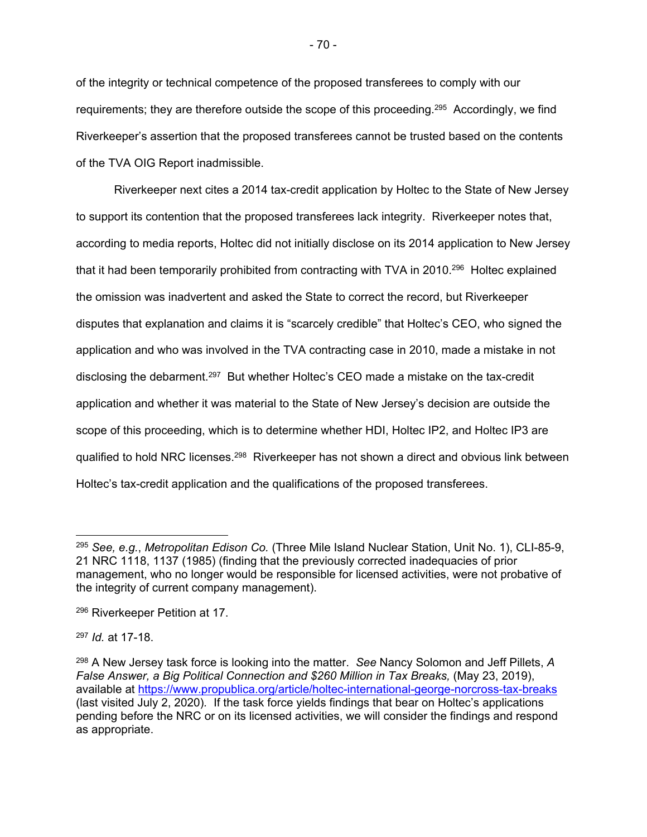of the integrity or technical competence of the proposed transferees to comply with our requirements; they are therefore outside the scope of this proceeding.<sup>295</sup> Accordingly, we find Riverkeeper's assertion that the proposed transferees cannot be trusted based on the contents of the TVA OIG Report inadmissible.

 Riverkeeper next cites a 2014 tax-credit application by Holtec to the State of New Jersey to support its contention that the proposed transferees lack integrity. Riverkeeper notes that, according to media reports, Holtec did not initially disclose on its 2014 application to New Jersey that it had been temporarily prohibited from contracting with TVA in 2010.<sup>296</sup> Holtec explained the omission was inadvertent and asked the State to correct the record, but Riverkeeper disputes that explanation and claims it is "scarcely credible" that Holtec's CEO, who signed the application and who was involved in the TVA contracting case in 2010, made a mistake in not disclosing the debarment.297 But whether Holtec's CEO made a mistake on the tax-credit application and whether it was material to the State of New Jersey's decision are outside the scope of this proceeding, which is to determine whether HDI, Holtec IP2, and Holtec IP3 are qualified to hold NRC licenses.<sup>298</sup> Riverkeeper has not shown a direct and obvious link between Holtec's tax-credit application and the qualifications of the proposed transferees.

<sup>295</sup> *See, e.g.*, *Metropolitan Edison Co.* (Three Mile Island Nuclear Station, Unit No. 1), CLI-85-9, 21 NRC 1118, 1137 (1985) (finding that the previously corrected inadequacies of prior management, who no longer would be responsible for licensed activities, were not probative of the integrity of current company management).

<sup>296</sup> Riverkeeper Petition at 17.

<sup>297</sup> *Id.* at 17-18.

<sup>298</sup> A New Jersey task force is looking into the matter. *See* Nancy Solomon and Jeff Pillets, *A False Answer, a Big Political Connection and \$260 Million in Tax Breaks, (May 23, 2019),* available at https://www.propublica.org/article/holtec-international-george-norcross-tax-breaks (last visited July 2, 2020)*.* If the task force yields findings that bear on Holtec's applications pending before the NRC or on its licensed activities, we will consider the findings and respond as appropriate.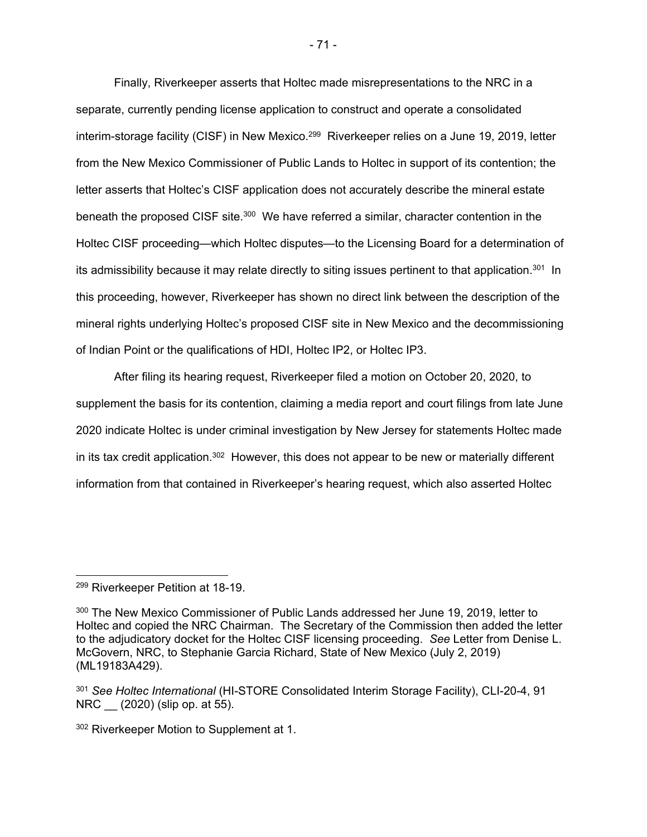Finally, Riverkeeper asserts that Holtec made misrepresentations to the NRC in a separate, currently pending license application to construct and operate a consolidated interim-storage facility (CISF) in New Mexico.<sup>299</sup> Riverkeeper relies on a June 19, 2019, letter from the New Mexico Commissioner of Public Lands to Holtec in support of its contention; the letter asserts that Holtec's CISF application does not accurately describe the mineral estate beneath the proposed CISF site.<sup>300</sup> We have referred a similar, character contention in the Holtec CISF proceeding—which Holtec disputes—to the Licensing Board for a determination of its admissibility because it may relate directly to siting issues pertinent to that application.<sup>301</sup> In this proceeding, however, Riverkeeper has shown no direct link between the description of the mineral rights underlying Holtec's proposed CISF site in New Mexico and the decommissioning of Indian Point or the qualifications of HDI, Holtec IP2, or Holtec IP3.

 After filing its hearing request, Riverkeeper filed a motion on October 20, 2020, to supplement the basis for its contention, claiming a media report and court filings from late June 2020 indicate Holtec is under criminal investigation by New Jersey for statements Holtec made in its tax credit application.<sup>302</sup> However, this does not appear to be new or materially different information from that contained in Riverkeeper's hearing request, which also asserted Holtec

<sup>302</sup> Riverkeeper Motion to Supplement at 1.

- 71 -

<sup>299</sup> Riverkeeper Petition at 18-19.

<sup>300</sup> The New Mexico Commissioner of Public Lands addressed her June 19, 2019, letter to Holtec and copied the NRC Chairman. The Secretary of the Commission then added the letter to the adjudicatory docket for the Holtec CISF licensing proceeding. *See* Letter from Denise L. McGovern, NRC, to Stephanie Garcia Richard, State of New Mexico (July 2, 2019) (ML19183A429).

<sup>301</sup> *See Holtec International* (HI-STORE Consolidated Interim Storage Facility), CLI-20-4, 91 NRC \_\_ (2020) (slip op. at 55).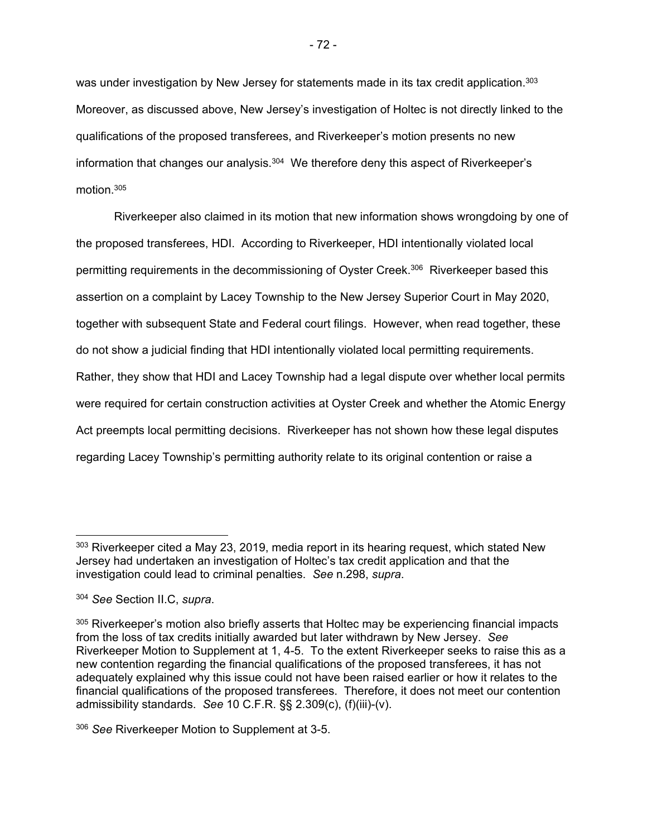was under investigation by New Jersey for statements made in its tax credit application.<sup>303</sup> Moreover, as discussed above, New Jersey's investigation of Holtec is not directly linked to the qualifications of the proposed transferees, and Riverkeeper's motion presents no new information that changes our analysis.<sup>304</sup> We therefore deny this aspect of Riverkeeper's motion.305

 Riverkeeper also claimed in its motion that new information shows wrongdoing by one of the proposed transferees, HDI. According to Riverkeeper, HDI intentionally violated local permitting requirements in the decommissioning of Oyster Creek.<sup>306</sup> Riverkeeper based this assertion on a complaint by Lacey Township to the New Jersey Superior Court in May 2020, together with subsequent State and Federal court filings. However, when read together, these do not show a judicial finding that HDI intentionally violated local permitting requirements. Rather, they show that HDI and Lacey Township had a legal dispute over whether local permits were required for certain construction activities at Oyster Creek and whether the Atomic Energy Act preempts local permitting decisions. Riverkeeper has not shown how these legal disputes regarding Lacey Township's permitting authority relate to its original contention or raise a

 $303$  Riverkeeper cited a May 23, 2019, media report in its hearing request, which stated New Jersey had undertaken an investigation of Holtec's tax credit application and that the investigation could lead to criminal penalties. *See* n.298, *supra*.

<sup>304</sup> *See* Section II.C, *supra*.

<sup>&</sup>lt;sup>305</sup> Riverkeeper's motion also briefly asserts that Holtec may be experiencing financial impacts from the loss of tax credits initially awarded but later withdrawn by New Jersey. *See*  Riverkeeper Motion to Supplement at 1, 4-5. To the extent Riverkeeper seeks to raise this as a new contention regarding the financial qualifications of the proposed transferees, it has not adequately explained why this issue could not have been raised earlier or how it relates to the financial qualifications of the proposed transferees. Therefore, it does not meet our contention admissibility standards. *See* 10 C.F.R. §§ 2.309(c), (f)(iii)-(v).

<sup>306</sup> *See* Riverkeeper Motion to Supplement at 3-5.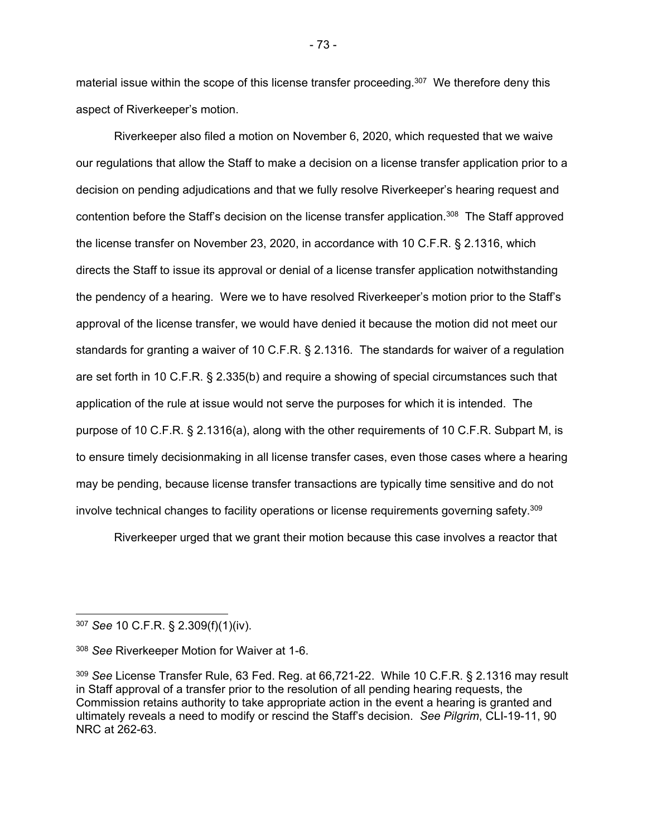material issue within the scope of this license transfer proceeding.<sup>307</sup> We therefore deny this aspect of Riverkeeper's motion.

 Riverkeeper also filed a motion on November 6, 2020, which requested that we waive our regulations that allow the Staff to make a decision on a license transfer application prior to a decision on pending adjudications and that we fully resolve Riverkeeper's hearing request and contention before the Staff's decision on the license transfer application.308 The Staff approved the license transfer on November 23, 2020, in accordance with 10 C.F.R. § 2.1316, which directs the Staff to issue its approval or denial of a license transfer application notwithstanding the pendency of a hearing. Were we to have resolved Riverkeeper's motion prior to the Staff's approval of the license transfer, we would have denied it because the motion did not meet our standards for granting a waiver of 10 C.F.R. § 2.1316. The standards for waiver of a regulation are set forth in 10 C.F.R. § 2.335(b) and require a showing of special circumstances such that application of the rule at issue would not serve the purposes for which it is intended. The purpose of 10 C.F.R. § 2.1316(a), along with the other requirements of 10 C.F.R. Subpart M, is to ensure timely decisionmaking in all license transfer cases, even those cases where a hearing may be pending, because license transfer transactions are typically time sensitive and do not involve technical changes to facility operations or license requirements governing safety.<sup>309</sup>

Riverkeeper urged that we grant their motion because this case involves a reactor that

- 73 -

<sup>307</sup> *See* 10 C.F.R. § 2.309(f)(1)(iv).

<sup>308</sup> *See* Riverkeeper Motion for Waiver at 1-6.

<sup>309</sup> *See* License Transfer Rule, 63 Fed. Reg. at 66,721-22. While 10 C.F.R. § 2.1316 may result in Staff approval of a transfer prior to the resolution of all pending hearing requests, the Commission retains authority to take appropriate action in the event a hearing is granted and ultimately reveals a need to modify or rescind the Staff's decision. *See Pilgrim*, CLI-19-11, 90 NRC at 262-63.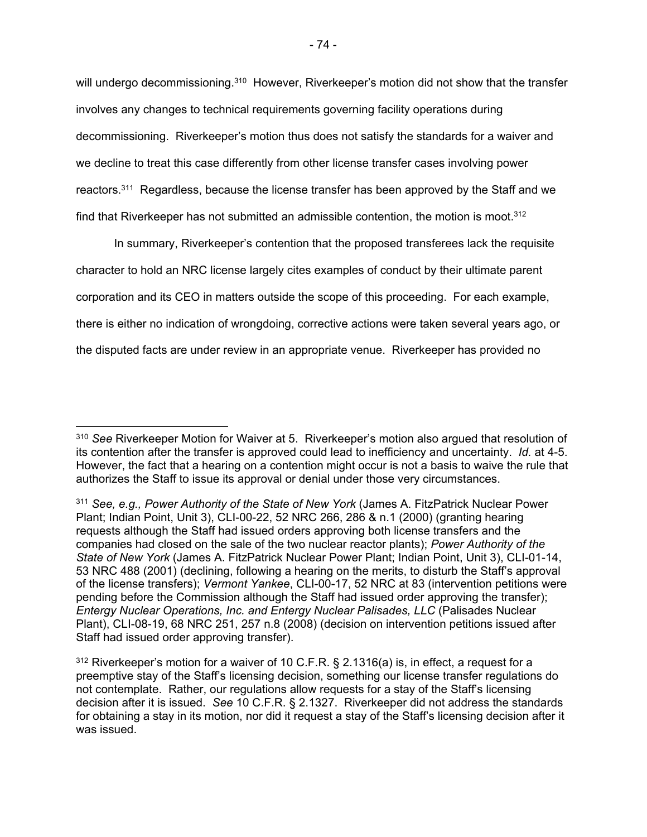will undergo decommissioning.<sup>310</sup> However, Riverkeeper's motion did not show that the transfer involves any changes to technical requirements governing facility operations during decommissioning. Riverkeeper's motion thus does not satisfy the standards for a waiver and we decline to treat this case differently from other license transfer cases involving power reactors.311 Regardless, because the license transfer has been approved by the Staff and we find that Riverkeeper has not submitted an admissible contention, the motion is moot.<sup>312</sup>

 In summary, Riverkeeper's contention that the proposed transferees lack the requisite character to hold an NRC license largely cites examples of conduct by their ultimate parent corporation and its CEO in matters outside the scope of this proceeding. For each example, there is either no indication of wrongdoing, corrective actions were taken several years ago, or the disputed facts are under review in an appropriate venue. Riverkeeper has provided no

<sup>310</sup> *See* Riverkeeper Motion for Waiver at 5. Riverkeeper's motion also argued that resolution of its contention after the transfer is approved could lead to inefficiency and uncertainty. *Id.* at 4-5. However, the fact that a hearing on a contention might occur is not a basis to waive the rule that authorizes the Staff to issue its approval or denial under those very circumstances.

<sup>311</sup> *See, e.g., Power Authority of the State of New York* (James A. FitzPatrick Nuclear Power Plant; Indian Point, Unit 3), CLI-00-22, 52 NRC 266, 286 & n.1 (2000) (granting hearing requests although the Staff had issued orders approving both license transfers and the companies had closed on the sale of the two nuclear reactor plants); *Power Authority of the State of New York* (James A. FitzPatrick Nuclear Power Plant; Indian Point, Unit 3), CLI-01-14, 53 NRC 488 (2001) (declining, following a hearing on the merits, to disturb the Staff's approval of the license transfers); *Vermont Yankee*, CLI-00-17, 52 NRC at 83 (intervention petitions were pending before the Commission although the Staff had issued order approving the transfer); *Entergy Nuclear Operations, Inc. and Entergy Nuclear Palisades, LLC* (Palisades Nuclear Plant), CLI-08-19, 68 NRC 251, 257 n.8 (2008) (decision on intervention petitions issued after Staff had issued order approving transfer).

<sup>&</sup>lt;sup>312</sup> Riverkeeper's motion for a waiver of 10 C.F.R. § 2.1316(a) is, in effect, a request for a preemptive stay of the Staff's licensing decision, something our license transfer regulations do not contemplate. Rather, our regulations allow requests for a stay of the Staff's licensing decision after it is issued. *See* 10 C.F.R. § 2.1327. Riverkeeper did not address the standards for obtaining a stay in its motion, nor did it request a stay of the Staff's licensing decision after it was issued.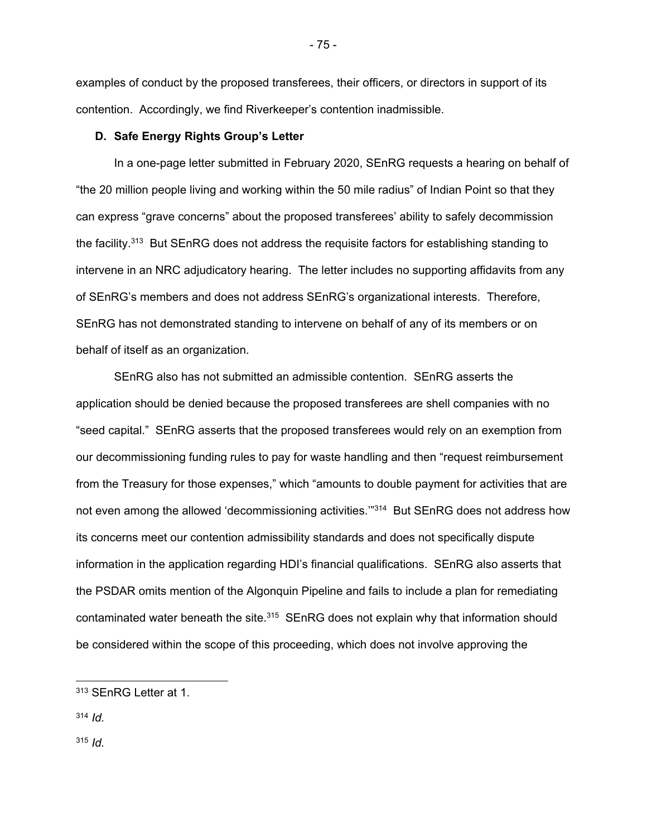examples of conduct by the proposed transferees, their officers, or directors in support of its contention. Accordingly, we find Riverkeeper's contention inadmissible.

#### **D. Safe Energy Rights Group's Letter**

In a one-page letter submitted in February 2020, SEnRG requests a hearing on behalf of "the 20 million people living and working within the 50 mile radius" of Indian Point so that they can express "grave concerns" about the proposed transferees' ability to safely decommission the facility.<sup>313</sup> But SEnRG does not address the requisite factors for establishing standing to intervene in an NRC adjudicatory hearing. The letter includes no supporting affidavits from any of SEnRG's members and does not address SEnRG's organizational interests. Therefore, SEnRG has not demonstrated standing to intervene on behalf of any of its members or on behalf of itself as an organization.

 SEnRG also has not submitted an admissible contention. SEnRG asserts the application should be denied because the proposed transferees are shell companies with no "seed capital." SEnRG asserts that the proposed transferees would rely on an exemption from our decommissioning funding rules to pay for waste handling and then "request reimbursement from the Treasury for those expenses," which "amounts to double payment for activities that are not even among the allowed 'decommissioning activities."<sup>314</sup> But SEnRG does not address how its concerns meet our contention admissibility standards and does not specifically dispute information in the application regarding HDI's financial qualifications. SEnRG also asserts that the PSDAR omits mention of the Algonquin Pipeline and fails to include a plan for remediating contaminated water beneath the site.<sup>315</sup> SEnRG does not explain why that information should be considered within the scope of this proceeding, which does not involve approving the

 $314$  *Id.* 

<sup>315</sup> *Id.*

<sup>313</sup> SEnRG Letter at 1.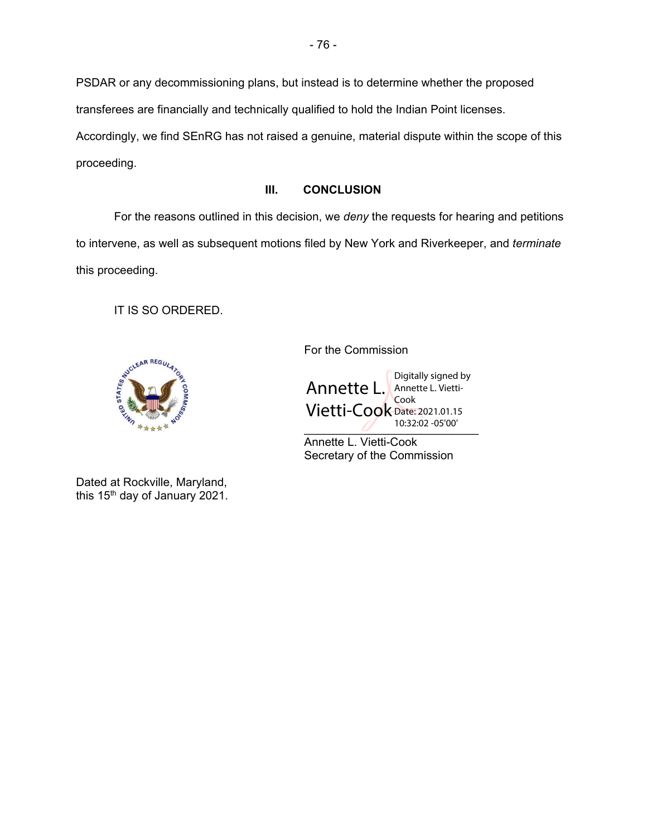PSDAR or any decommissioning plans, but instead is to determine whether the proposed transferees are financially and technically qualified to hold the Indian Point licenses. Accordingly, we find SEnRG has not raised a genuine, material dispute within the scope of this proceeding.

# **III. CONCLUSION**

For the reasons outlined in this decision, we *deny* the requests for hearing and petitions to intervene, as well as subsequent motions filed by New York and Riverkeeper, and *terminate* this proceeding.

IT IS SO ORDERED.



 $*_{*_{*_{*_{*_{*}}}}}$ Annette L. Vietti-Cook Date: 2021.01.15 Digitally signed by Annette L. Vietti-Cook 10:32:02 -05'00'

 Annette L. Vietti-Cook Secretary of the Commission

Dated at Rockville, Maryland, this 15th day of January 2021.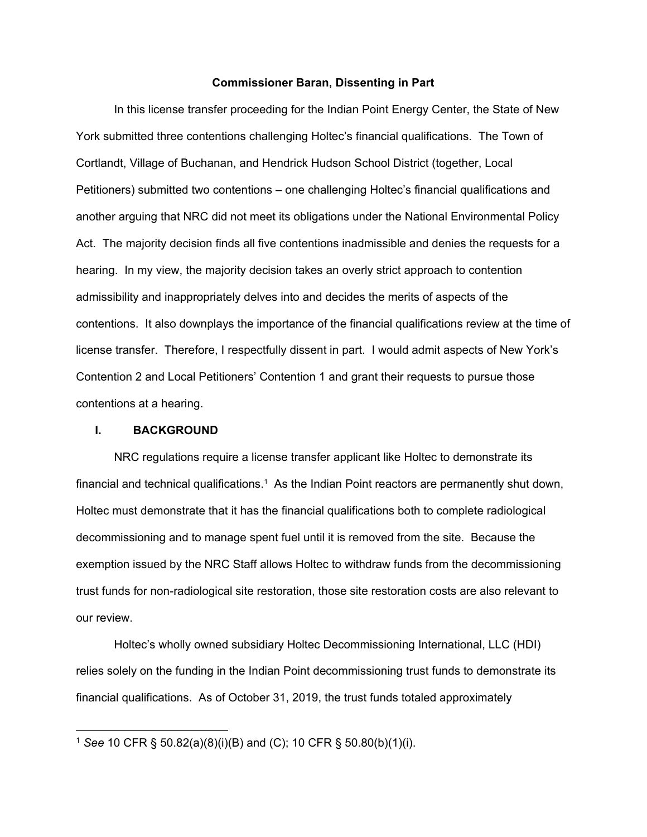#### **Commissioner Baran, Dissenting in Part**

In this license transfer proceeding for the Indian Point Energy Center, the State of New York submitted three contentions challenging Holtec's financial qualifications. The Town of Cortlandt, Village of Buchanan, and Hendrick Hudson School District (together, Local Petitioners) submitted two contentions – one challenging Holtec's financial qualifications and another arguing that NRC did not meet its obligations under the National Environmental Policy Act. The majority decision finds all five contentions inadmissible and denies the requests for a hearing. In my view, the majority decision takes an overly strict approach to contention admissibility and inappropriately delves into and decides the merits of aspects of the contentions. It also downplays the importance of the financial qualifications review at the time of license transfer. Therefore, I respectfully dissent in part. I would admit aspects of New York's Contention 2 and Local Petitioners' Contention 1 and grant their requests to pursue those contentions at a hearing.

# **I. BACKGROUND**

NRC regulations require a license transfer applicant like Holtec to demonstrate its financial and technical qualifications.<sup>1</sup> As the Indian Point reactors are permanently shut down, Holtec must demonstrate that it has the financial qualifications both to complete radiological decommissioning and to manage spent fuel until it is removed from the site. Because the exemption issued by the NRC Staff allows Holtec to withdraw funds from the decommissioning trust funds for non-radiological site restoration, those site restoration costs are also relevant to our review.

Holtec's wholly owned subsidiary Holtec Decommissioning International, LLC (HDI) relies solely on the funding in the Indian Point decommissioning trust funds to demonstrate its financial qualifications. As of October 31, 2019, the trust funds totaled approximately

<sup>1</sup> *See* 10 CFR § 50.82(a)(8)(i)(B) and (C); 10 CFR § 50.80(b)(1)(i).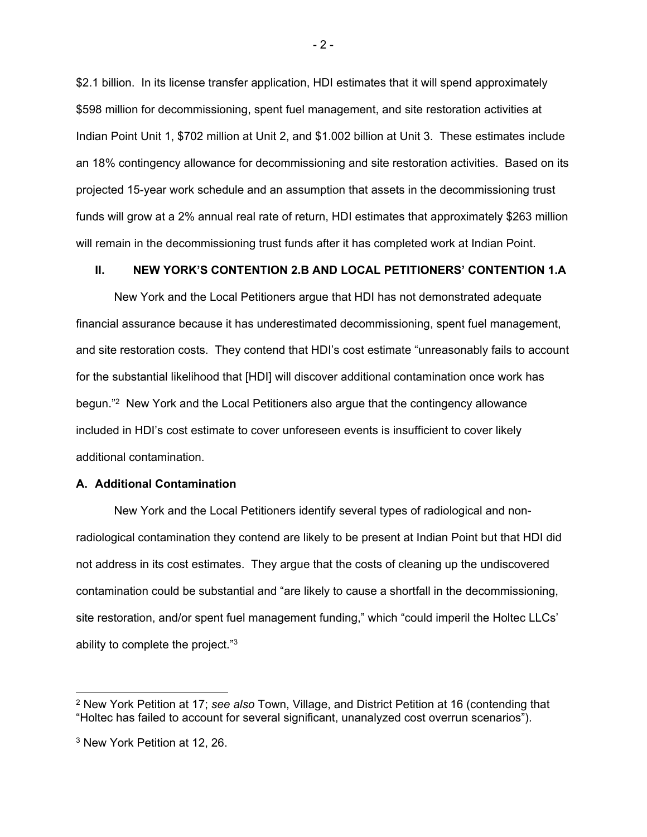\$2.1 billion. In its license transfer application, HDI estimates that it will spend approximately \$598 million for decommissioning, spent fuel management, and site restoration activities at Indian Point Unit 1, \$702 million at Unit 2, and \$1.002 billion at Unit 3. These estimates include an 18% contingency allowance for decommissioning and site restoration activities. Based on its projected 15-year work schedule and an assumption that assets in the decommissioning trust funds will grow at a 2% annual real rate of return, HDI estimates that approximately \$263 million will remain in the decommissioning trust funds after it has completed work at Indian Point.

## **II. NEW YORK'S CONTENTION 2.B AND LOCAL PETITIONERS' CONTENTION 1.A**

New York and the Local Petitioners argue that HDI has not demonstrated adequate financial assurance because it has underestimated decommissioning, spent fuel management, and site restoration costs. They contend that HDI's cost estimate "unreasonably fails to account for the substantial likelihood that [HDI] will discover additional contamination once work has begun."2 New York and the Local Petitioners also argue that the contingency allowance included in HDI's cost estimate to cover unforeseen events is insufficient to cover likely additional contamination.

### **A. Additional Contamination**

New York and the Local Petitioners identify several types of radiological and nonradiological contamination they contend are likely to be present at Indian Point but that HDI did not address in its cost estimates. They argue that the costs of cleaning up the undiscovered contamination could be substantial and "are likely to cause a shortfall in the decommissioning, site restoration, and/or spent fuel management funding," which "could imperil the Holtec LLCs' ability to complete the project."3

<sup>2</sup> New York Petition at 17; *see also* Town, Village, and District Petition at 16 (contending that "Holtec has failed to account for several significant, unanalyzed cost overrun scenarios").

<sup>3</sup> New York Petition at 12, 26.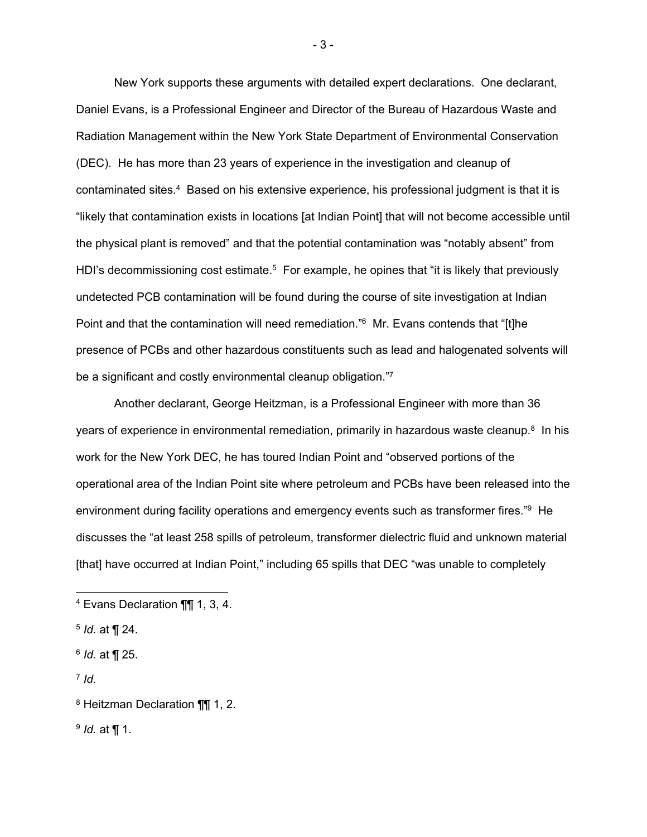New York supports these arguments with detailed expert declarations. One declarant, Daniel Evans, is a Professional Engineer and Director of the Bureau of Hazardous Waste and Radiation Management within the New York State Department of Environmental Conservation (DEC). He has more than 23 years of experience in the investigation and cleanup of contaminated sites.<sup>4</sup> Based on his extensive experience, his professional judgment is that it is "likely that contamination exists in locations [at Indian Point] that will not become accessible until the physical plant is removed" and that the potential contamination was "notably absent" from HDI's decommissioning cost estimate.<sup>5</sup> For example, he opines that "it is likely that previously undetected PCB contamination will be found during the course of site investigation at Indian Point and that the contamination will need remediation."6 Mr. Evans contends that "[t]he presence of PCBs and other hazardous constituents such as lead and halogenated solvents will be a significant and costly environmental cleanup obligation."7

Another declarant, George Heitzman, is a Professional Engineer with more than 36 years of experience in environmental remediation, primarily in hazardous waste cleanup.<sup>8</sup> In his work for the New York DEC, he has toured Indian Point and "observed portions of the operational area of the Indian Point site where petroleum and PCBs have been released into the environment during facility operations and emergency events such as transformer fires."9 He discusses the "at least 258 spills of petroleum, transformer dielectric fluid and unknown material [that] have occurred at Indian Point," including 65 spills that DEC "was unable to completely

- 3 -

<sup>4</sup> Evans Declaration ¶¶ 1, 3, 4.

<sup>5</sup> *Id.* at ¶ 24.

<sup>6</sup> *Id.* at ¶ 25.

 $7$  *Id.* 

<sup>8</sup> Heitzman Declaration ¶¶ 1, 2.

<sup>9</sup> *Id.* at ¶ 1.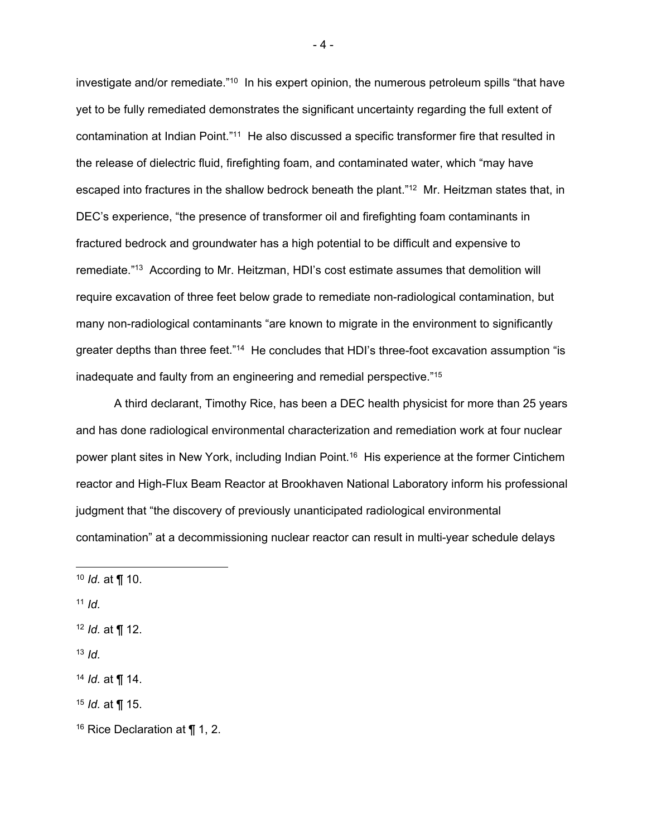investigate and/or remediate."<sup>10</sup> In his expert opinion, the numerous petroleum spills "that have yet to be fully remediated demonstrates the significant uncertainty regarding the full extent of contamination at Indian Point."11 He also discussed a specific transformer fire that resulted in the release of dielectric fluid, firefighting foam, and contaminated water, which "may have escaped into fractures in the shallow bedrock beneath the plant."12 Mr. Heitzman states that, in DEC's experience, "the presence of transformer oil and firefighting foam contaminants in fractured bedrock and groundwater has a high potential to be difficult and expensive to remediate."13 According to Mr. Heitzman, HDI's cost estimate assumes that demolition will require excavation of three feet below grade to remediate non-radiological contamination, but many non-radiological contaminants "are known to migrate in the environment to significantly greater depths than three feet."<sup>14</sup> He concludes that HDI's three-foot excavation assumption "is inadequate and faulty from an engineering and remedial perspective."15

A third declarant, Timothy Rice, has been a DEC health physicist for more than 25 years and has done radiological environmental characterization and remediation work at four nuclear power plant sites in New York, including Indian Point.<sup>16</sup> His experience at the former Cintichem reactor and High-Flux Beam Reactor at Brookhaven National Laboratory inform his professional judgment that "the discovery of previously unanticipated radiological environmental contamination" at a decommissioning nuclear reactor can result in multi-year schedule delays

- <sup>11</sup> *Id.*
- <sup>12</sup> *Id.* at ¶ 12.
- $13$  *Id.*

- <sup>15</sup> *Id.* at ¶ 15.
- 16 Rice Declaration at ¶ 1, 2.

- 4 -

<sup>10</sup> *Id.* at ¶ 10.

<sup>14</sup> *Id.* at ¶ 14.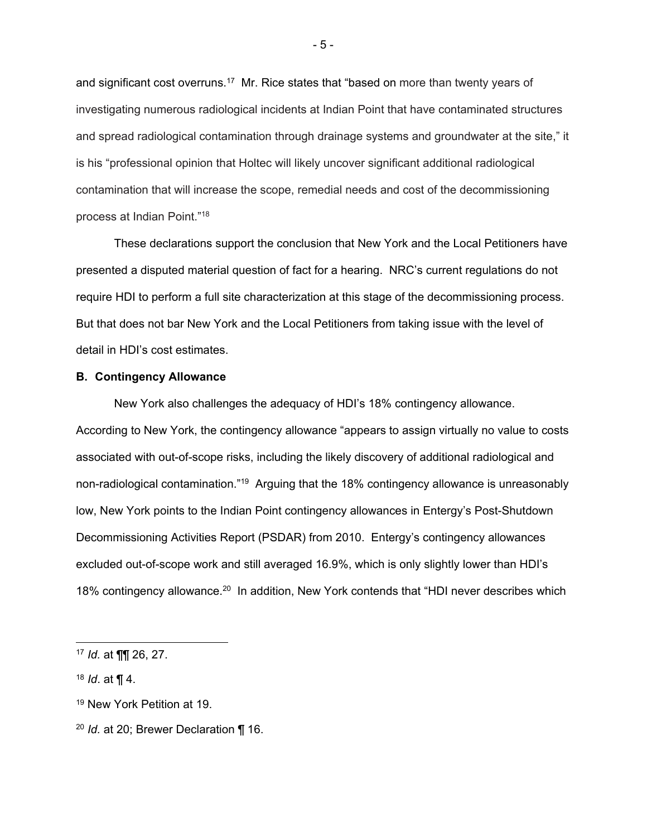and significant cost overruns.<sup>17</sup> Mr. Rice states that "based on more than twenty years of investigating numerous radiological incidents at Indian Point that have contaminated structures and spread radiological contamination through drainage systems and groundwater at the site," it is his "professional opinion that Holtec will likely uncover significant additional radiological contamination that will increase the scope, remedial needs and cost of the decommissioning process at Indian Point."18

These declarations support the conclusion that New York and the Local Petitioners have presented a disputed material question of fact for a hearing. NRC's current regulations do not require HDI to perform a full site characterization at this stage of the decommissioning process. But that does not bar New York and the Local Petitioners from taking issue with the level of detail in HDI's cost estimates.

### **B. Contingency Allowance**

New York also challenges the adequacy of HDI's 18% contingency allowance. According to New York, the contingency allowance "appears to assign virtually no value to costs associated with out-of-scope risks, including the likely discovery of additional radiological and non-radiological contamination."<sup>19</sup> Arguing that the 18% contingency allowance is unreasonably low, New York points to the Indian Point contingency allowances in Entergy's Post-Shutdown Decommissioning Activities Report (PSDAR) from 2010. Entergy's contingency allowances excluded out-of-scope work and still averaged 16.9%, which is only slightly lower than HDI's 18% contingency allowance.<sup>20</sup> In addition, New York contends that "HDI never describes which

- 5 -

<sup>17</sup> *Id.* at ¶¶ 26, 27.

<sup>18</sup> *Id*. at ¶ 4.

<sup>19</sup> New York Petition at 19.

<sup>20</sup> *Id.* at 20; Brewer Declaration ¶ 16.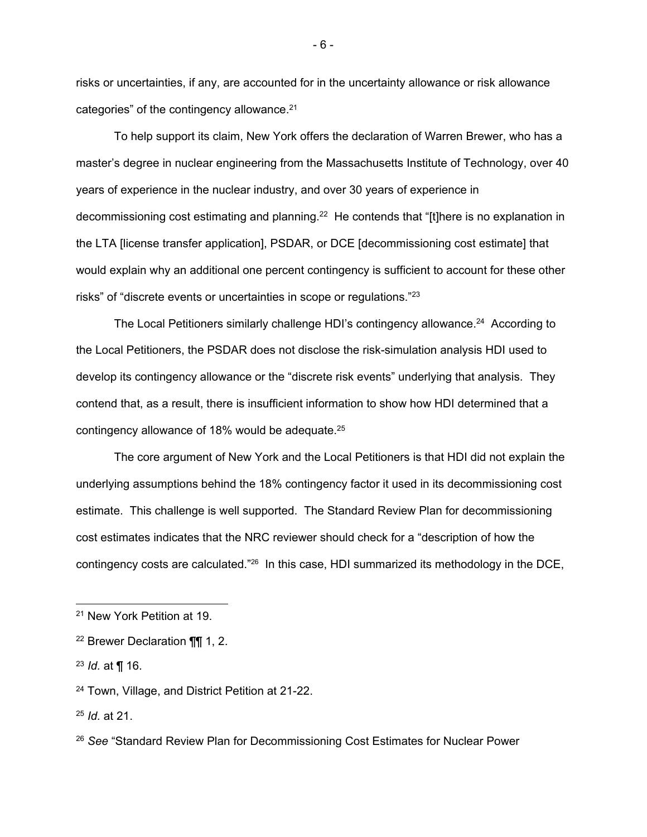risks or uncertainties, if any, are accounted for in the uncertainty allowance or risk allowance categories" of the contingency allowance.<sup>21</sup>

To help support its claim, New York offers the declaration of Warren Brewer, who has a master's degree in nuclear engineering from the Massachusetts Institute of Technology, over 40 years of experience in the nuclear industry, and over 30 years of experience in decommissioning cost estimating and planning.<sup>22</sup> He contends that "[t]here is no explanation in the LTA [license transfer application], PSDAR, or DCE [decommissioning cost estimate] that would explain why an additional one percent contingency is sufficient to account for these other risks" of "discrete events or uncertainties in scope or regulations."23

The Local Petitioners similarly challenge HDI's contingency allowance.<sup>24</sup> According to the Local Petitioners, the PSDAR does not disclose the risk-simulation analysis HDI used to develop its contingency allowance or the "discrete risk events" underlying that analysis. They contend that, as a result, there is insufficient information to show how HDI determined that a contingency allowance of 18% would be adequate.25

The core argument of New York and the Local Petitioners is that HDI did not explain the underlying assumptions behind the 18% contingency factor it used in its decommissioning cost estimate. This challenge is well supported. The Standard Review Plan for decommissioning cost estimates indicates that the NRC reviewer should check for a "description of how the contingency costs are calculated."26 In this case, HDI summarized its methodology in the DCE,

- 6 -

<sup>21</sup> New York Petition at 19.

<sup>&</sup>lt;sup>22</sup> Brewer Declaration  $\P\P$  1, 2.

<sup>23</sup> *Id.* at ¶ 16.

<sup>24</sup> Town, Village, and District Petition at 21-22.

<sup>25</sup> *Id.* at 21.

<sup>26</sup> *See* "Standard Review Plan for Decommissioning Cost Estimates for Nuclear Power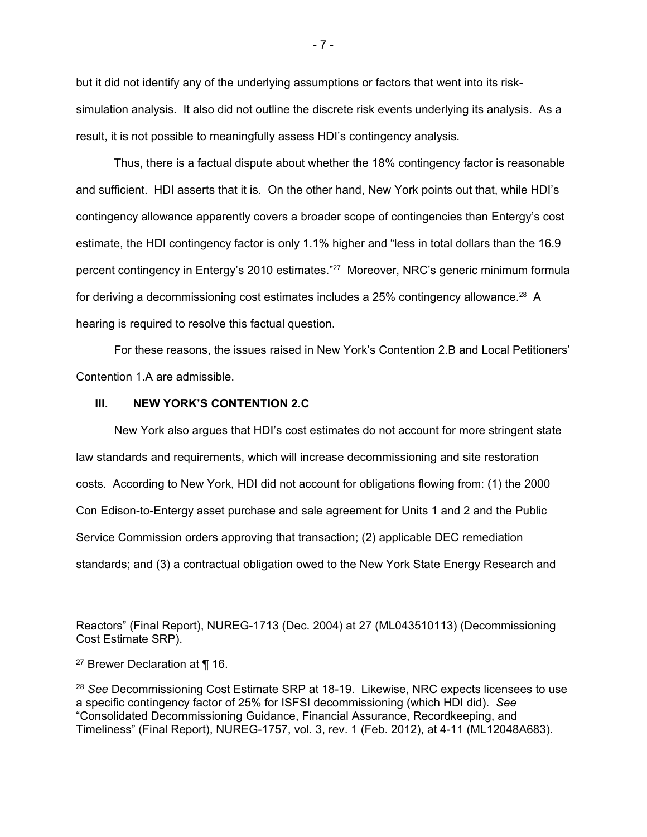but it did not identify any of the underlying assumptions or factors that went into its risksimulation analysis. It also did not outline the discrete risk events underlying its analysis. As a result, it is not possible to meaningfully assess HDI's contingency analysis.

Thus, there is a factual dispute about whether the 18% contingency factor is reasonable and sufficient. HDI asserts that it is. On the other hand, New York points out that, while HDI's contingency allowance apparently covers a broader scope of contingencies than Entergy's cost estimate, the HDI contingency factor is only 1.1% higher and "less in total dollars than the 16.9 percent contingency in Entergy's 2010 estimates."27 Moreover, NRC's generic minimum formula for deriving a decommissioning cost estimates includes a 25% contingency allowance.<sup>28</sup> A hearing is required to resolve this factual question.

For these reasons, the issues raised in New York's Contention 2.B and Local Petitioners' Contention 1.A are admissible.

## **III. NEW YORK'S CONTENTION 2.C**

New York also argues that HDI's cost estimates do not account for more stringent state law standards and requirements, which will increase decommissioning and site restoration costs. According to New York, HDI did not account for obligations flowing from: (1) the 2000 Con Edison-to-Entergy asset purchase and sale agreement for Units 1 and 2 and the Public Service Commission orders approving that transaction; (2) applicable DEC remediation standards; and (3) a contractual obligation owed to the New York State Energy Research and

- 7 -

Reactors" (Final Report), NUREG-1713 (Dec. 2004) at 27 (ML043510113) (Decommissioning Cost Estimate SRP).

<sup>27</sup> Brewer Declaration at ¶ 16.

<sup>28</sup> *See* Decommissioning Cost Estimate SRP at 18-19. Likewise, NRC expects licensees to use a specific contingency factor of 25% for ISFSI decommissioning (which HDI did). *See*  "Consolidated Decommissioning Guidance, Financial Assurance, Recordkeeping, and Timeliness" (Final Report), NUREG-1757, vol. 3, rev. 1 (Feb. 2012), at 4-11 (ML12048A683).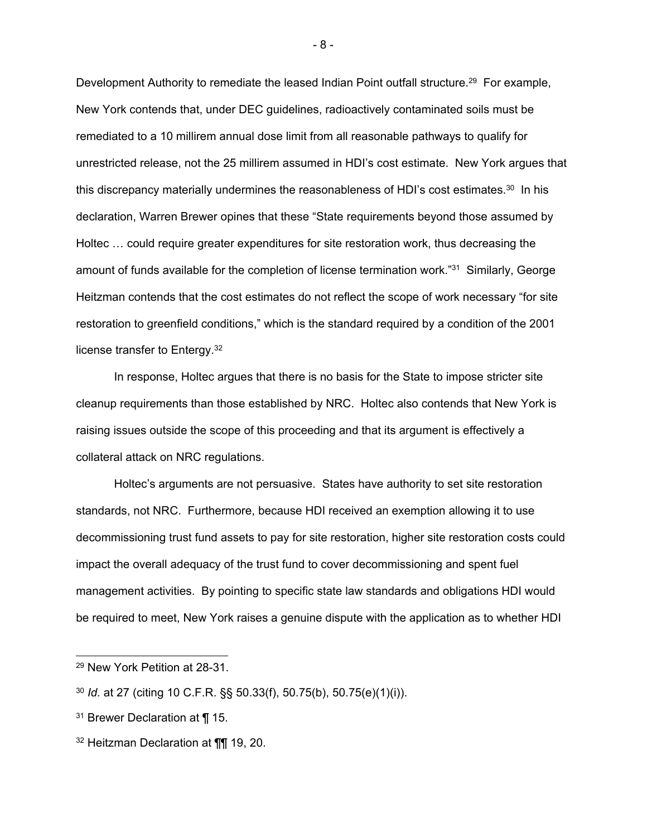Development Authority to remediate the leased Indian Point outfall structure.<sup>29</sup> For example, New York contends that, under DEC guidelines, radioactively contaminated soils must be remediated to a 10 millirem annual dose limit from all reasonable pathways to qualify for unrestricted release, not the 25 millirem assumed in HDI's cost estimate. New York argues that this discrepancy materially undermines the reasonableness of HDI's cost estimates.<sup>30</sup> In his declaration, Warren Brewer opines that these "State requirements beyond those assumed by Holtec … could require greater expenditures for site restoration work, thus decreasing the amount of funds available for the completion of license termination work."<sup>31</sup> Similarly, George Heitzman contends that the cost estimates do not reflect the scope of work necessary "for site restoration to greenfield conditions," which is the standard required by a condition of the 2001 license transfer to Entergy.32

In response, Holtec argues that there is no basis for the State to impose stricter site cleanup requirements than those established by NRC. Holtec also contends that New York is raising issues outside the scope of this proceeding and that its argument is effectively a collateral attack on NRC regulations.

Holtec's arguments are not persuasive. States have authority to set site restoration standards, not NRC. Furthermore, because HDI received an exemption allowing it to use decommissioning trust fund assets to pay for site restoration, higher site restoration costs could impact the overall adequacy of the trust fund to cover decommissioning and spent fuel management activities. By pointing to specific state law standards and obligations HDI would be required to meet, New York raises a genuine dispute with the application as to whether HDI

- 8 -

<sup>29</sup> New York Petition at 28-31.

<sup>30</sup> *Id.* at 27 (citing 10 C.F.R. §§ 50.33(f), 50.75(b), 50.75(e)(1)(i)).

<sup>&</sup>lt;sup>31</sup> Brewer Declaration at ¶ 15.

<sup>32</sup> Heitzman Declaration at ¶¶ 19, 20.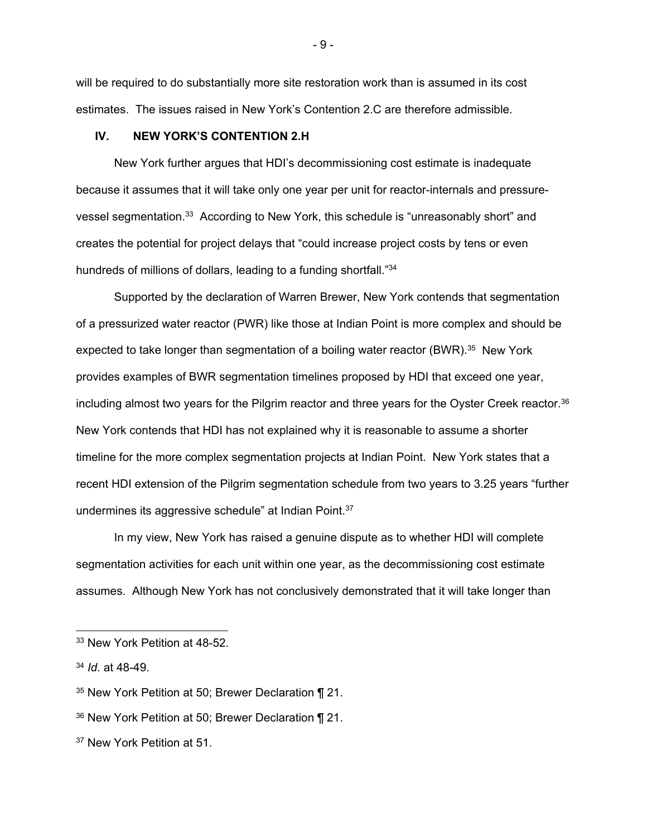will be required to do substantially more site restoration work than is assumed in its cost estimates. The issues raised in New York's Contention 2.C are therefore admissible.

#### **IV. NEW YORK'S CONTENTION 2.H**

New York further argues that HDI's decommissioning cost estimate is inadequate because it assumes that it will take only one year per unit for reactor-internals and pressurevessel segmentation.<sup>33</sup> According to New York, this schedule is "unreasonably short" and creates the potential for project delays that "could increase project costs by tens or even hundreds of millions of dollars, leading to a funding shortfall."<sup>34</sup>

Supported by the declaration of Warren Brewer, New York contends that segmentation of a pressurized water reactor (PWR) like those at Indian Point is more complex and should be expected to take longer than segmentation of a boiling water reactor (BWR).<sup>35</sup> New York provides examples of BWR segmentation timelines proposed by HDI that exceed one year, including almost two years for the Pilgrim reactor and three years for the Oyster Creek reactor.36 New York contends that HDI has not explained why it is reasonable to assume a shorter timeline for the more complex segmentation projects at Indian Point. New York states that a recent HDI extension of the Pilgrim segmentation schedule from two years to 3.25 years "further undermines its aggressive schedule" at Indian Point.<sup>37</sup>

 In my view, New York has raised a genuine dispute as to whether HDI will complete segmentation activities for each unit within one year, as the decommissioning cost estimate assumes. Although New York has not conclusively demonstrated that it will take longer than

- 9 -

<sup>33</sup> New York Petition at 48-52.

<sup>34</sup> *Id.* at 48-49.

<sup>35</sup> New York Petition at 50; Brewer Declaration ¶ 21.

<sup>36</sup> New York Petition at 50; Brewer Declaration ¶ 21.

<sup>37</sup> New York Petition at 51.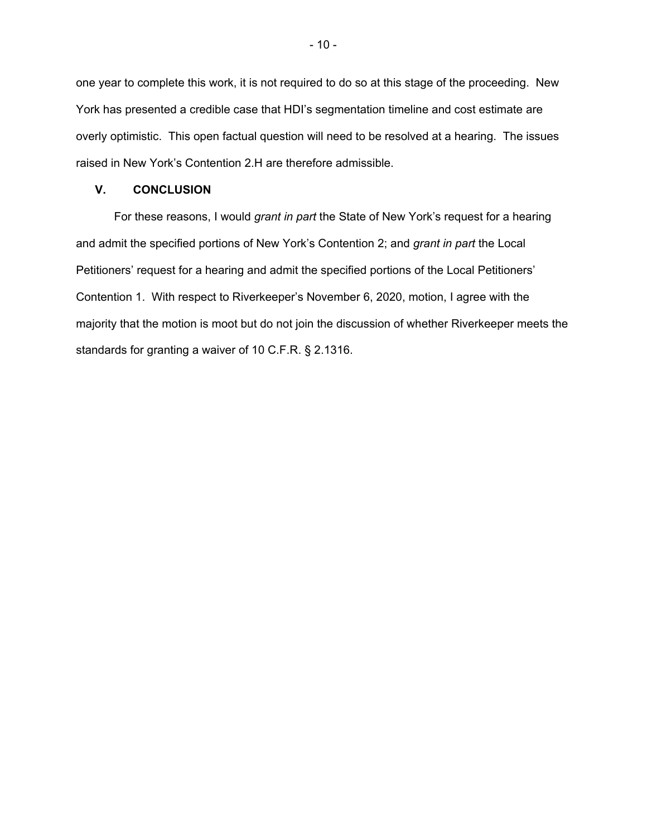one year to complete this work, it is not required to do so at this stage of the proceeding. New York has presented a credible case that HDI's segmentation timeline and cost estimate are overly optimistic. This open factual question will need to be resolved at a hearing. The issues raised in New York's Contention 2.H are therefore admissible.

#### **V. CONCLUSION**

For these reasons, I would *grant in part* the State of New York's request for a hearing and admit the specified portions of New York's Contention 2; and *grant in part* the Local Petitioners' request for a hearing and admit the specified portions of the Local Petitioners' Contention 1. With respect to Riverkeeper's November 6, 2020, motion, I agree with the majority that the motion is moot but do not join the discussion of whether Riverkeeper meets the standards for granting a waiver of 10 C.F.R. § 2.1316.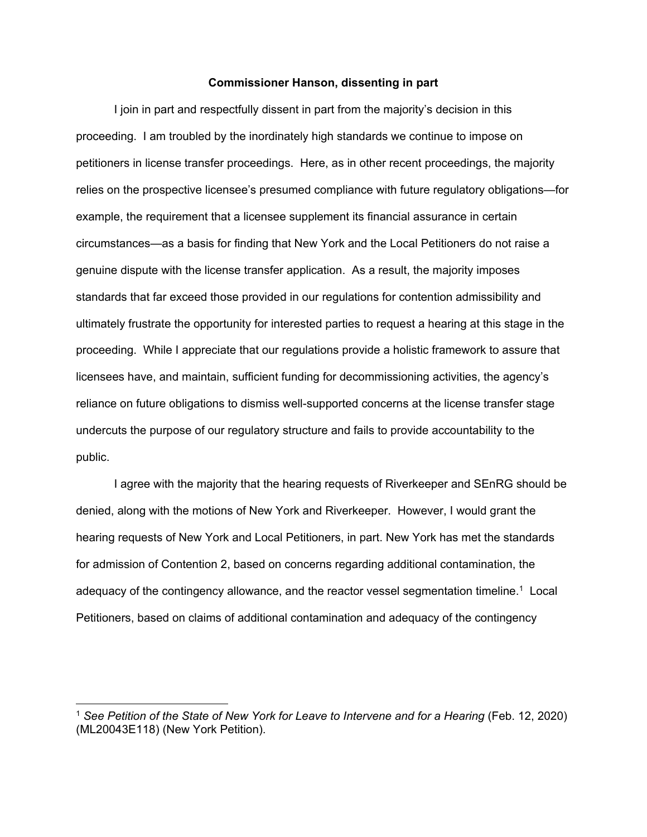#### **Commissioner Hanson, dissenting in part**

I join in part and respectfully dissent in part from the majority's decision in this proceeding. I am troubled by the inordinately high standards we continue to impose on petitioners in license transfer proceedings. Here, as in other recent proceedings, the majority relies on the prospective licensee's presumed compliance with future regulatory obligations—for example, the requirement that a licensee supplement its financial assurance in certain circumstances—as a basis for finding that New York and the Local Petitioners do not raise a genuine dispute with the license transfer application. As a result, the majority imposes standards that far exceed those provided in our regulations for contention admissibility and ultimately frustrate the opportunity for interested parties to request a hearing at this stage in the proceeding. While I appreciate that our regulations provide a holistic framework to assure that licensees have, and maintain, sufficient funding for decommissioning activities, the agency's reliance on future obligations to dismiss well-supported concerns at the license transfer stage undercuts the purpose of our regulatory structure and fails to provide accountability to the public.

I agree with the majority that the hearing requests of Riverkeeper and SEnRG should be denied, along with the motions of New York and Riverkeeper. However, I would grant the hearing requests of New York and Local Petitioners, in part. New York has met the standards for admission of Contention 2, based on concerns regarding additional contamination, the adequacy of the contingency allowance, and the reactor vessel segmentation timeline.<sup>1</sup> Local Petitioners, based on claims of additional contamination and adequacy of the contingency

<sup>&</sup>lt;sup>1</sup> See Petition of the State of New York for Leave to Intervene and for a Hearing (Feb. 12, 2020) (ML20043E118) (New York Petition).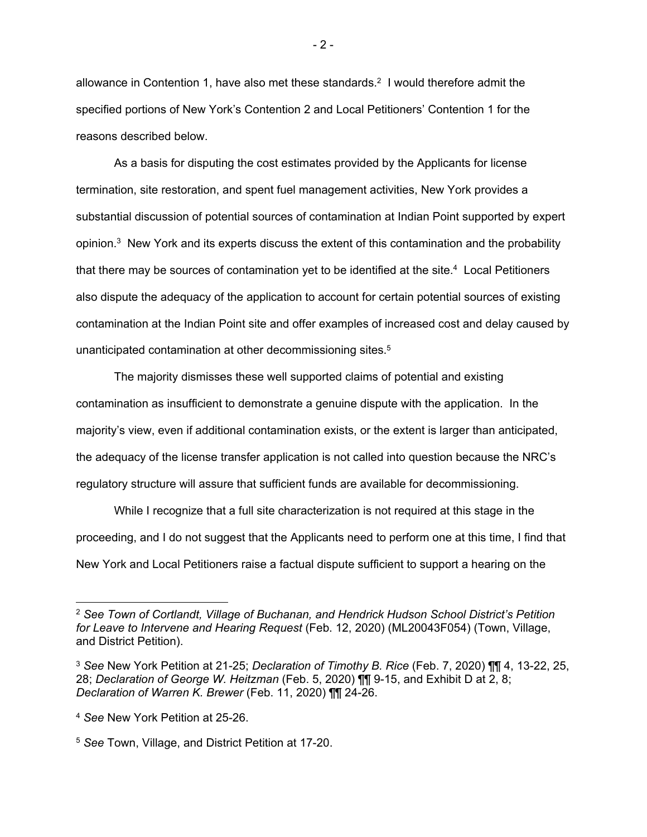allowance in Contention 1, have also met these standards.<sup>2</sup> I would therefore admit the specified portions of New York's Contention 2 and Local Petitioners' Contention 1 for the reasons described below.

As a basis for disputing the cost estimates provided by the Applicants for license termination, site restoration, and spent fuel management activities, New York provides a substantial discussion of potential sources of contamination at Indian Point supported by expert opinion.3 New York and its experts discuss the extent of this contamination and the probability that there may be sources of contamination yet to be identified at the site. $4$  Local Petitioners also dispute the adequacy of the application to account for certain potential sources of existing contamination at the Indian Point site and offer examples of increased cost and delay caused by unanticipated contamination at other decommissioning sites.<sup>5</sup>

The majority dismisses these well supported claims of potential and existing contamination as insufficient to demonstrate a genuine dispute with the application. In the majority's view, even if additional contamination exists, or the extent is larger than anticipated, the adequacy of the license transfer application is not called into question because the NRC's regulatory structure will assure that sufficient funds are available for decommissioning.

While I recognize that a full site characterization is not required at this stage in the proceeding, and I do not suggest that the Applicants need to perform one at this time, I find that New York and Local Petitioners raise a factual dispute sufficient to support a hearing on the

 $-2 -$ 

<sup>2</sup> *See Town of Cortlandt, Village of Buchanan, and Hendrick Hudson School District's Petition for Leave to Intervene and Hearing Request* (Feb. 12, 2020) (ML20043F054) (Town, Village, and District Petition).

<sup>3</sup> *See* New York Petition at 21-25; *Declaration of Timothy B. Rice* (Feb. 7, 2020) ¶¶ 4, 13-22, 25, 28; *Declaration of George W. Heitzman* (Feb. 5, 2020) ¶¶ 9-15, and Exhibit D at 2, 8; *Declaration of Warren K. Brewer* (Feb. 11, 2020) ¶¶ 24-26.

<sup>4</sup> *See* New York Petition at 25-26.

<sup>5</sup> *See* Town, Village, and District Petition at 17-20.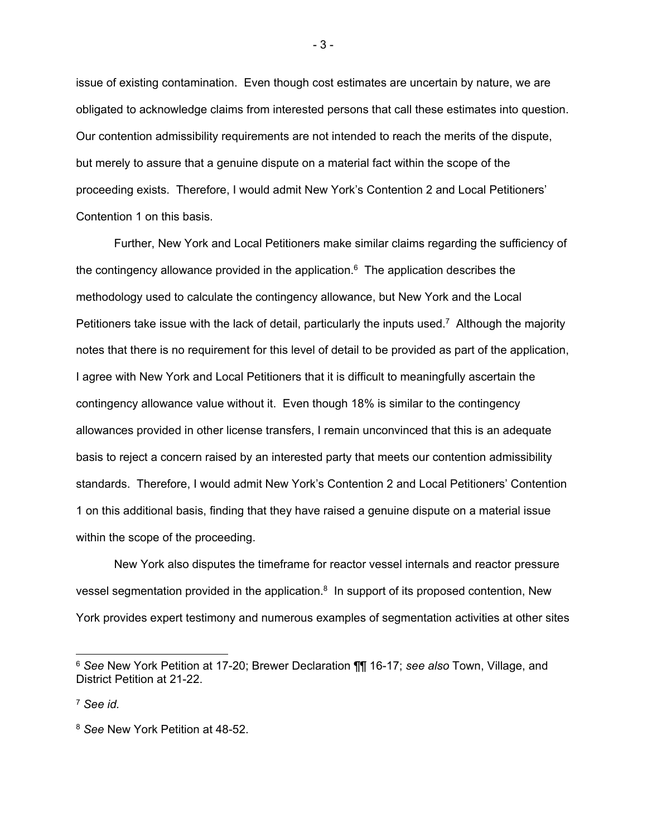issue of existing contamination. Even though cost estimates are uncertain by nature, we are obligated to acknowledge claims from interested persons that call these estimates into question. Our contention admissibility requirements are not intended to reach the merits of the dispute, but merely to assure that a genuine dispute on a material fact within the scope of the proceeding exists. Therefore, I would admit New York's Contention 2 and Local Petitioners' Contention 1 on this basis.

Further, New York and Local Petitioners make similar claims regarding the sufficiency of the contingency allowance provided in the application. $6$  The application describes the methodology used to calculate the contingency allowance, but New York and the Local Petitioners take issue with the lack of detail, particularly the inputs used.<sup>7</sup> Although the majority notes that there is no requirement for this level of detail to be provided as part of the application, I agree with New York and Local Petitioners that it is difficult to meaningfully ascertain the contingency allowance value without it. Even though 18% is similar to the contingency allowances provided in other license transfers, I remain unconvinced that this is an adequate basis to reject a concern raised by an interested party that meets our contention admissibility standards. Therefore, I would admit New York's Contention 2 and Local Petitioners' Contention 1 on this additional basis, finding that they have raised a genuine dispute on a material issue within the scope of the proceeding.

New York also disputes the timeframe for reactor vessel internals and reactor pressure vessel segmentation provided in the application.<sup>8</sup> In support of its proposed contention, New York provides expert testimony and numerous examples of segmentation activities at other sites

- 3 -

<sup>6</sup> *See* New York Petition at 17-20; Brewer Declaration ¶¶ 16-17; *see also* Town, Village, and District Petition at 21-22.

<sup>7</sup> *See id.*

<sup>8</sup> *See* New York Petition at 48-52.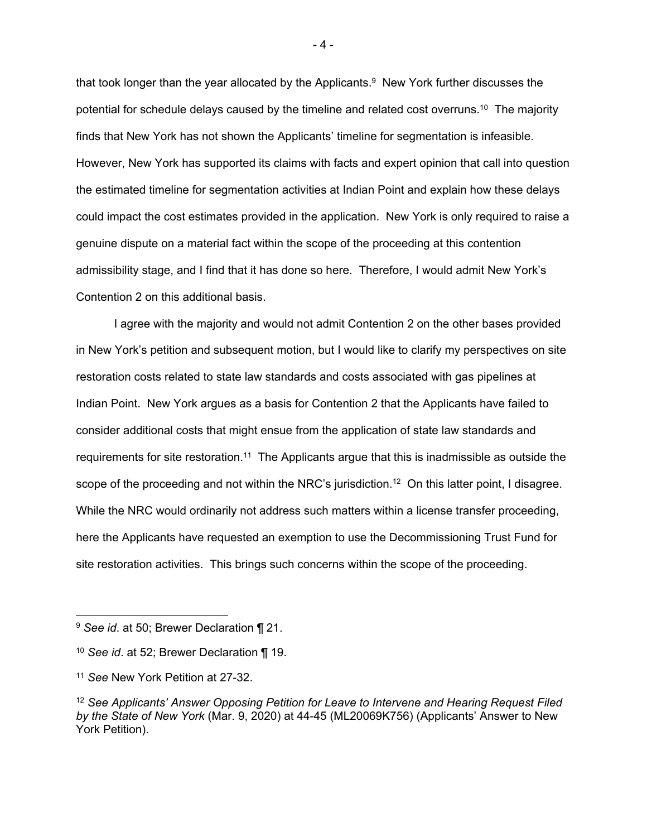that took longer than the year allocated by the Applicants.<sup>9</sup> New York further discusses the potential for schedule delays caused by the timeline and related cost overruns.<sup>10</sup> The majority finds that New York has not shown the Applicants' timeline for segmentation is infeasible. However, New York has supported its claims with facts and expert opinion that call into question the estimated timeline for segmentation activities at Indian Point and explain how these delays could impact the cost estimates provided in the application. New York is only required to raise a genuine dispute on a material fact within the scope of the proceeding at this contention admissibility stage, and I find that it has done so here. Therefore, I would admit New York's Contention 2 on this additional basis.

 I agree with the majority and would not admit Contention 2 on the other bases provided in New York's petition and subsequent motion, but I would like to clarify my perspectives on site restoration costs related to state law standards and costs associated with gas pipelines at Indian Point. New York argues as a basis for Contention 2 that the Applicants have failed to consider additional costs that might ensue from the application of state law standards and requirements for site restoration.<sup>11</sup> The Applicants argue that this is inadmissible as outside the scope of the proceeding and not within the NRC's jurisdiction.<sup>12</sup> On this latter point, I disagree. While the NRC would ordinarily not address such matters within a license transfer proceeding, here the Applicants have requested an exemption to use the Decommissioning Trust Fund for site restoration activities. This brings such concerns within the scope of the proceeding.

- 4 -

<sup>9</sup> *See id*. at 50; Brewer Declaration ¶ 21.

<sup>10</sup> *See id*. at 52; Brewer Declaration ¶ 19.

<sup>11</sup> *See* New York Petition at 27-32.

<sup>12</sup> *See Applicants' Answer Opposing Petition for Leave to Intervene and Hearing Request Filed by the State of New York* (Mar. 9, 2020) at 44-45 (ML20069K756) (Applicants' Answer to New York Petition).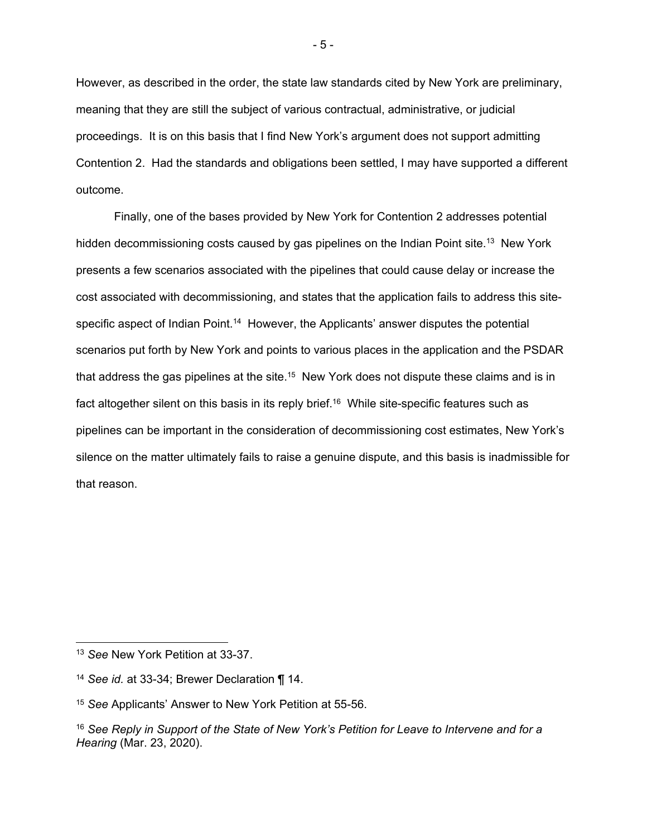However, as described in the order, the state law standards cited by New York are preliminary, meaning that they are still the subject of various contractual, administrative, or judicial proceedings. It is on this basis that I find New York's argument does not support admitting Contention 2. Had the standards and obligations been settled, I may have supported a different outcome.

Finally, one of the bases provided by New York for Contention 2 addresses potential hidden decommissioning costs caused by gas pipelines on the Indian Point site.<sup>13</sup> New York presents a few scenarios associated with the pipelines that could cause delay or increase the cost associated with decommissioning, and states that the application fails to address this sitespecific aspect of Indian Point.<sup>14</sup> However, the Applicants' answer disputes the potential scenarios put forth by New York and points to various places in the application and the PSDAR that address the gas pipelines at the site.<sup>15</sup> New York does not dispute these claims and is in fact altogether silent on this basis in its reply brief.<sup>16</sup> While site-specific features such as pipelines can be important in the consideration of decommissioning cost estimates, New York's silence on the matter ultimately fails to raise a genuine dispute, and this basis is inadmissible for that reason.

<sup>13</sup> *See* New York Petition at 33-37.

<sup>14</sup> *See id.* at 33-34; Brewer Declaration ¶ 14.

<sup>15</sup> *See* Applicants' Answer to New York Petition at 55-56.

<sup>16</sup> *See Reply in Support of the State of New York's Petition for Leave to Intervene and for a Hearing* (Mar. 23, 2020).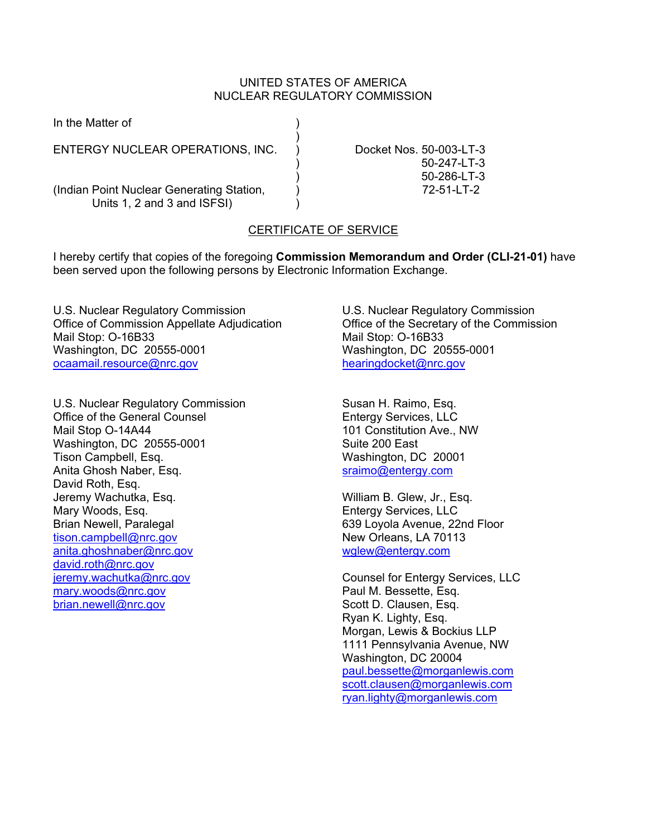# UNITED STATES OF AMERICA NUCLEAR REGULATORY COMMISSION

In the Matter of

ENTERGY NUCLEAR OPERATIONS, INC. ) Docket Nos. 50-003-LT-3

 $)$ 

(Indian Point Nuclear Generating Station, ) 72-51-LT-2 Units 1, 2 and 3 and ISFSI)

 ) 50-247-LT-3 ) 50-286-LT-3

# CERTIFICATE OF SERVICE

I hereby certify that copies of the foregoing **Commission Memorandum and Order (CLI-21-01)** have been served upon the following persons by Electronic Information Exchange.

U.S. Nuclear Regulatory Commission Office of Commission Appellate Adjudication Mail Stop: O-16B33 Washington, DC 20555-0001 ocaamail.resource@nrc.gov

U.S. Nuclear Regulatory Commission Office of the General Counsel Mail Stop O-14A44 Washington, DC 20555-0001 Tison Campbell, Esq. Anita Ghosh Naber, Esq. David Roth, Esq. Jeremy Wachutka, Esq. Mary Woods, Esq. Brian Newell, Paralegal tison.campbell@nrc.gov anita.ghoshnaber@nrc.gov david.roth@nrc.gov jeremy.wachutka@nrc.gov mary.woods@nrc.gov brian.newell@nrc.gov

U.S. Nuclear Regulatory Commission Office of the Secretary of the Commission Mail Stop: O-16B33 Washington, DC 20555-0001 hearingdocket@nrc.gov

Susan H. Raimo, Esq. Entergy Services, LLC 101 Constitution Ave., NW Suite 200 East Washington, DC 20001 sraimo@entergy.com

William B. Glew, Jr., Esq. Entergy Services, LLC 639 Loyola Avenue, 22nd Floor New Orleans, LA 70113 wglew@entergy.com

Counsel for Entergy Services, LLC Paul M. Bessette, Esq. Scott D. Clausen, Esq. Ryan K. Lighty, Esq. Morgan, Lewis & Bockius LLP 1111 Pennsylvania Avenue, NW Washington, DC 20004 paul.bessette@morganlewis.com scott.clausen@morganlewis.com ryan.lighty@morganlewis.com